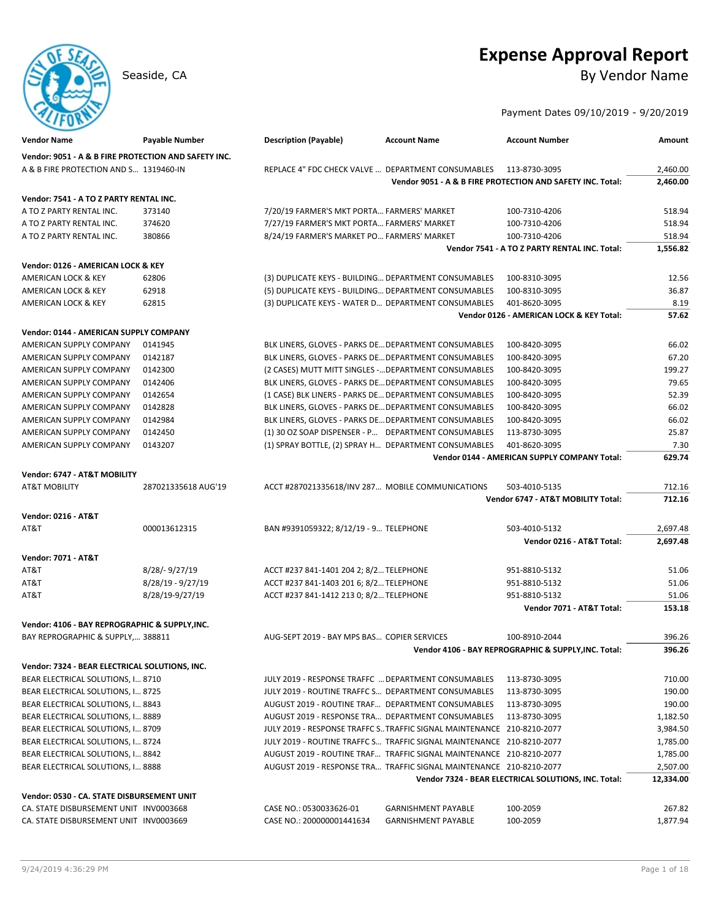# **Expense Approval Report**

Seaside, CA By Vendor Name

### Payment Dates 09/10/2019 - 9/20/2019

| <b>Vendor Name</b>                                   | <b>Payable Number</b> | <b>Description (Payable)</b>                                           | <b>Account Name</b>        | <b>Account Number</b>                                      | Amount    |
|------------------------------------------------------|-----------------------|------------------------------------------------------------------------|----------------------------|------------------------------------------------------------|-----------|
| Vendor: 9051 - A & B FIRE PROTECTION AND SAFETY INC. |                       |                                                                        |                            |                                                            |           |
| A & B FIRE PROTECTION AND S 1319460-IN               |                       | REPLACE 4" FDC CHECK VALVE  DEPARTMENT CONSUMABLES                     |                            | 113-8730-3095                                              | 2,460.00  |
|                                                      |                       |                                                                        |                            | Vendor 9051 - A & B FIRE PROTECTION AND SAFETY INC. Total: | 2,460.00  |
| Vendor: 7541 - A TO Z PARTY RENTAL INC.              |                       |                                                                        |                            |                                                            |           |
| A TO Z PARTY RENTAL INC.                             | 373140                | 7/20/19 FARMER'S MKT PORTA FARMERS' MARKET                             |                            | 100-7310-4206                                              | 518.94    |
| A TO Z PARTY RENTAL INC.                             | 374620                | 7/27/19 FARMER'S MKT PORTA FARMERS' MARKET                             |                            | 100-7310-4206                                              | 518.94    |
| A TO Z PARTY RENTAL INC.                             | 380866                | 8/24/19 FARMER'S MARKET PO FARMERS' MARKET                             |                            | 100-7310-4206                                              | 518.94    |
|                                                      |                       |                                                                        |                            | Vendor 7541 - A TO Z PARTY RENTAL INC. Total:              | 1,556.82  |
| Vendor: 0126 - AMERICAN LOCK & KEY                   |                       |                                                                        |                            |                                                            |           |
| AMERICAN LOCK & KEY                                  | 62806                 | (3) DUPLICATE KEYS - BUILDING DEPARTMENT CONSUMABLES                   |                            | 100-8310-3095                                              | 12.56     |
| AMERICAN LOCK & KEY                                  | 62918                 | (5) DUPLICATE KEYS - BUILDING DEPARTMENT CONSUMABLES                   |                            | 100-8310-3095                                              | 36.87     |
| AMERICAN LOCK & KEY                                  | 62815                 | (3) DUPLICATE KEYS - WATER D DEPARTMENT CONSUMABLES                    |                            | 401-8620-3095                                              | 8.19      |
|                                                      |                       |                                                                        |                            | Vendor 0126 - AMERICAN LOCK & KEY Total:                   | 57.62     |
| Vendor: 0144 - AMERICAN SUPPLY COMPANY               |                       |                                                                        |                            |                                                            |           |
| AMERICAN SUPPLY COMPANY                              | 0141945               | BLK LINERS, GLOVES - PARKS DE DEPARTMENT CONSUMABLES                   |                            | 100-8420-3095                                              | 66.02     |
| AMERICAN SUPPLY COMPANY                              | 0142187               | BLK LINERS, GLOVES - PARKS DE DEPARTMENT CONSUMABLES                   |                            | 100-8420-3095                                              | 67.20     |
| AMERICAN SUPPLY COMPANY                              | 0142300               | (2 CASES) MUTT MITT SINGLES - DEPARTMENT CONSUMABLES                   |                            | 100-8420-3095                                              | 199.27    |
| AMERICAN SUPPLY COMPANY                              | 0142406               | BLK LINERS, GLOVES - PARKS DE DEPARTMENT CONSUMABLES                   |                            | 100-8420-3095                                              | 79.65     |
| AMERICAN SUPPLY COMPANY                              | 0142654               | (1 CASE) BLK LINERS - PARKS DE DEPARTMENT CONSUMABLES                  |                            | 100-8420-3095                                              | 52.39     |
| AMERICAN SUPPLY COMPANY                              | 0142828               | BLK LINERS, GLOVES - PARKS DE DEPARTMENT CONSUMABLES                   |                            | 100-8420-3095                                              | 66.02     |
| AMERICAN SUPPLY COMPANY                              | 0142984               | BLK LINERS, GLOVES - PARKS DE DEPARTMENT CONSUMABLES                   |                            | 100-8420-3095                                              | 66.02     |
| AMERICAN SUPPLY COMPANY                              | 0142450               | (1) 30 OZ SOAP DISPENSER - P DEPARTMENT CONSUMABLES                    |                            | 113-8730-3095                                              | 25.87     |
| AMERICAN SUPPLY COMPANY                              | 0143207               | (1) SPRAY BOTTLE, (2) SPRAY H DEPARTMENT CONSUMABLES                   |                            | 401-8620-3095                                              | 7.30      |
|                                                      |                       |                                                                        |                            | Vendor 0144 - AMERICAN SUPPLY COMPANY Total:               | 629.74    |
| Vendor: 6747 - AT&T MOBILITY                         |                       |                                                                        |                            |                                                            |           |
| <b>AT&amp;T MOBILITY</b>                             | 287021335618 AUG'19   | ACCT #287021335618/INV 287 MOBILE COMMUNICATIONS                       |                            | 503-4010-5135                                              | 712.16    |
|                                                      |                       |                                                                        |                            | Vendor 6747 - AT&T MOBILITY Total:                         | 712.16    |
| <b>Vendor: 0216 - AT&amp;T</b>                       |                       |                                                                        |                            |                                                            |           |
| AT&T                                                 | 000013612315          | BAN #9391059322; 8/12/19 - 9 TELEPHONE                                 |                            | 503-4010-5132                                              | 2,697.48  |
|                                                      |                       |                                                                        |                            | Vendor 0216 - AT&T Total:                                  | 2,697.48  |
| <b>Vendor: 7071 - AT&amp;T</b>                       |                       |                                                                        |                            |                                                            |           |
| AT&T                                                 | 8/28/-9/27/19         | ACCT #237 841-1401 204 2; 8/2 TELEPHONE                                |                            | 951-8810-5132                                              | 51.06     |
| AT&T                                                 | 8/28/19 - 9/27/19     | ACCT #237 841-1403 201 6; 8/2 TELEPHONE                                |                            | 951-8810-5132                                              | 51.06     |
| AT&T                                                 | 8/28/19-9/27/19       | ACCT #237 841-1412 213 0; 8/2 TELEPHONE                                |                            | 951-8810-5132                                              | 51.06     |
|                                                      |                       |                                                                        |                            | Vendor 7071 - AT&T Total:                                  | 153.18    |
| Vendor: 4106 - BAY REPROGRAPHIC & SUPPLY, INC.       |                       |                                                                        |                            |                                                            |           |
| BAY REPROGRAPHIC & SUPPLY, 388811                    |                       | AUG-SEPT 2019 - BAY MPS BAS COPIER SERVICES                            |                            | 100-8910-2044                                              | 396.26    |
|                                                      |                       |                                                                        |                            | Vendor 4106 - BAY REPROGRAPHIC & SUPPLY, INC. Total:       | 396.26    |
| Vendor: 7324 - BEAR ELECTRICAL SOLUTIONS, INC.       |                       |                                                                        |                            |                                                            |           |
| BEAR ELECTRICAL SOLUTIONS, I 8710                    |                       | JULY 2019 - RESPONSE TRAFFC  DEPARTMENT CONSUMABLES                    |                            | 113-8730-3095                                              | 710.00    |
| BEAR ELECTRICAL SOLUTIONS, I 8725                    |                       | JULY 2019 - ROUTINE TRAFFC S DEPARTMENT CONSUMABLES                    |                            | 113-8730-3095                                              | 190.00    |
| BEAR ELECTRICAL SOLUTIONS, I 8843                    |                       | AUGUST 2019 - ROUTINE TRAF DEPARTMENT CONSUMABLES                      |                            | 113-8730-3095                                              | 190.00    |
| BEAR ELECTRICAL SOLUTIONS, I 8889                    |                       | AUGUST 2019 - RESPONSE TRA DEPARTMENT CONSUMABLES                      |                            | 113-8730-3095                                              | 1,182.50  |
| BEAR ELECTRICAL SOLUTIONS, I 8709                    |                       | JULY 2019 - RESPONSE TRAFFC S TRAFFIC SIGNAL MAINTENANCE 210-8210-2077 |                            |                                                            | 3,984.50  |
| BEAR ELECTRICAL SOLUTIONS, I 8724                    |                       | JULY 2019 - ROUTINE TRAFFC S TRAFFIC SIGNAL MAINTENANCE 210-8210-2077  |                            |                                                            | 1,785.00  |
| BEAR ELECTRICAL SOLUTIONS, I 8842                    |                       | AUGUST 2019 - ROUTINE TRAF TRAFFIC SIGNAL MAINTENANCE 210-8210-2077    |                            |                                                            | 1,785.00  |
| BEAR ELECTRICAL SOLUTIONS, I 8888                    |                       | AUGUST 2019 - RESPONSE TRA TRAFFIC SIGNAL MAINTENANCE 210-8210-2077    |                            |                                                            | 2,507.00  |
|                                                      |                       |                                                                        |                            | Vendor 7324 - BEAR ELECTRICAL SOLUTIONS, INC. Total:       | 12,334.00 |
| Vendor: 0530 - CA. STATE DISBURSEMENT UNIT           |                       |                                                                        |                            |                                                            |           |
| CA. STATE DISBURSEMENT UNIT INV0003668               |                       | CASE NO.: 0530033626-01                                                | <b>GARNISHMENT PAYABLE</b> | 100-2059                                                   | 267.82    |
| CA. STATE DISBURSEMENT UNIT INV0003669               |                       | CASE NO.: 200000001441634                                              | <b>GARNISHMENT PAYABLE</b> | 100-2059                                                   | 1,877.94  |
|                                                      |                       |                                                                        |                            |                                                            |           |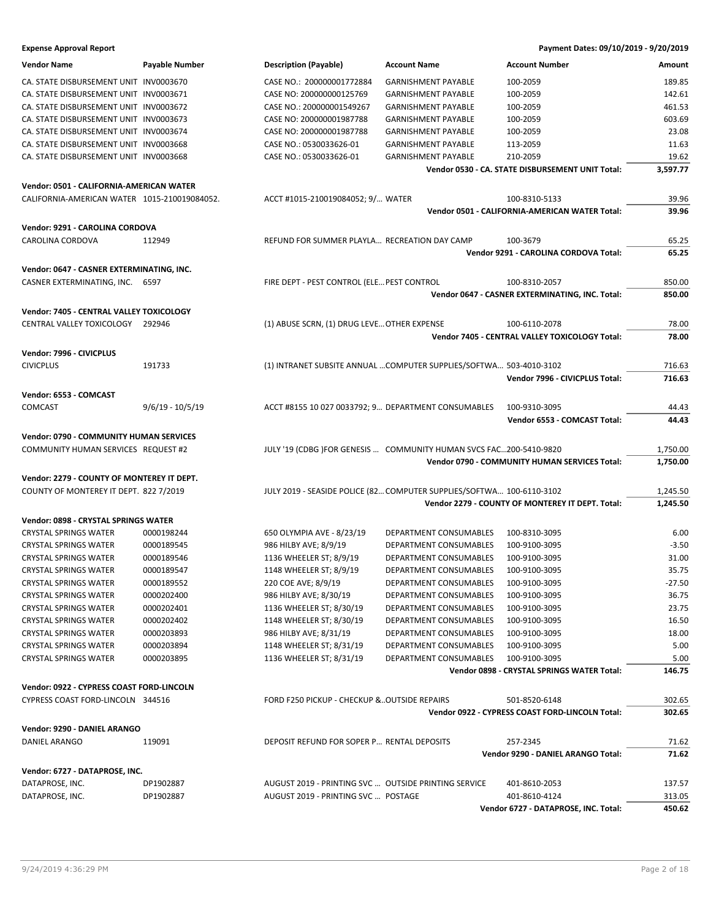| <b>Vendor Name</b>                                                                       | <b>Payable Number</b> | <b>Description (Payable)</b>                                       | <b>Account Name</b>                                                   | <b>Account Number</b>                            | Amount   |
|------------------------------------------------------------------------------------------|-----------------------|--------------------------------------------------------------------|-----------------------------------------------------------------------|--------------------------------------------------|----------|
| CA. STATE DISBURSEMENT UNIT INV0003670                                                   |                       | CASE NO.: 200000001772884                                          | <b>GARNISHMENT PAYABLE</b>                                            | 100-2059                                         | 189.85   |
| CA. STATE DISBURSEMENT UNIT INV0003671                                                   |                       | CASE NO: 200000000125769                                           | <b>GARNISHMENT PAYABLE</b>                                            | 100-2059                                         | 142.61   |
| CA. STATE DISBURSEMENT UNIT INV0003672                                                   |                       | CASE NO.: 200000001549267                                          | <b>GARNISHMENT PAYABLE</b>                                            | 100-2059                                         | 461.53   |
| CA. STATE DISBURSEMENT UNIT INV0003673                                                   |                       | CASE NO: 200000001987788                                           | <b>GARNISHMENT PAYABLE</b>                                            | 100-2059                                         | 603.69   |
| CA. STATE DISBURSEMENT UNIT INV0003674                                                   |                       | CASE NO: 200000001987788                                           | <b>GARNISHMENT PAYABLE</b>                                            | 100-2059                                         | 23.08    |
| CA. STATE DISBURSEMENT UNIT INV0003668                                                   |                       | CASE NO.: 0530033626-01                                            | <b>GARNISHMENT PAYABLE</b>                                            | 113-2059                                         | 11.63    |
| CA. STATE DISBURSEMENT UNIT INV0003668                                                   |                       | CASE NO.: 0530033626-01                                            | <b>GARNISHMENT PAYABLE</b>                                            | 210-2059                                         | 19.62    |
|                                                                                          |                       |                                                                    |                                                                       | Vendor 0530 - CA. STATE DISBURSEMENT UNIT Total: | 3,597.77 |
|                                                                                          |                       |                                                                    |                                                                       |                                                  |          |
| Vendor: 0501 - CALIFORNIA-AMERICAN WATER<br>CALIFORNIA-AMERICAN WATER 1015-210019084052. |                       | ACCT #1015-210019084052; 9/ WATER                                  |                                                                       | 100-8310-5133                                    | 39.96    |
|                                                                                          |                       |                                                                    |                                                                       | Vendor 0501 - CALIFORNIA-AMERICAN WATER Total:   | 39.96    |
|                                                                                          |                       |                                                                    |                                                                       |                                                  |          |
| Vendor: 9291 - CAROLINA CORDOVA                                                          |                       |                                                                    |                                                                       |                                                  |          |
| CAROLINA CORDOVA                                                                         | 112949                | REFUND FOR SUMMER PLAYLA RECREATION DAY CAMP                       |                                                                       | 100-3679                                         | 65.25    |
|                                                                                          |                       |                                                                    |                                                                       | Vendor 9291 - CAROLINA CORDOVA Total:            | 65.25    |
| Vendor: 0647 - CASNER EXTERMINATING, INC.                                                |                       |                                                                    |                                                                       |                                                  |          |
| CASNER EXTERMINATING, INC. 6597                                                          |                       | FIRE DEPT - PEST CONTROL (ELE PEST CONTROL                         |                                                                       | 100-8310-2057                                    | 850.00   |
|                                                                                          |                       |                                                                    |                                                                       | Vendor 0647 - CASNER EXTERMINATING, INC. Total:  | 850.00   |
| Vendor: 7405 - CENTRAL VALLEY TOXICOLOGY                                                 |                       |                                                                    |                                                                       |                                                  |          |
| CENTRAL VALLEY TOXICOLOGY 292946                                                         |                       | (1) ABUSE SCRN, (1) DRUG LEVE OTHER EXPENSE                        |                                                                       | 100-6110-2078                                    | 78.00    |
|                                                                                          |                       |                                                                    |                                                                       | Vendor 7405 - CENTRAL VALLEY TOXICOLOGY Total:   | 78.00    |
| Vendor: 7996 - CIVICPLUS                                                                 |                       |                                                                    |                                                                       |                                                  |          |
| <b>CIVICPLUS</b>                                                                         | 191733                |                                                                    | (1) INTRANET SUBSITE ANNUAL  COMPUTER SUPPLIES/SOFTWA 503-4010-3102   |                                                  | 716.63   |
|                                                                                          |                       |                                                                    |                                                                       | Vendor 7996 - CIVICPLUS Total:                   | 716.63   |
|                                                                                          |                       |                                                                    |                                                                       |                                                  |          |
| Vendor: 6553 - COMCAST                                                                   |                       |                                                                    |                                                                       |                                                  |          |
| <b>COMCAST</b>                                                                           | $9/6/19 - 10/5/19$    | ACCT #8155 10 027 0033792; 9 DEPARTMENT CONSUMABLES                |                                                                       | 100-9310-3095                                    | 44.43    |
|                                                                                          |                       |                                                                    |                                                                       | Vendor 6553 - COMCAST Total:                     | 44.43    |
| Vendor: 0790 - COMMUNITY HUMAN SERVICES                                                  |                       |                                                                    |                                                                       |                                                  |          |
|                                                                                          |                       |                                                                    |                                                                       |                                                  |          |
| COMMUNITY HUMAN SERVICES REQUEST #2                                                      |                       | JULY '19 (CDBG )FOR GENESIS  COMMUNITY HUMAN SVCS FAC200-5410-9820 |                                                                       |                                                  | 1,750.00 |
|                                                                                          |                       |                                                                    |                                                                       | Vendor 0790 - COMMUNITY HUMAN SERVICES Total:    | 1,750.00 |
| Vendor: 2279 - COUNTY OF MONTEREY IT DEPT.                                               |                       |                                                                    |                                                                       |                                                  |          |
| COUNTY OF MONTEREY IT DEPT. 822 7/2019                                                   |                       |                                                                    | JULY 2019 - SEASIDE POLICE (82 COMPUTER SUPPLIES/SOFTWA 100-6110-3102 |                                                  | 1,245.50 |
|                                                                                          |                       |                                                                    |                                                                       | Vendor 2279 - COUNTY OF MONTEREY IT DEPT. Total: | 1,245.50 |
|                                                                                          |                       |                                                                    |                                                                       |                                                  |          |
| Vendor: 0898 - CRYSTAL SPRINGS WATER                                                     |                       |                                                                    |                                                                       |                                                  |          |
| <b>CRYSTAL SPRINGS WATER</b>                                                             | 0000198244            | 650 OLYMPIA AVE - 8/23/19                                          | DEPARTMENT CONSUMABLES                                                | 100-8310-3095                                    | 6.00     |
| <b>CRYSTAL SPRINGS WATER</b>                                                             | 0000189545            | 986 HILBY AVE; 8/9/19                                              | DEPARTMENT CONSUMABLES                                                | 100-9100-3095                                    | $-3.50$  |
| <b>CRYSTAL SPRINGS WATER</b>                                                             | 0000189546            | 1136 WHEELER ST; 8/9/19                                            | DEPARTMENT CONSUMABLES                                                | 100-9100-3095                                    | 31.00    |
| <b>CRYSTAL SPRINGS WATER</b>                                                             | 0000189547            | 1148 WHEELER ST; 8/9/19                                            | DEPARTMENT CONSUMABLES                                                | 100-9100-3095                                    | 35.75    |
| <b>CRYSTAL SPRINGS WATER</b>                                                             | 0000189552            | 220 COE AVE; 8/9/19                                                | DEPARTMENT CONSUMABLES                                                | 100-9100-3095                                    | $-27.50$ |
| <b>CRYSTAL SPRINGS WATER</b>                                                             | 0000202400            | 986 HILBY AVE; 8/30/19                                             | DEPARTMENT CONSUMABLES                                                | 100-9100-3095                                    | 36.75    |
| <b>CRYSTAL SPRINGS WATER</b>                                                             | 0000202401            | 1136 WHEELER ST; 8/30/19                                           | DEPARTMENT CONSUMABLES                                                | 100-9100-3095                                    | 23.75    |
| <b>CRYSTAL SPRINGS WATER</b>                                                             | 0000202402            | 1148 WHEELER ST; 8/30/19                                           | DEPARTMENT CONSUMABLES                                                | 100-9100-3095                                    | 16.50    |
| <b>CRYSTAL SPRINGS WATER</b>                                                             | 0000203893            | 986 HILBY AVE; 8/31/19                                             | DEPARTMENT CONSUMABLES                                                | 100-9100-3095                                    | 18.00    |
| <b>CRYSTAL SPRINGS WATER</b>                                                             | 0000203894            | 1148 WHEELER ST; 8/31/19                                           | DEPARTMENT CONSUMABLES                                                | 100-9100-3095                                    | 5.00     |
| <b>CRYSTAL SPRINGS WATER</b>                                                             | 0000203895            | 1136 WHEELER ST; 8/31/19                                           | DEPARTMENT CONSUMABLES                                                | 100-9100-3095                                    | 5.00     |
|                                                                                          |                       |                                                                    |                                                                       | Vendor 0898 - CRYSTAL SPRINGS WATER Total:       | 146.75   |
| Vendor: 0922 - CYPRESS COAST FORD-LINCOLN                                                |                       |                                                                    |                                                                       |                                                  |          |
| CYPRESS COAST FORD-LINCOLN 344516                                                        |                       | FORD F250 PICKUP - CHECKUP &OUTSIDE REPAIRS                        |                                                                       | 501-8520-6148                                    | 302.65   |
|                                                                                          |                       |                                                                    |                                                                       | Vendor 0922 - CYPRESS COAST FORD-LINCOLN Total:  | 302.65   |
| Vendor: 9290 - DANIEL ARANGO                                                             |                       |                                                                    |                                                                       |                                                  |          |
| DANIEL ARANGO                                                                            | 119091                | DEPOSIT REFUND FOR SOPER P RENTAL DEPOSITS                         |                                                                       | 257-2345                                         | 71.62    |
|                                                                                          |                       |                                                                    |                                                                       | Vendor 9290 - DANIEL ARANGO Total:               | 71.62    |
| Vendor: 6727 - DATAPROSE, INC.                                                           |                       |                                                                    |                                                                       |                                                  |          |
| DATAPROSE, INC.                                                                          | DP1902887             | AUGUST 2019 - PRINTING SVC  OUTSIDE PRINTING SERVICE               |                                                                       | 401-8610-2053                                    | 137.57   |
| DATAPROSE, INC.                                                                          | DP1902887             | AUGUST 2019 - PRINTING SVC  POSTAGE                                |                                                                       | 401-8610-4124                                    | 313.05   |
|                                                                                          |                       |                                                                    |                                                                       | Vendor 6727 - DATAPROSE, INC. Total:             | 450.62   |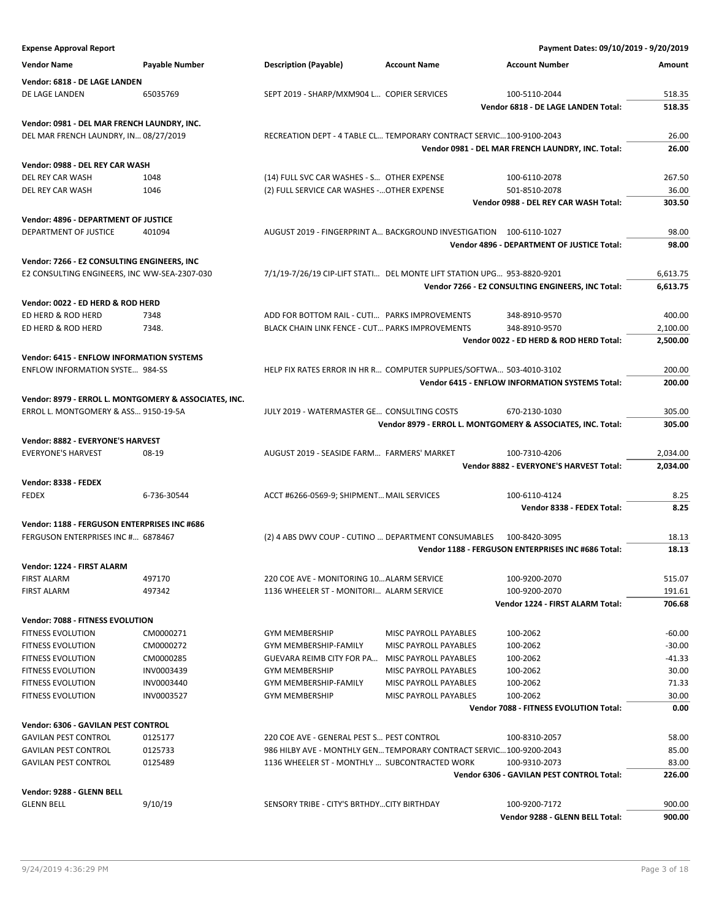**Expense Approval Report Payment Dates: 09/10/2019 - 9/20/2019 Vendor Name Payable Number Description (Payable) Account Name Account Number Amount Vendor: 6818 - DE LAGE LANDEN** DE LAGE LANDEN 65035769 65035769 SEPT 2019 - SHARP/MXM904 L... COPIER SERVICES 100-5110-2044 518.35 **Vendor 6818 - DE LAGE LANDEN Total: 518.35 Vendor: 0981 - DEL MAR FRENCH LAUNDRY, INC.** DEL MAR FRENCH LAUNDRY, IN… 08/27/2019 RECREATION DEPT - 4 TABLE CL… TEMPORARY CONTRACT SERVIC…100-9100-2043 26.00 **Vendor 0981 - DEL MAR FRENCH LAUNDRY, INC. Total: 26.00 Vendor: 0988 - DEL REY CAR WASH** DEL REY CAR WASH 1048 1048 (14) FULL SVC CAR WASHES - S... OTHER EXPENSE 100-6110-2078 267.50 DEL REY CAR WASH 1046 1046 (2) FULL SERVICE CAR WASHES -... OTHER EXPENSE 501-8510-2078 36.00 **Vendor 0988 - DEL REY CAR WASH Total: 303.50 Vendor: 4896 - DEPARTMENT OF JUSTICE** DEPARTMENT OF JUSTICE 401094 AUGUST 2019 - FINGERPRINT A… BACKGROUND INVESTIGATION 100-6110-1027 98.00 **Vendor 4896 - DEPARTMENT OF JUSTICE Total: 98.00 Vendor: 7266 - E2 CONSULTING ENGINEERS, INC** E2 CONSULTING ENGINEERS, INC WW-SEA-2307-030 7/1/19-7/26/19 CIP-LIFT STATI… DEL MONTE LIFT STATION UPG… 953-8820-9201 6,613.75 **Vendor 7266 - E2 CONSULTING ENGINEERS, INC Total: 6,613.75 Vendor: 0022 - ED HERD & ROD HERD** ED HERD & ROD HERD 7348 ADD FOR BOTTOM RAIL - CUTI… PARKS IMPROVEMENTS 348-8910-9570 400.00 ED HERD & ROD HERD 7348. BLACK CHAIN LINK FENCE - CUT… PARKS IMPROVEMENTS 348-8910-9570 2,100.00 **Vendor 0022 - ED HERD & ROD HERD Total: 2,500.00 Vendor: 6415 - ENFLOW INFORMATION SYSTEMS** ENFLOW INFORMATION SYSTE… 984-SS HELP FIX RATES ERROR IN HR R… COMPUTER SUPPLIES/SOFTWA… 503-4010-3102 200.00 **Vendor 6415 - ENFLOW INFORMATION SYSTEMS Total: 200.00 Vendor: 8979 - ERROL L. MONTGOMERY & ASSOCIATES, INC.** ERROL L. MONTGOMERY & ASS… 9150-19-5A JULY 2019 - WATERMASTER GE… CONSULTING COSTS 670-2130-1030 305.00 **Vendor 8979 - ERROL L. MONTGOMERY & ASSOCIATES, INC. Total: 305.00 Vendor: 8882 - EVERYONE'S HARVEST** EVERYONE'S HARVEST **8** 08-19 **08-19 By AUGUST 2019 - SEASIDE FARM**… FARMERS' MARKET 100-7310-4206 2,034.00 **Vendor 8882 - EVERYONE'S HARVEST Total: 2,034.00 Vendor: 8338 - FEDEX** FEDEX 6-736-30544 ACCT #6266-0569-9; SHIPMENT…MAIL SERVICES 100-6110-4124 8.25 **Vendor 8338 - FEDEX Total: 8.25 Vendor: 1188 - FERGUSON ENTERPRISES INC #686** FERGUSON ENTERPRISES INC #… 6878467 (2) 4 ABS DWV COUP - CUTINO … DEPARTMENT CONSUMABLES 100-8420-3095 18.13 **Vendor 1188 - FERGUSON ENTERPRISES INC #686 Total: 18.13 Vendor: 1224 - FIRST ALARM** FIRST ALARM 497170 497170 220 COE AVE - MONITORING 10...ALARM SERVICE 100-9200-2070 515.07 FIRST ALARM 497342 1136 WHEELER ST - MONITORI… ALARM SERVICE 100-9200-2070 191.61 **Vendor 1224 - FIRST ALARM Total: 706.68 Vendor: 7088 - FITNESS EVOLUTION** FITNESS EVOLUTION CM0000271 GYM MEMBERSHIP MISC PAYROLL PAYABLES 100-2062 -60.00 FITNESS EVOLUTION CM0000272 GYM MEMBERSHIP-FAMILY MISC PAYROLL PAYABLES 100-2062 -30.00 FITNESS EVOLUTION CM0000285 GUEVARA REIMB CITY FOR PA... MISC PAYROLL PAYABLES 100-2062 -41.33 FITNESS EVOLUTION INV0003439 GYM MEMBERSHIP MISC PAYROLL PAYABLES 100-2062 30.00 FITNESS EVOLUTION INV0003440 GYM MEMBERSHIP-FAMILY MISC PAYROLL PAYABLES 100-2062 71.33 FITNESS EVOLUTION INV0003527 GYM MEMBERSHIP MISC PAYROLL PAYABLES 100-2062 30.00 **Vendor 7088 - FITNESS EVOLUTION Total: 0.00 Vendor: 6306 - GAVILAN PEST CONTROL** GAVILAN PEST CONTROL 0125177 2000 220 COE AVE - GENERAL PEST S... PEST CONTROL 100-8310-2057 58.00 GAVILAN PEST CONTROL 0125733 986 HILBY AVE - MONTHLY GEN... TEMPORARY CONTRACT SERVIC...100-9200-2043 85.00 GAVILAN PEST CONTROL 0125489 1136 WHEELER ST - MONTHLY … SUBCONTRACTED WORK 100-9310-2073 83.00 **Vendor 6306 - GAVILAN PEST CONTROL Total: 226.00 Vendor: 9288 - GLENN BELL** GLENN BELL 9/10/19 SENSORY TRIBE - CITY'S BRTHDY…CITY BIRTHDAY 100-9200-7172 900.00 **Vendor 9288 - GLENN BELL Total: 900.00**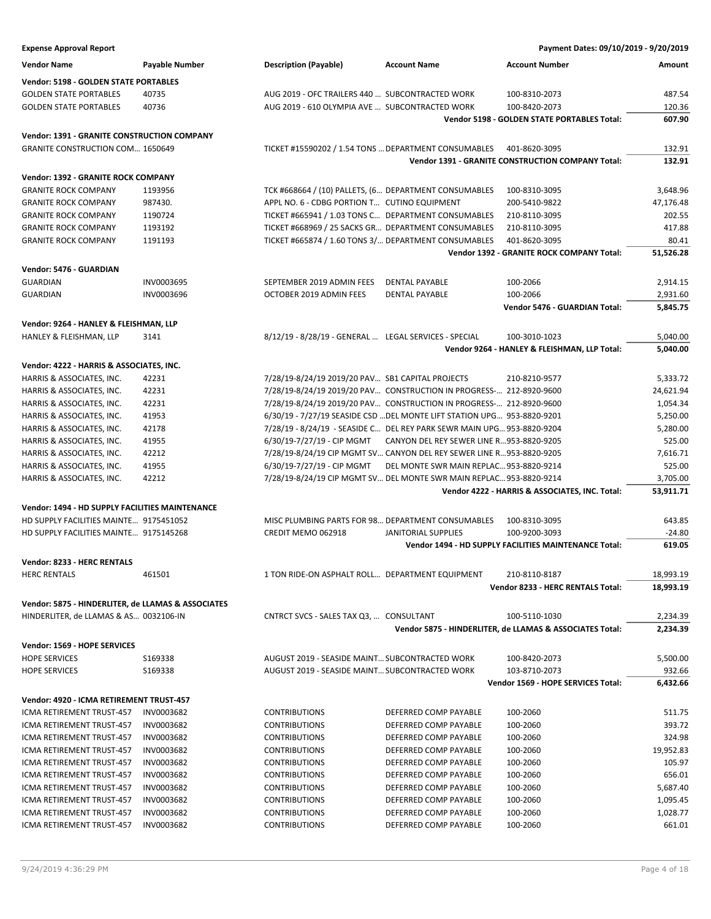| <b>Expense Approval Report</b>                                                            |                |                                                                         |                                          | Payment Dates: 09/10/2019 - 9/20/2019                        |                       |
|-------------------------------------------------------------------------------------------|----------------|-------------------------------------------------------------------------|------------------------------------------|--------------------------------------------------------------|-----------------------|
| <b>Vendor Name</b>                                                                        | Payable Number | <b>Description (Payable)</b>                                            | <b>Account Name</b>                      | <b>Account Number</b>                                        | Amount                |
| Vendor: 5198 - GOLDEN STATE PORTABLES                                                     |                |                                                                         |                                          |                                                              |                       |
| <b>GOLDEN STATE PORTABLES</b>                                                             | 40735          | AUG 2019 - OFC TRAILERS 440  SUBCONTRACTED WORK                         |                                          | 100-8310-2073                                                | 487.54                |
| <b>GOLDEN STATE PORTABLES</b>                                                             | 40736          | AUG 2019 - 610 OLYMPIA AVE  SUBCONTRACTED WORK                          |                                          | 100-8420-2073                                                | 120.36                |
|                                                                                           |                |                                                                         |                                          | Vendor 5198 - GOLDEN STATE PORTABLES Total:                  | 607.90                |
| <b>Vendor: 1391 - GRANITE CONSTRUCTION COMPANY</b>                                        |                |                                                                         |                                          |                                                              |                       |
| <b>GRANITE CONSTRUCTION COM 1650649</b>                                                   |                | TICKET #15590202 / 1.54 TONS  DEPARTMENT CONSUMABLES                    |                                          | 401-8620-3095                                                | 132.91                |
|                                                                                           |                |                                                                         |                                          | <b>Vendor 1391 - GRANITE CONSTRUCTION COMPANY Total:</b>     | 132.91                |
| Vendor: 1392 - GRANITE ROCK COMPANY                                                       |                |                                                                         |                                          |                                                              |                       |
| <b>GRANITE ROCK COMPANY</b>                                                               | 1193956        | TCK #668664 / (10) PALLETS, (6 DEPARTMENT CONSUMABLES                   |                                          | 100-8310-3095                                                | 3,648.96              |
| <b>GRANITE ROCK COMPANY</b>                                                               | 987430.        | APPL NO. 6 - CDBG PORTION T CUTINO EQUIPMENT                            |                                          | 200-5410-9822                                                | 47,176.48             |
| <b>GRANITE ROCK COMPANY</b>                                                               | 1190724        | TICKET #665941 / 1.03 TONS C DEPARTMENT CONSUMABLES                     |                                          | 210-8110-3095                                                | 202.55                |
| <b>GRANITE ROCK COMPANY</b>                                                               | 1193192        | TICKET #668969 / 25 SACKS GR DEPARTMENT CONSUMABLES                     |                                          | 210-8110-3095                                                | 417.88                |
| <b>GRANITE ROCK COMPANY</b>                                                               | 1191193        | TICKET #665874 / 1.60 TONS 3/ DEPARTMENT CONSUMABLES                    |                                          | 401-8620-3095                                                | 80.41                 |
|                                                                                           |                |                                                                         |                                          | Vendor 1392 - GRANITE ROCK COMPANY Total:                    | 51,526.28             |
| Vendor: 5476 - GUARDIAN                                                                   |                |                                                                         |                                          |                                                              |                       |
| <b>GUARDIAN</b>                                                                           | INV0003695     | SEPTEMBER 2019 ADMIN FEES                                               | <b>DENTAL PAYABLE</b>                    | 100-2066                                                     | 2,914.15              |
| <b>GUARDIAN</b>                                                                           | INV0003696     | OCTOBER 2019 ADMIN FEES                                                 | <b>DENTAL PAYABLE</b>                    | 100-2066                                                     | 2,931.60              |
|                                                                                           |                |                                                                         |                                          | Vendor 5476 - GUARDIAN Total:                                | 5,845.75              |
| Vendor: 9264 - HANLEY & FLEISHMAN, LLP                                                    |                |                                                                         |                                          |                                                              |                       |
| HANLEY & FLEISHMAN, LLP                                                                   | 3141           | 8/12/19 - 8/28/19 - GENERAL  LEGAL SERVICES - SPECIAL                   |                                          | 100-3010-1023                                                | 5,040.00              |
|                                                                                           |                |                                                                         |                                          | Vendor 9264 - HANLEY & FLEISHMAN, LLP Total:                 | 5,040.00              |
| Vendor: 4222 - HARRIS & ASSOCIATES, INC.                                                  |                |                                                                         |                                          |                                                              |                       |
| HARRIS & ASSOCIATES, INC.                                                                 | 42231          | 7/28/19-8/24/19 2019/20 PAV SB1 CAPITAL PROJECTS                        |                                          | 210-8210-9577                                                | 5,333.72              |
| HARRIS & ASSOCIATES, INC.                                                                 | 42231          | 7/28/19-8/24/19 2019/20 PAV CONSTRUCTION IN PROGRESS- 212-8920-9600     |                                          |                                                              | 24,621.94             |
| HARRIS & ASSOCIATES, INC.                                                                 | 42231          | 7/28/19-8/24/19 2019/20 PAV CONSTRUCTION IN PROGRESS- 212-8920-9600     |                                          |                                                              | 1,054.34              |
| HARRIS & ASSOCIATES, INC.                                                                 | 41953          | 6/30/19 - 7/27/19 SEASIDE CSD  DEL MONTE LIFT STATION UPG 953-8820-9201 |                                          |                                                              | 5,250.00              |
| HARRIS & ASSOCIATES, INC.                                                                 | 42178          | 7/28/19 - 8/24/19 - SEASIDE C DEL REY PARK SEWR MAIN UPG 953-8820-9204  |                                          |                                                              | 5,280.00              |
| HARRIS & ASSOCIATES, INC.                                                                 | 41955          | 6/30/19-7/27/19 - CIP MGMT                                              | CANYON DEL REY SEWER LINE R953-8820-9205 |                                                              | 525.00                |
| HARRIS & ASSOCIATES, INC.                                                                 | 42212          | 7/28/19-8/24/19 CIP MGMT SV CANYON DEL REY SEWER LINE R953-8820-9205    |                                          |                                                              | 7,616.71              |
| HARRIS & ASSOCIATES, INC.                                                                 | 41955<br>42212 | 6/30/19-7/27/19 - CIP MGMT                                              | DEL MONTE SWR MAIN REPLAC 953-8820-9214  |                                                              | 525.00                |
| HARRIS & ASSOCIATES, INC.                                                                 |                | 7/28/19-8/24/19 CIP MGMT SV DEL MONTE SWR MAIN REPLAC 953-8820-9214     |                                          | Vendor 4222 - HARRIS & ASSOCIATES, INC. Total:               | 3,705.00<br>53,911.71 |
|                                                                                           |                |                                                                         |                                          |                                                              |                       |
| Vendor: 1494 - HD SUPPLY FACILITIES MAINTENANCE<br>HD SUPPLY FACILITIES MAINTE 9175451052 |                | MISC PLUMBING PARTS FOR 98 DEPARTMENT CONSUMABLES                       |                                          | 100-8310-3095                                                | 643.85                |
| HD SUPPLY FACILITIES MAINTE 9175145268                                                    |                | CREDIT MEMO 062918                                                      | JANITORIAL SUPPLIES                      | 100-9200-3093                                                | $-24.80$              |
|                                                                                           |                |                                                                         |                                          | <b>Vendor 1494 - HD SUPPLY FACILITIES MAINTENANCE Total:</b> | 619.05                |
|                                                                                           |                |                                                                         |                                          |                                                              |                       |
| Vendor: 8233 - HERC RENTALS<br><b>HERC RENTALS</b>                                        | 461501         | 1 TON RIDE-ON ASPHALT ROLL DEPARTMENT EQUIPMENT                         |                                          | 210-8110-8187                                                | 18,993.19             |
|                                                                                           |                |                                                                         |                                          | Vendor 8233 - HERC RENTALS Total:                            | 18,993.19             |
| Vendor: 5875 - HINDERLITER, de LLAMAS & ASSOCIATES                                        |                |                                                                         |                                          |                                                              |                       |
| HINDERLITER, de LLAMAS & AS 0032106-IN                                                    |                | CNTRCT SVCS - SALES TAX Q3,  CONSULTANT                                 |                                          | 100-5110-1030                                                | 2,234.39              |
|                                                                                           |                |                                                                         |                                          | Vendor 5875 - HINDERLITER, de LLAMAS & ASSOCIATES Total:     | 2,234.39              |
| Vendor: 1569 - HOPE SERVICES                                                              |                |                                                                         |                                          |                                                              |                       |
| <b>HOPE SERVICES</b>                                                                      | S169338        | AUGUST 2019 - SEASIDE MAINT SUBCONTRACTED WORK                          |                                          | 100-8420-2073                                                | 5,500.00              |
| <b>HOPE SERVICES</b>                                                                      | S169338        | AUGUST 2019 - SEASIDE MAINT SUBCONTRACTED WORK                          |                                          | 103-8710-2073                                                | 932.66                |
|                                                                                           |                |                                                                         |                                          | Vendor 1569 - HOPE SERVICES Total:                           | 6,432.66              |
| Vendor: 4920 - ICMA RETIREMENT TRUST-457                                                  |                |                                                                         |                                          |                                                              |                       |
| ICMA RETIREMENT TRUST-457                                                                 | INV0003682     | <b>CONTRIBUTIONS</b>                                                    | DEFERRED COMP PAYABLE                    | 100-2060                                                     | 511.75                |
| ICMA RETIREMENT TRUST-457                                                                 | INV0003682     | <b>CONTRIBUTIONS</b>                                                    | DEFERRED COMP PAYABLE                    | 100-2060                                                     | 393.72                |
| ICMA RETIREMENT TRUST-457                                                                 | INV0003682     | <b>CONTRIBUTIONS</b>                                                    | DEFERRED COMP PAYABLE                    | 100-2060                                                     | 324.98                |
| ICMA RETIREMENT TRUST-457                                                                 | INV0003682     | <b>CONTRIBUTIONS</b>                                                    | DEFERRED COMP PAYABLE                    | 100-2060                                                     | 19,952.83             |
| ICMA RETIREMENT TRUST-457                                                                 | INV0003682     | <b>CONTRIBUTIONS</b>                                                    | DEFERRED COMP PAYABLE                    | 100-2060                                                     | 105.97                |
| ICMA RETIREMENT TRUST-457                                                                 | INV0003682     | <b>CONTRIBUTIONS</b>                                                    | DEFERRED COMP PAYABLE                    | 100-2060                                                     | 656.01                |
| ICMA RETIREMENT TRUST-457                                                                 | INV0003682     | <b>CONTRIBUTIONS</b>                                                    | DEFERRED COMP PAYABLE                    | 100-2060                                                     | 5,687.40              |
| ICMA RETIREMENT TRUST-457                                                                 | INV0003682     | <b>CONTRIBUTIONS</b>                                                    | DEFERRED COMP PAYABLE                    | 100-2060                                                     | 1,095.45              |
| ICMA RETIREMENT TRUST-457                                                                 | INV0003682     | <b>CONTRIBUTIONS</b>                                                    | DEFERRED COMP PAYABLE                    | 100-2060                                                     | 1,028.77              |
| ICMA RETIREMENT TRUST-457                                                                 | INV0003682     | <b>CONTRIBUTIONS</b>                                                    | DEFERRED COMP PAYABLE                    | 100-2060                                                     | 661.01                |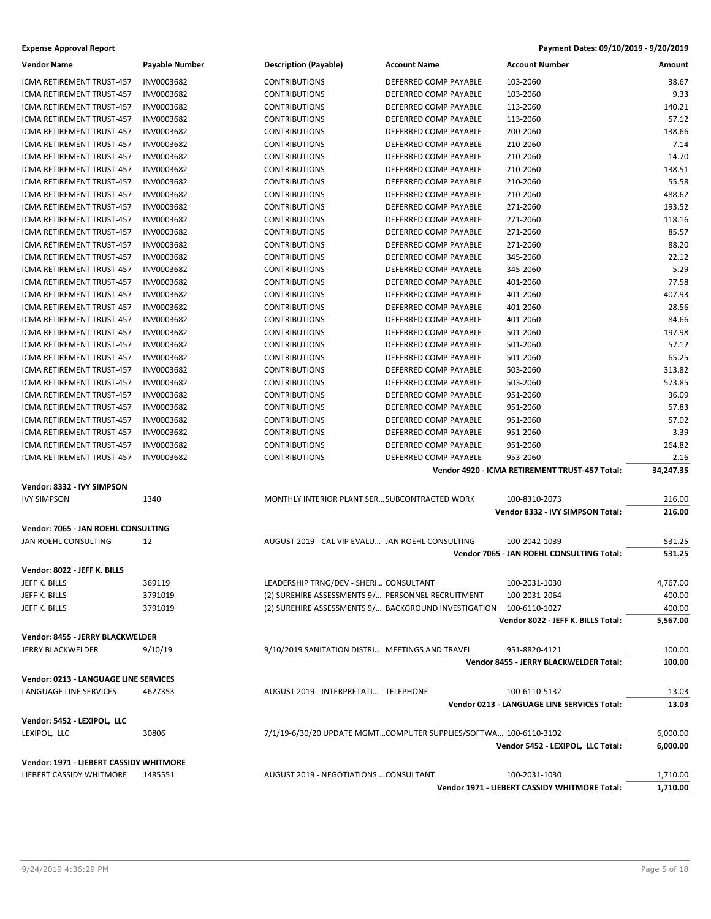| <b>Expense Approval Report</b>                              |                       |                                                                  |                       | Payment Dates: 09/10/2019 - 9/20/2019          |                |
|-------------------------------------------------------------|-----------------------|------------------------------------------------------------------|-----------------------|------------------------------------------------|----------------|
| <b>Vendor Name</b>                                          | <b>Payable Number</b> | <b>Description (Payable)</b>                                     | <b>Account Name</b>   | <b>Account Number</b>                          | Amount         |
| ICMA RETIREMENT TRUST-457                                   | INV0003682            | <b>CONTRIBUTIONS</b>                                             | DEFERRED COMP PAYABLE | 103-2060                                       | 38.67          |
| ICMA RETIREMENT TRUST-457                                   | INV0003682            | <b>CONTRIBUTIONS</b>                                             | DEFERRED COMP PAYABLE | 103-2060                                       | 9.33           |
| ICMA RETIREMENT TRUST-457                                   | INV0003682            | <b>CONTRIBUTIONS</b>                                             | DEFERRED COMP PAYABLE | 113-2060                                       | 140.21         |
| ICMA RETIREMENT TRUST-457                                   | INV0003682            | <b>CONTRIBUTIONS</b>                                             | DEFERRED COMP PAYABLE | 113-2060                                       | 57.12          |
| ICMA RETIREMENT TRUST-457                                   | INV0003682            | <b>CONTRIBUTIONS</b>                                             | DEFERRED COMP PAYABLE | 200-2060                                       | 138.66         |
| ICMA RETIREMENT TRUST-457                                   | INV0003682            | <b>CONTRIBUTIONS</b>                                             | DEFERRED COMP PAYABLE | 210-2060                                       | 7.14           |
| ICMA RETIREMENT TRUST-457                                   | INV0003682            | <b>CONTRIBUTIONS</b>                                             | DEFERRED COMP PAYABLE | 210-2060                                       | 14.70          |
| <b>ICMA RETIREMENT TRUST-457</b>                            | INV0003682            | <b>CONTRIBUTIONS</b>                                             | DEFERRED COMP PAYABLE | 210-2060                                       | 138.51         |
| ICMA RETIREMENT TRUST-457                                   | INV0003682            | <b>CONTRIBUTIONS</b>                                             | DEFERRED COMP PAYABLE | 210-2060                                       | 55.58          |
| ICMA RETIREMENT TRUST-457                                   | INV0003682            | <b>CONTRIBUTIONS</b>                                             | DEFERRED COMP PAYABLE | 210-2060                                       | 488.62         |
| ICMA RETIREMENT TRUST-457                                   | INV0003682            | <b>CONTRIBUTIONS</b>                                             | DEFERRED COMP PAYABLE | 271-2060                                       | 193.52         |
| ICMA RETIREMENT TRUST-457                                   | INV0003682            | <b>CONTRIBUTIONS</b>                                             | DEFERRED COMP PAYABLE | 271-2060                                       | 118.16         |
| ICMA RETIREMENT TRUST-457                                   | INV0003682            | <b>CONTRIBUTIONS</b>                                             | DEFERRED COMP PAYABLE | 271-2060                                       | 85.57          |
| ICMA RETIREMENT TRUST-457                                   | INV0003682            | <b>CONTRIBUTIONS</b>                                             | DEFERRED COMP PAYABLE | 271-2060                                       | 88.20          |
| ICMA RETIREMENT TRUST-457                                   | INV0003682            | <b>CONTRIBUTIONS</b>                                             | DEFERRED COMP PAYABLE | 345-2060                                       | 22.12          |
| ICMA RETIREMENT TRUST-457                                   | INV0003682            | <b>CONTRIBUTIONS</b>                                             | DEFERRED COMP PAYABLE | 345-2060                                       | 5.29           |
| ICMA RETIREMENT TRUST-457                                   | INV0003682            | <b>CONTRIBUTIONS</b>                                             | DEFERRED COMP PAYABLE | 401-2060                                       | 77.58          |
| <b>ICMA RETIREMENT TRUST-457</b>                            | INV0003682            | <b>CONTRIBUTIONS</b>                                             | DEFERRED COMP PAYABLE | 401-2060                                       | 407.93         |
| ICMA RETIREMENT TRUST-457                                   | INV0003682            | <b>CONTRIBUTIONS</b>                                             | DEFERRED COMP PAYABLE | 401-2060                                       | 28.56          |
| ICMA RETIREMENT TRUST-457                                   | INV0003682            | <b>CONTRIBUTIONS</b>                                             | DEFERRED COMP PAYABLE | 401-2060                                       | 84.66          |
| ICMA RETIREMENT TRUST-457                                   | INV0003682            | <b>CONTRIBUTIONS</b>                                             | DEFERRED COMP PAYABLE | 501-2060                                       | 197.98         |
| ICMA RETIREMENT TRUST-457                                   | INV0003682            | <b>CONTRIBUTIONS</b>                                             | DEFERRED COMP PAYABLE | 501-2060                                       | 57.12          |
| <b>ICMA RETIREMENT TRUST-457</b>                            | INV0003682            | <b>CONTRIBUTIONS</b>                                             | DEFERRED COMP PAYABLE | 501-2060                                       | 65.25          |
| ICMA RETIREMENT TRUST-457                                   | INV0003682            | <b>CONTRIBUTIONS</b>                                             | DEFERRED COMP PAYABLE | 503-2060                                       | 313.82         |
| ICMA RETIREMENT TRUST-457                                   | INV0003682            | <b>CONTRIBUTIONS</b>                                             | DEFERRED COMP PAYABLE | 503-2060                                       | 573.85         |
| ICMA RETIREMENT TRUST-457                                   | INV0003682            | <b>CONTRIBUTIONS</b>                                             | DEFERRED COMP PAYABLE | 951-2060                                       | 36.09          |
| ICMA RETIREMENT TRUST-457                                   | INV0003682            | <b>CONTRIBUTIONS</b>                                             | DEFERRED COMP PAYABLE | 951-2060                                       | 57.83          |
| ICMA RETIREMENT TRUST-457                                   | INV0003682            | <b>CONTRIBUTIONS</b>                                             | DEFERRED COMP PAYABLE | 951-2060                                       | 57.02          |
| ICMA RETIREMENT TRUST-457                                   | INV0003682            | <b>CONTRIBUTIONS</b>                                             | DEFERRED COMP PAYABLE | 951-2060                                       | 3.39           |
| ICMA RETIREMENT TRUST-457                                   | INV0003682            | <b>CONTRIBUTIONS</b>                                             | DEFERRED COMP PAYABLE | 951-2060                                       | 264.82         |
| ICMA RETIREMENT TRUST-457                                   | INV0003682            | <b>CONTRIBUTIONS</b>                                             | DEFERRED COMP PAYABLE | 953-2060                                       | 2.16           |
|                                                             |                       |                                                                  |                       | Vendor 4920 - ICMA RETIREMENT TRUST-457 Total: | 34,247.35      |
|                                                             |                       |                                                                  |                       |                                                |                |
| Vendor: 8332 - IVY SIMPSON                                  | 1340                  | MONTHLY INTERIOR PLANT SER SUBCONTRACTED WORK                    |                       | 100-8310-2073                                  | 216.00         |
| <b>IVY SIMPSON</b>                                          |                       |                                                                  |                       | Vendor 8332 - IVY SIMPSON Total:               | 216.00         |
|                                                             |                       |                                                                  |                       |                                                |                |
| Vendor: 7065 - JAN ROEHL CONSULTING<br>JAN ROEHL CONSULTING | 12                    | AUGUST 2019 - CAL VIP EVALU JAN ROEHL CONSULTING                 |                       | 100-2042-1039                                  | 531.25         |
|                                                             |                       |                                                                  |                       | Vendor 7065 - JAN ROEHL CONSULTING Total:      | 531.25         |
|                                                             |                       |                                                                  |                       |                                                |                |
| Vendor: 8022 - JEFF K. BILLS                                |                       |                                                                  |                       |                                                |                |
| JEFF K. BILLS                                               | 369119                | LEADERSHIP TRNG/DEV - SHERI CONSULTANT                           |                       | 100-2031-1030                                  | 4,767.00       |
| JEFF K. BILLS                                               | 3791019               | (2) SUREHIRE ASSESSMENTS 9/ PERSONNEL RECRUITMENT                |                       | 100-2031-2064                                  | 400.00         |
| JEFF K. BILLS                                               | 3791019               | (2) SUREHIRE ASSESSMENTS 9/ BACKGROUND INVESTIGATION             |                       | 100-6110-1027                                  | 400.00         |
|                                                             |                       |                                                                  |                       | Vendor 8022 - JEFF K. BILLS Total:             | 5,567.00       |
| Vendor: 8455 - JERRY BLACKWELDER                            |                       |                                                                  |                       |                                                |                |
| <b>JERRY BLACKWELDER</b>                                    | 9/10/19               | 9/10/2019 SANITATION DISTRI MEETINGS AND TRAVEL                  |                       | 951-8820-4121                                  | 100.00         |
|                                                             |                       |                                                                  |                       | Vendor 8455 - JERRY BLACKWELDER Total:         | 100.00         |
| <b>Vendor: 0213 - LANGUAGE LINE SERVICES</b>                |                       |                                                                  |                       |                                                |                |
| LANGUAGE LINE SERVICES                                      | 4627353               | AUGUST 2019 - INTERPRETATI TELEPHONE                             |                       | 100-6110-5132                                  |                |
|                                                             |                       |                                                                  |                       | Vendor 0213 - LANGUAGE LINE SERVICES Total:    | 13.03<br>13.03 |
|                                                             |                       |                                                                  |                       |                                                |                |
| Vendor: 5452 - LEXIPOL, LLC                                 |                       |                                                                  |                       |                                                |                |
| LEXIPOL, LLC                                                | 30806                 | 7/1/19-6/30/20 UPDATE MGMTCOMPUTER SUPPLIES/SOFTWA 100-6110-3102 |                       |                                                | 6,000.00       |
|                                                             |                       |                                                                  |                       | Vendor 5452 - LEXIPOL, LLC Total:              | 6,000.00       |
| Vendor: 1971 - LIEBERT CASSIDY WHITMORE                     |                       |                                                                  |                       |                                                |                |
| LIEBERT CASSIDY WHITMORE                                    | 1485551               | AUGUST 2019 - NEGOTIATIONS  CONSULTANT                           |                       | 100-2031-1030                                  | 1,710.00       |
|                                                             |                       |                                                                  |                       | Vendor 1971 - LIEBERT CASSIDY WHITMORE Total:  | 1,710.00       |
|                                                             |                       |                                                                  |                       |                                                |                |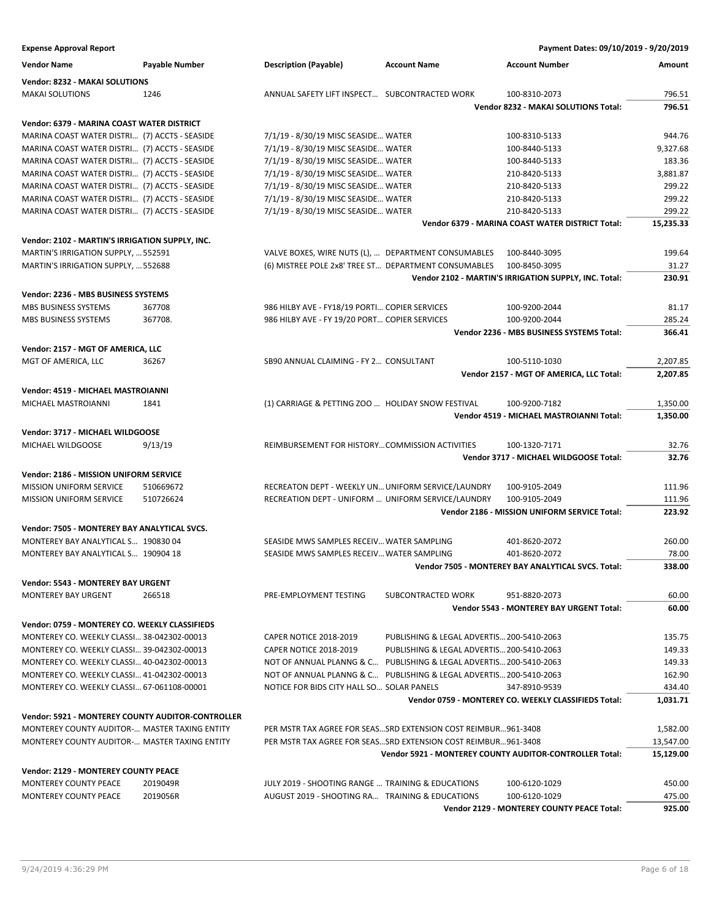| <b>Expense Approval Report</b>                    |                       |                                                      |                                                                    | Payment Dates: 09/10/2019 - 9/20/2019                          |           |
|---------------------------------------------------|-----------------------|------------------------------------------------------|--------------------------------------------------------------------|----------------------------------------------------------------|-----------|
| <b>Vendor Name</b>                                | <b>Payable Number</b> | <b>Description (Payable)</b>                         | <b>Account Name</b>                                                | <b>Account Number</b>                                          | Amount    |
| Vendor: 8232 - MAKAI SOLUTIONS                    |                       |                                                      |                                                                    |                                                                |           |
| <b>MAKAI SOLUTIONS</b>                            | 1246                  | ANNUAL SAFETY LIFT INSPECT SUBCONTRACTED WORK        |                                                                    | 100-8310-2073                                                  | 796.51    |
|                                                   |                       |                                                      |                                                                    | Vendor 8232 - MAKAI SOLUTIONS Total:                           | 796.51    |
| Vendor: 6379 - MARINA COAST WATER DISTRICT        |                       |                                                      |                                                                    |                                                                |           |
| MARINA COAST WATER DISTRI (7) ACCTS - SEASIDE     |                       | 7/1/19 - 8/30/19 MISC SEASIDE WATER                  |                                                                    | 100-8310-5133                                                  | 944.76    |
| MARINA COAST WATER DISTRI (7) ACCTS - SEASIDE     |                       | 7/1/19 - 8/30/19 MISC SEASIDE WATER                  |                                                                    | 100-8440-5133                                                  | 9,327.68  |
| MARINA COAST WATER DISTRI (7) ACCTS - SEASIDE     |                       | 7/1/19 - 8/30/19 MISC SEASIDE WATER                  |                                                                    | 100-8440-5133                                                  | 183.36    |
| MARINA COAST WATER DISTRI (7) ACCTS - SEASIDE     |                       | 7/1/19 - 8/30/19 MISC SEASIDE WATER                  |                                                                    | 210-8420-5133                                                  | 3,881.87  |
| MARINA COAST WATER DISTRI (7) ACCTS - SEASIDE     |                       | 7/1/19 - 8/30/19 MISC SEASIDE WATER                  |                                                                    | 210-8420-5133                                                  | 299.22    |
| MARINA COAST WATER DISTRI (7) ACCTS - SEASIDE     |                       | 7/1/19 - 8/30/19 MISC SEASIDE WATER                  |                                                                    | 210-8420-5133                                                  | 299.22    |
| MARINA COAST WATER DISTRI (7) ACCTS - SEASIDE     |                       | 7/1/19 - 8/30/19 MISC SEASIDE WATER                  |                                                                    | 210-8420-5133                                                  | 299.22    |
|                                                   |                       |                                                      |                                                                    | Vendor 6379 - MARINA COAST WATER DISTRICT Total:               | 15,235.33 |
| Vendor: 2102 - MARTIN'S IRRIGATION SUPPLY, INC.   |                       |                                                      |                                                                    |                                                                |           |
| MARTIN'S IRRIGATION SUPPLY,  552591               |                       | VALVE BOXES, WIRE NUTS (L),  DEPARTMENT CONSUMABLES  |                                                                    | 100-8440-3095                                                  | 199.64    |
| MARTIN'S IRRIGATION SUPPLY,  552688               |                       | (6) MISTREE POLE 2x8' TREE ST DEPARTMENT CONSUMABLES |                                                                    | 100-8450-3095                                                  | 31.27     |
|                                                   |                       |                                                      |                                                                    | Vendor 2102 - MARTIN'S IRRIGATION SUPPLY, INC. Total:          | 230.91    |
| Vendor: 2236 - MBS BUSINESS SYSTEMS               |                       |                                                      |                                                                    |                                                                |           |
| MBS BUSINESS SYSTEMS                              | 367708                | 986 HILBY AVE - FY18/19 PORTI COPIER SERVICES        |                                                                    | 100-9200-2044                                                  | 81.17     |
| MBS BUSINESS SYSTEMS                              | 367708.               | 986 HILBY AVE - FY 19/20 PORT COPIER SERVICES        |                                                                    | 100-9200-2044                                                  | 285.24    |
|                                                   |                       |                                                      |                                                                    | Vendor 2236 - MBS BUSINESS SYSTEMS Total:                      | 366.41    |
| Vendor: 2157 - MGT OF AMERICA, LLC                |                       |                                                      |                                                                    |                                                                |           |
| MGT OF AMERICA, LLC                               | 36267                 | SB90 ANNUAL CLAIMING - FY 2 CONSULTANT               |                                                                    | 100-5110-1030                                                  | 2,207.85  |
|                                                   |                       |                                                      |                                                                    | Vendor 2157 - MGT OF AMERICA, LLC Total:                       | 2.207.85  |
| Vendor: 4519 - MICHAEL MASTROIANNI                |                       |                                                      |                                                                    |                                                                |           |
| MICHAEL MASTROIANNI                               | 1841                  | (1) CARRIAGE & PETTING ZOO  HOLIDAY SNOW FESTIVAL    |                                                                    | 100-9200-7182                                                  | 1,350.00  |
|                                                   |                       |                                                      |                                                                    | Vendor 4519 - MICHAEL MASTROIANNI Total:                       | 1,350.00  |
| Vendor: 3717 - MICHAEL WILDGOOSE                  |                       |                                                      |                                                                    |                                                                |           |
| MICHAEL WILDGOOSE                                 | 9/13/19               | REIMBURSEMENT FOR HISTORYCOMMISSION ACTIVITIES       |                                                                    | 100-1320-7171                                                  | 32.76     |
|                                                   |                       |                                                      |                                                                    | Vendor 3717 - MICHAEL WILDGOOSE Total:                         | 32.76     |
| Vendor: 2186 - MISSION UNIFORM SERVICE            |                       |                                                      |                                                                    |                                                                |           |
| MISSION UNIFORM SERVICE                           | 510669672             | RECREATON DEPT - WEEKLY UN UNIFORM SERVICE/LAUNDRY   |                                                                    | 100-9105-2049                                                  | 111.96    |
| MISSION UNIFORM SERVICE                           | 510726624             | RECREATION DEPT - UNIFORM  UNIFORM SERVICE/LAUNDRY   |                                                                    | 100-9105-2049                                                  | 111.96    |
|                                                   |                       |                                                      |                                                                    | Vendor 2186 - MISSION UNIFORM SERVICE Total:                   | 223.92    |
| Vendor: 7505 - MONTEREY BAY ANALYTICAL SVCS.      |                       |                                                      |                                                                    |                                                                |           |
| MONTEREY BAY ANALYTICAL S 190830 04               |                       | SEASIDE MWS SAMPLES RECEIV WATER SAMPLING            |                                                                    | 401-8620-2072                                                  | 260.00    |
| MONTEREY BAY ANALYTICAL S 190904 18               |                       | SEASIDE MWS SAMPLES RECEIV WATER SAMPLING            |                                                                    | 401-8620-2072                                                  | 78.00     |
|                                                   |                       |                                                      |                                                                    | Vendor 7505 - MONTEREY BAY ANALYTICAL SVCS. Total:             | 338.00    |
| Vendor: 5543 - MONTEREY BAY URGENT                |                       |                                                      |                                                                    |                                                                |           |
| <b>MONTEREY BAY URGENT</b>                        | 266518                | PRE-EMPLOYMENT TESTING                               | SUBCONTRACTED WORK                                                 | 951-8820-2073                                                  | 60.00     |
|                                                   |                       |                                                      |                                                                    | <b>Vendor 5543 - MONTEREY BAY URGENT Total:</b>                | 60.00     |
| Vendor: 0759 - MONTEREY CO. WEEKLY CLASSIFIEDS    |                       |                                                      |                                                                    |                                                                |           |
| MONTEREY CO. WEEKLY CLASSI 38-042302-00013        |                       | <b>CAPER NOTICE 2018-2019</b>                        | PUBLISHING & LEGAL ADVERTIS 200-5410-2063                          |                                                                | 135.75    |
| MONTEREY CO. WEEKLY CLASSI 39-042302-00013        |                       | <b>CAPER NOTICE 2018-2019</b>                        | PUBLISHING & LEGAL ADVERTIS 200-5410-2063                          |                                                                | 149.33    |
| MONTEREY CO. WEEKLY CLASSI 40-042302-00013        |                       |                                                      | NOT OF ANNUAL PLANNG & C PUBLISHING & LEGAL ADVERTIS 200-5410-2063 |                                                                | 149.33    |
| MONTEREY CO. WEEKLY CLASSI 41-042302-00013        |                       |                                                      | NOT OF ANNUAL PLANNG & C PUBLISHING & LEGAL ADVERTIS 200-5410-2063 |                                                                | 162.90    |
| MONTEREY CO. WEEKLY CLASSI 67-061108-00001        |                       | NOTICE FOR BIDS CITY HALL SO SOLAR PANELS            |                                                                    | 347-8910-9539                                                  | 434.40    |
|                                                   |                       |                                                      |                                                                    | Vendor 0759 - MONTEREY CO. WEEKLY CLASSIFIEDS Total:           | 1,031.71  |
| Vendor: 5921 - MONTEREY COUNTY AUDITOR-CONTROLLER |                       |                                                      |                                                                    |                                                                |           |
| MONTEREY COUNTY AUDITOR- MASTER TAXING ENTITY     |                       |                                                      | PER MSTR TAX AGREE FOR SEAS SRD EXTENSION COST REIMBUR 961-3408    |                                                                | 1,582.00  |
| MONTEREY COUNTY AUDITOR- MASTER TAXING ENTITY     |                       |                                                      | PER MSTR TAX AGREE FOR SEAS SRD EXTENSION COST REIMBUR 961-3408    |                                                                | 13,547.00 |
|                                                   |                       |                                                      |                                                                    | <b>Vendor 5921 - MONTEREY COUNTY AUDITOR-CONTROLLER Total:</b> | 15,129.00 |
| <b>Vendor: 2129 - MONTEREY COUNTY PEACE</b>       |                       |                                                      |                                                                    |                                                                |           |
| MONTEREY COUNTY PEACE                             | 2019049R              | JULY 2019 - SHOOTING RANGE  TRAINING & EDUCATIONS    |                                                                    | 100-6120-1029                                                  | 450.00    |
| MONTEREY COUNTY PEACE                             | 2019056R              | AUGUST 2019 - SHOOTING RA TRAINING & EDUCATIONS      |                                                                    | 100-6120-1029                                                  | 475.00    |
|                                                   |                       |                                                      |                                                                    | Vendor 2129 - MONTEREY COUNTY PEACE Total:                     | 925.00    |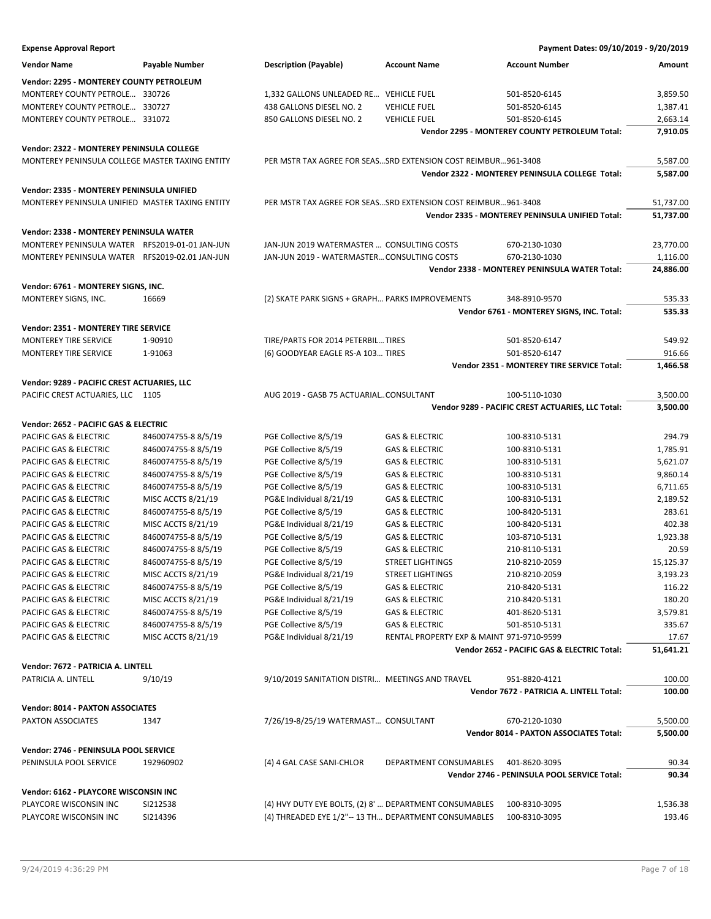| <b>Expense Approval Report</b>                  |                       |                                                                 |                                           | Payment Dates: 09/10/2019 - 9/20/2019                          |           |
|-------------------------------------------------|-----------------------|-----------------------------------------------------------------|-------------------------------------------|----------------------------------------------------------------|-----------|
| <b>Vendor Name</b>                              | <b>Payable Number</b> | <b>Description (Payable)</b>                                    | <b>Account Name</b>                       | <b>Account Number</b>                                          | Amount    |
| Vendor: 2295 - MONTEREY COUNTY PETROLEUM        |                       |                                                                 |                                           |                                                                |           |
| MONTEREY COUNTY PETROLE 330726                  |                       | 1,332 GALLONS UNLEADED RE VEHICLE FUEL                          |                                           | 501-8520-6145                                                  | 3,859.50  |
| MONTEREY COUNTY PETROLE 330727                  |                       | 438 GALLONS DIESEL NO. 2                                        | <b>VEHICLE FUEL</b>                       | 501-8520-6145                                                  | 1,387.41  |
| MONTEREY COUNTY PETROLE 331072                  |                       | 850 GALLONS DIESEL NO. 2                                        | <b>VEHICLE FUEL</b>                       | 501-8520-6145                                                  | 2,663.14  |
|                                                 |                       |                                                                 |                                           | Vendor 2295 - MONTEREY COUNTY PETROLEUM Total:                 | 7,910.05  |
| Vendor: 2322 - MONTEREY PENINSULA COLLEGE       |                       |                                                                 |                                           |                                                                |           |
| MONTEREY PENINSULA COLLEGE MASTER TAXING ENTITY |                       | PER MSTR TAX AGREE FOR SEASSRD EXTENSION COST REIMBUR961-3408   |                                           |                                                                | 5,587.00  |
|                                                 |                       |                                                                 |                                           | Vendor 2322 - MONTEREY PENINSULA COLLEGE Total:                | 5,587.00  |
| Vendor: 2335 - MONTEREY PENINSULA UNIFIED       |                       |                                                                 |                                           |                                                                |           |
| MONTEREY PENINSULA UNIFIED MASTER TAXING ENTITY |                       | PER MSTR TAX AGREE FOR SEAS SRD EXTENSION COST REIMBUR 961-3408 |                                           |                                                                | 51,737.00 |
|                                                 |                       |                                                                 |                                           | Vendor 2335 - MONTEREY PENINSULA UNIFIED Total:                | 51,737.00 |
|                                                 |                       |                                                                 |                                           |                                                                |           |
| Vendor: 2338 - MONTEREY PENINSULA WATER         |                       |                                                                 |                                           |                                                                |           |
| MONTEREY PENINSULA WATER RFS2019-01-01 JAN-JUN  |                       | JAN-JUN 2019 WATERMASTER  CONSULTING COSTS                      |                                           | 670-2130-1030                                                  | 23,770.00 |
| MONTEREY PENINSULA WATER RFS2019-02.01 JAN-JUN  |                       | JAN-JUN 2019 - WATERMASTER CONSULTING COSTS                     |                                           | 670-2130-1030<br>Vendor 2338 - MONTEREY PENINSULA WATER Total: | 1,116.00  |
|                                                 |                       |                                                                 |                                           |                                                                | 24,886.00 |
| Vendor: 6761 - MONTEREY SIGNS, INC.             |                       |                                                                 |                                           |                                                                |           |
| MONTEREY SIGNS, INC.                            | 16669                 | (2) SKATE PARK SIGNS + GRAPH PARKS IMPROVEMENTS                 |                                           | 348-8910-9570                                                  | 535.33    |
|                                                 |                       |                                                                 |                                           | Vendor 6761 - MONTEREY SIGNS, INC. Total:                      | 535.33    |
| <b>Vendor: 2351 - MONTEREY TIRE SERVICE</b>     |                       |                                                                 |                                           |                                                                |           |
| <b>MONTEREY TIRE SERVICE</b>                    | 1-90910               | TIRE/PARTS FOR 2014 PETERBIL TIRES                              |                                           | 501-8520-6147                                                  | 549.92    |
| MONTEREY TIRE SERVICE                           | 1-91063               | (6) GOODYEAR EAGLE RS-A 103 TIRES                               |                                           | 501-8520-6147                                                  | 916.66    |
|                                                 |                       |                                                                 |                                           | Vendor 2351 - MONTEREY TIRE SERVICE Total:                     | 1,466.58  |
| Vendor: 9289 - PACIFIC CREST ACTUARIES, LLC     |                       |                                                                 |                                           |                                                                |           |
| PACIFIC CREST ACTUARIES, LLC 1105               |                       | AUG 2019 - GASB 75 ACTUARIALCONSULTANT                          |                                           | 100-5110-1030                                                  | 3,500.00  |
|                                                 |                       |                                                                 |                                           | Vendor 9289 - PACIFIC CREST ACTUARIES, LLC Total:              | 3,500.00  |
| Vendor: 2652 - PACIFIC GAS & ELECTRIC           |                       |                                                                 |                                           |                                                                |           |
| PACIFIC GAS & ELECTRIC                          | 8460074755-88/5/19    | PGE Collective 8/5/19                                           | <b>GAS &amp; ELECTRIC</b>                 | 100-8310-5131                                                  | 294.79    |
| PACIFIC GAS & ELECTRIC                          | 8460074755-88/5/19    | PGE Collective 8/5/19                                           | <b>GAS &amp; ELECTRIC</b>                 | 100-8310-5131                                                  | 1,785.91  |
| PACIFIC GAS & ELECTRIC                          | 8460074755-88/5/19    | PGE Collective 8/5/19                                           | <b>GAS &amp; ELECTRIC</b>                 | 100-8310-5131                                                  | 5,621.07  |
| PACIFIC GAS & ELECTRIC                          | 8460074755-88/5/19    | PGE Collective 8/5/19                                           | <b>GAS &amp; ELECTRIC</b>                 | 100-8310-5131                                                  | 9,860.14  |
| PACIFIC GAS & ELECTRIC                          | 8460074755-88/5/19    | PGE Collective 8/5/19                                           | <b>GAS &amp; ELECTRIC</b>                 | 100-8310-5131                                                  | 6,711.65  |
| PACIFIC GAS & ELECTRIC                          | MISC ACCTS 8/21/19    | PG&E Individual 8/21/19                                         | GAS & ELECTRIC                            | 100-8310-5131                                                  | 2,189.52  |
| PACIFIC GAS & ELECTRIC                          | 8460074755-88/5/19    | PGE Collective 8/5/19                                           | GAS & ELECTRIC                            | 100-8420-5131                                                  | 283.61    |
| PACIFIC GAS & ELECTRIC                          | MISC ACCTS 8/21/19    | PG&E Individual 8/21/19                                         | <b>GAS &amp; ELECTRIC</b>                 | 100-8420-5131                                                  | 402.38    |
| PACIFIC GAS & ELECTRIC                          | 8460074755-88/5/19    | PGE Collective 8/5/19                                           | <b>GAS &amp; ELECTRIC</b>                 | 103-8710-5131                                                  | 1,923.38  |
| <b>PACIFIC GAS &amp; ELECTRIC</b>               | 8460074755-88/5/19    | PGE Collective 8/5/19                                           | <b>GAS &amp; ELECTRIC</b>                 | 210-8110-5131                                                  | 20.59     |
| PACIFIC GAS & ELECTRIC                          | 8460074755-88/5/19    | PGE Collective 8/5/19                                           | <b>STREET LIGHTINGS</b>                   | 210-8210-2059                                                  | 15,125.37 |
| PACIFIC GAS & ELECTRIC                          | MISC ACCTS 8/21/19    | PG&E Individual 8/21/19                                         | <b>STREET LIGHTINGS</b>                   | 210-8210-2059                                                  | 3,193.23  |
| PACIFIC GAS & ELECTRIC                          | 8460074755-88/5/19    | PGE Collective 8/5/19                                           | <b>GAS &amp; ELECTRIC</b>                 | 210-8420-5131                                                  | 116.22    |
| PACIFIC GAS & ELECTRIC                          | MISC ACCTS 8/21/19    | PG&E Individual 8/21/19                                         | <b>GAS &amp; ELECTRIC</b>                 | 210-8420-5131                                                  | 180.20    |
| PACIFIC GAS & ELECTRIC                          | 8460074755-8 8/5/19   | PGE Collective 8/5/19                                           | <b>GAS &amp; ELECTRIC</b>                 | 401-8620-5131                                                  | 3,579.81  |
| PACIFIC GAS & ELECTRIC                          | 8460074755-88/5/19    | PGE Collective 8/5/19                                           | <b>GAS &amp; ELECTRIC</b>                 | 501-8510-5131                                                  | 335.67    |
| PACIFIC GAS & ELECTRIC                          | MISC ACCTS 8/21/19    | PG&E Individual 8/21/19                                         | RENTAL PROPERTY EXP & MAINT 971-9710-9599 |                                                                | 17.67     |
|                                                 |                       |                                                                 |                                           | Vendor 2652 - PACIFIC GAS & ELECTRIC Total:                    | 51,641.21 |
| Vendor: 7672 - PATRICIA A. LINTELL              |                       |                                                                 |                                           |                                                                |           |
| PATRICIA A. LINTELL                             | 9/10/19               | 9/10/2019 SANITATION DISTRI MEETINGS AND TRAVEL                 |                                           | 951-8820-4121                                                  | 100.00    |
|                                                 |                       |                                                                 |                                           | Vendor 7672 - PATRICIA A. LINTELL Total:                       | 100.00    |
| <b>Vendor: 8014 - PAXTON ASSOCIATES</b>         |                       |                                                                 |                                           |                                                                |           |
| PAXTON ASSOCIATES                               | 1347                  | 7/26/19-8/25/19 WATERMAST CONSULTANT                            |                                           | 670-2120-1030                                                  | 5,500.00  |
|                                                 |                       |                                                                 |                                           | <b>Vendor 8014 - PAXTON ASSOCIATES Total:</b>                  | 5,500.00  |
|                                                 |                       |                                                                 |                                           |                                                                |           |
| Vendor: 2746 - PENINSULA POOL SERVICE           |                       |                                                                 |                                           |                                                                |           |
| PENINSULA POOL SERVICE                          | 192960902             | (4) 4 GAL CASE SANI-CHLOR                                       | DEPARTMENT CONSUMABLES                    | 401-8620-3095                                                  | 90.34     |
|                                                 |                       |                                                                 |                                           | Vendor 2746 - PENINSULA POOL SERVICE Total:                    | 90.34     |
| Vendor: 6162 - PLAYCORE WISCONSIN INC           |                       |                                                                 |                                           |                                                                |           |
| PLAYCORE WISCONSIN INC                          | SI212538              | (4) HVY DUTY EYE BOLTS, (2) 8'  DEPARTMENT CONSUMABLES          |                                           | 100-8310-3095                                                  | 1,536.38  |
| PLAYCORE WISCONSIN INC                          | SI214396              | (4) THREADED EYE 1/2"-- 13 TH DEPARTMENT CONSUMABLES            |                                           | 100-8310-3095                                                  | 193.46    |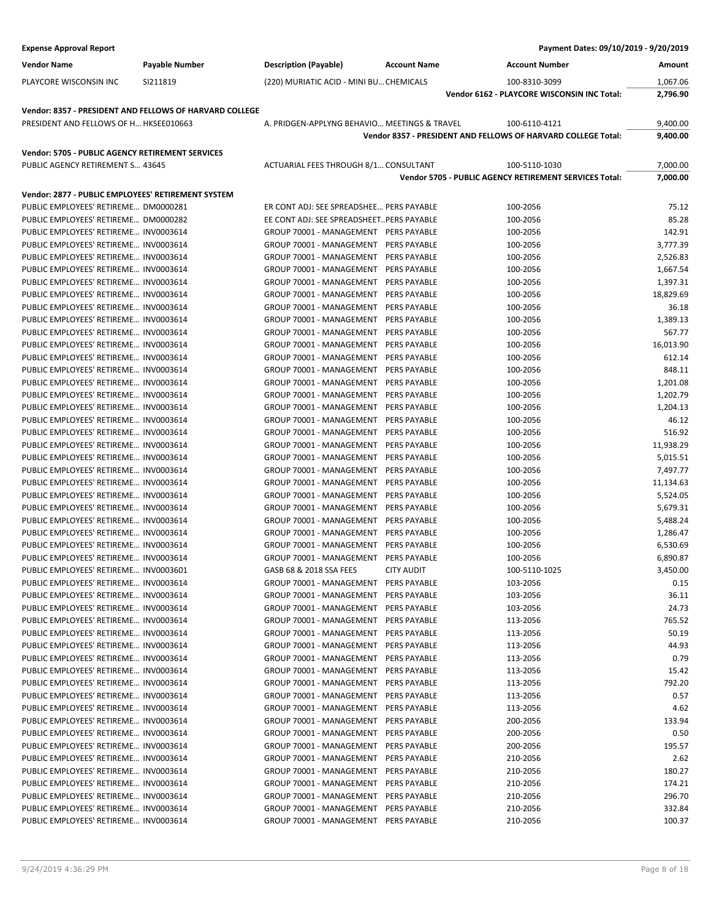| <b>Expense Approval Report</b>                                                 |                                                         |                                                                                |                     | Payment Dates: 09/10/2019 - 9/20/2019                         |                |
|--------------------------------------------------------------------------------|---------------------------------------------------------|--------------------------------------------------------------------------------|---------------------|---------------------------------------------------------------|----------------|
| <b>Vendor Name</b>                                                             | Payable Number                                          | <b>Description (Payable)</b>                                                   | <b>Account Name</b> | <b>Account Number</b>                                         | Amount         |
| PLAYCORE WISCONSIN INC                                                         | SI211819                                                | (220) MURIATIC ACID - MINI BU CHEMICALS                                        |                     | 100-8310-3099                                                 | 1,067.06       |
|                                                                                |                                                         |                                                                                |                     | Vendor 6162 - PLAYCORE WISCONSIN INC Total:                   | 2,796.90       |
|                                                                                | Vendor: 8357 - PRESIDENT AND FELLOWS OF HARVARD COLLEGE |                                                                                |                     |                                                               |                |
| PRESIDENT AND FELLOWS OF H HKSEE010663                                         |                                                         | A. PRIDGEN-APPLYNG BEHAVIO MEETINGS & TRAVEL                                   |                     | 100-6110-4121                                                 | 9,400.00       |
|                                                                                |                                                         |                                                                                |                     | Vendor 8357 - PRESIDENT AND FELLOWS OF HARVARD COLLEGE Total: | 9,400.00       |
| Vendor: 5705 - PUBLIC AGENCY RETIREMENT SERVICES                               |                                                         |                                                                                |                     |                                                               |                |
| PUBLIC AGENCY RETIREMENT S 43645                                               |                                                         | ACTUARIAL FEES THROUGH 8/1 CONSULTANT                                          |                     | 100-5110-1030                                                 | 7,000.00       |
|                                                                                |                                                         |                                                                                |                     | Vendor 5705 - PUBLIC AGENCY RETIREMENT SERVICES Total:        | 7,000.00       |
| Vendor: 2877 - PUBLIC EMPLOYEES' RETIREMENT SYSTEM                             |                                                         |                                                                                |                     |                                                               |                |
| PUBLIC EMPLOYEES' RETIREME DM0000281                                           |                                                         | ER CONT ADJ: SEE SPREADSHEE PERS PAYABLE                                       |                     | 100-2056                                                      | 75.12          |
| PUBLIC EMPLOYEES' RETIREME  DM0000282                                          |                                                         | EE CONT ADJ: SEE SPREADSHEET PERS PAYABLE                                      |                     | 100-2056                                                      | 85.28          |
| PUBLIC EMPLOYEES' RETIREME INV0003614                                          |                                                         | GROUP 70001 - MANAGEMENT PERS PAYABLE                                          |                     | 100-2056                                                      | 142.91         |
| PUBLIC EMPLOYEES' RETIREME INV0003614                                          |                                                         | GROUP 70001 - MANAGEMENT PERS PAYABLE                                          |                     | 100-2056                                                      | 3,777.39       |
| PUBLIC EMPLOYEES' RETIREME INV0003614                                          |                                                         | GROUP 70001 - MANAGEMENT PERS PAYABLE                                          |                     | 100-2056                                                      | 2,526.83       |
| PUBLIC EMPLOYEES' RETIREME INV0003614                                          |                                                         | GROUP 70001 - MANAGEMENT PERS PAYABLE                                          |                     | 100-2056                                                      | 1,667.54       |
| PUBLIC EMPLOYEES' RETIREME INV0003614                                          |                                                         | GROUP 70001 - MANAGEMENT PERS PAYABLE                                          |                     | 100-2056                                                      | 1,397.31       |
| PUBLIC EMPLOYEES' RETIREME INV0003614                                          |                                                         | GROUP 70001 - MANAGEMENT PERS PAYABLE                                          |                     | 100-2056                                                      | 18,829.69      |
| PUBLIC EMPLOYEES' RETIREME INV0003614                                          |                                                         | GROUP 70001 - MANAGEMENT PERS PAYABLE                                          |                     | 100-2056                                                      | 36.18          |
| PUBLIC EMPLOYEES' RETIREME INV0003614                                          |                                                         | GROUP 70001 - MANAGEMENT PERS PAYABLE                                          |                     | 100-2056                                                      | 1,389.13       |
| PUBLIC EMPLOYEES' RETIREME INV0003614                                          |                                                         | GROUP 70001 - MANAGEMENT PERS PAYABLE                                          |                     | 100-2056                                                      | 567.77         |
| PUBLIC EMPLOYEES' RETIREME INV0003614                                          |                                                         | GROUP 70001 - MANAGEMENT PERS PAYABLE                                          |                     | 100-2056                                                      | 16,013.90      |
| PUBLIC EMPLOYEES' RETIREME INV0003614                                          |                                                         | GROUP 70001 - MANAGEMENT PERS PAYABLE                                          |                     | 100-2056                                                      | 612.14         |
| PUBLIC EMPLOYEES' RETIREME INV0003614                                          |                                                         | GROUP 70001 - MANAGEMENT PERS PAYABLE                                          |                     | 100-2056                                                      | 848.11         |
| PUBLIC EMPLOYEES' RETIREME INV0003614                                          |                                                         | GROUP 70001 - MANAGEMENT PERS PAYABLE                                          |                     | 100-2056                                                      | 1,201.08       |
| PUBLIC EMPLOYEES' RETIREME INV0003614                                          |                                                         | GROUP 70001 - MANAGEMENT PERS PAYABLE                                          |                     | 100-2056                                                      | 1,202.79       |
| PUBLIC EMPLOYEES' RETIREME INV0003614                                          |                                                         | GROUP 70001 - MANAGEMENT                                                       | PERS PAYABLE        | 100-2056                                                      | 1,204.13       |
| PUBLIC EMPLOYEES' RETIREME INV0003614                                          |                                                         | GROUP 70001 - MANAGEMENT PERS PAYABLE                                          |                     | 100-2056                                                      | 46.12          |
| PUBLIC EMPLOYEES' RETIREME INV0003614                                          |                                                         | GROUP 70001 - MANAGEMENT PERS PAYABLE                                          |                     | 100-2056                                                      | 516.92         |
| PUBLIC EMPLOYEES' RETIREME INV0003614                                          |                                                         | GROUP 70001 - MANAGEMENT                                                       | PERS PAYABLE        | 100-2056                                                      | 11,938.29      |
| PUBLIC EMPLOYEES' RETIREME INV0003614                                          |                                                         | GROUP 70001 - MANAGEMENT                                                       | PERS PAYABLE        | 100-2056                                                      | 5,015.51       |
| PUBLIC EMPLOYEES' RETIREME INV0003614                                          |                                                         | GROUP 70001 - MANAGEMENT PERS PAYABLE                                          |                     | 100-2056                                                      | 7,497.77       |
| PUBLIC EMPLOYEES' RETIREME INV0003614                                          |                                                         | GROUP 70001 - MANAGEMENT PERS PAYABLE                                          |                     | 100-2056                                                      | 11,134.63      |
| PUBLIC EMPLOYEES' RETIREME INV0003614                                          |                                                         | GROUP 70001 - MANAGEMENT PERS PAYABLE                                          |                     | 100-2056                                                      | 5,524.05       |
| PUBLIC EMPLOYEES' RETIREME INV0003614                                          |                                                         | GROUP 70001 - MANAGEMENT PERS PAYABLE                                          |                     | 100-2056                                                      | 5,679.31       |
| PUBLIC EMPLOYEES' RETIREME INV0003614                                          |                                                         | GROUP 70001 - MANAGEMENT PERS PAYABLE                                          |                     | 100-2056                                                      | 5,488.24       |
| PUBLIC EMPLOYEES' RETIREME INV0003614                                          |                                                         | GROUP 70001 - MANAGEMENT PERS PAYABLE                                          |                     | 100-2056                                                      | 1,286.47       |
| PUBLIC EMPLOYEES' RETIREME INV0003614                                          |                                                         | GROUP 70001 - MANAGEMENT PERS PAYABLE                                          |                     | 100-2056                                                      | 6,530.69       |
| PUBLIC EMPLOYEES' RETIREME INV0003614                                          |                                                         | GROUP 70001 - MANAGEMENT PERS PAYABLE                                          |                     | 100-2056                                                      | 6,890.87       |
| PUBLIC EMPLOYEES' RETIREME INV0003601                                          |                                                         | GASB 68 & 2018 SSA FEES                                                        | <b>CITY AUDIT</b>   | 100-5110-1025                                                 | 3,450.00       |
| PUBLIC EMPLOYEES' RETIREME INV0003614                                          |                                                         | GROUP 70001 - MANAGEMENT                                                       | <b>PERS PAYABLE</b> | 103-2056                                                      | 0.15           |
| PUBLIC EMPLOYEES' RETIREME INV0003614                                          |                                                         | GROUP 70001 - MANAGEMENT                                                       | PERS PAYABLE        | 103-2056                                                      | 36.11          |
| PUBLIC EMPLOYEES' RETIREME INV0003614                                          |                                                         | GROUP 70001 - MANAGEMENT PERS PAYABLE                                          |                     | 103-2056                                                      | 24.73          |
| PUBLIC EMPLOYEES' RETIREME INV0003614                                          |                                                         | GROUP 70001 - MANAGEMENT PERS PAYABLE                                          |                     | 113-2056                                                      | 765.52         |
| PUBLIC EMPLOYEES' RETIREME INV0003614                                          |                                                         | GROUP 70001 - MANAGEMENT PERS PAYABLE                                          |                     | 113-2056                                                      | 50.19          |
| PUBLIC EMPLOYEES' RETIREME INV0003614                                          |                                                         | GROUP 70001 - MANAGEMENT                                                       | PERS PAYABLE        | 113-2056                                                      | 44.93          |
| PUBLIC EMPLOYEES' RETIREME INV0003614                                          |                                                         | GROUP 70001 - MANAGEMENT PERS PAYABLE                                          |                     | 113-2056                                                      | 0.79           |
| PUBLIC EMPLOYEES' RETIREME INV0003614                                          |                                                         | GROUP 70001 - MANAGEMENT PERS PAYABLE                                          |                     | 113-2056                                                      | 15.42          |
| PUBLIC EMPLOYEES' RETIREME INV0003614                                          |                                                         | GROUP 70001 - MANAGEMENT PERS PAYABLE                                          |                     | 113-2056                                                      | 792.20         |
| PUBLIC EMPLOYEES' RETIREME INV0003614                                          |                                                         | GROUP 70001 - MANAGEMENT                                                       | PERS PAYABLE        | 113-2056                                                      | 0.57<br>4.62   |
| PUBLIC EMPLOYEES' RETIREME INV0003614                                          |                                                         | GROUP 70001 - MANAGEMENT PERS PAYABLE                                          |                     | 113-2056                                                      | 133.94         |
| PUBLIC EMPLOYEES' RETIREME INV0003614                                          |                                                         | GROUP 70001 - MANAGEMENT PERS PAYABLE                                          |                     | 200-2056                                                      | 0.50           |
| PUBLIC EMPLOYEES' RETIREME INV0003614                                          |                                                         | GROUP 70001 - MANAGEMENT PERS PAYABLE                                          |                     | 200-2056                                                      |                |
| PUBLIC EMPLOYEES' RETIREME INV0003614                                          |                                                         | GROUP 70001 - MANAGEMENT PERS PAYABLE                                          |                     | 200-2056                                                      | 195.57         |
| PUBLIC EMPLOYEES' RETIREME INV0003614<br>PUBLIC EMPLOYEES' RETIREME INV0003614 |                                                         | GROUP 70001 - MANAGEMENT PERS PAYABLE                                          |                     | 210-2056                                                      | 2.62<br>180.27 |
|                                                                                |                                                         | GROUP 70001 - MANAGEMENT                                                       | PERS PAYABLE        | 210-2056                                                      | 174.21         |
| PUBLIC EMPLOYEES' RETIREME INV0003614<br>PUBLIC EMPLOYEES' RETIREME INV0003614 |                                                         | GROUP 70001 - MANAGEMENT PERS PAYABLE<br>GROUP 70001 - MANAGEMENT PERS PAYABLE |                     | 210-2056<br>210-2056                                          | 296.70         |
| PUBLIC EMPLOYEES' RETIREME INV0003614                                          |                                                         | GROUP 70001 - MANAGEMENT                                                       | PERS PAYABLE        | 210-2056                                                      | 332.84         |
| PUBLIC EMPLOYEES' RETIREME INV0003614                                          |                                                         | GROUP 70001 - MANAGEMENT PERS PAYABLE                                          |                     | 210-2056                                                      | 100.37         |
|                                                                                |                                                         |                                                                                |                     |                                                               |                |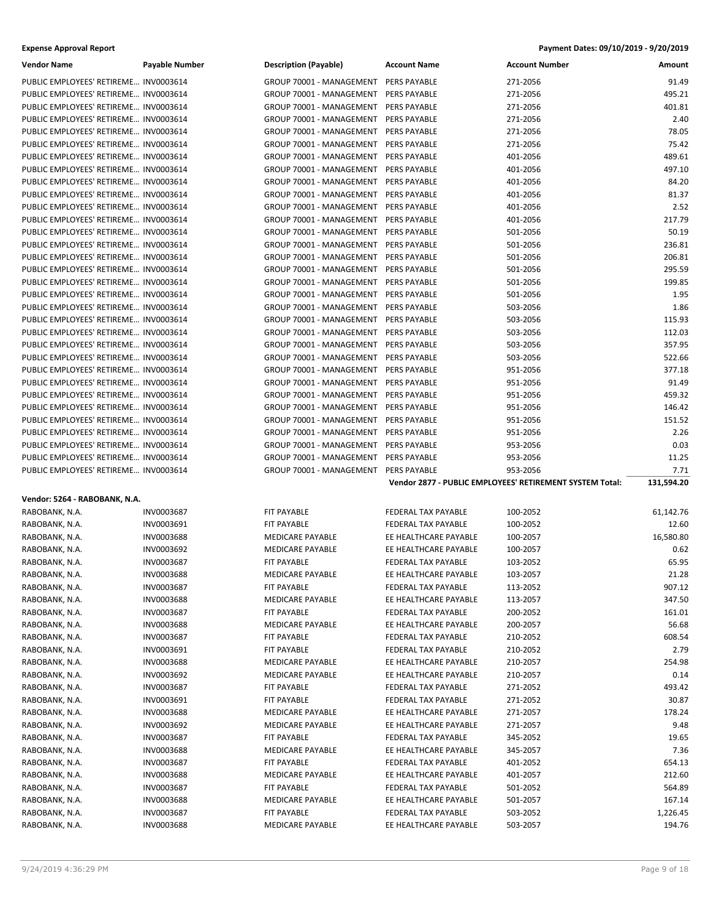| <b>Vendor Name</b>                    | Payable Number           | <b>Description (Payable)</b>          | <b>Account Name</b>                          | <b>Account Number</b>                                    | Amount             |
|---------------------------------------|--------------------------|---------------------------------------|----------------------------------------------|----------------------------------------------------------|--------------------|
| PUBLIC EMPLOYEES' RETIREME INV0003614 |                          | GROUP 70001 - MANAGEMENT PERS PAYABLE |                                              | 271-2056                                                 | 91.49              |
| PUBLIC EMPLOYEES' RETIREME INV0003614 |                          | GROUP 70001 - MANAGEMENT PERS PAYABLE |                                              | 271-2056                                                 | 495.21             |
| PUBLIC EMPLOYEES' RETIREME INV0003614 |                          | GROUP 70001 - MANAGEMENT PERS PAYABLE |                                              | 271-2056                                                 | 401.81             |
| PUBLIC EMPLOYEES' RETIREME INV0003614 |                          | GROUP 70001 - MANAGEMENT PERS PAYABLE |                                              | 271-2056                                                 | 2.40               |
| PUBLIC EMPLOYEES' RETIREME INV0003614 |                          | GROUP 70001 - MANAGEMENT PERS PAYABLE |                                              | 271-2056                                                 | 78.05              |
| PUBLIC EMPLOYEES' RETIREME INV0003614 |                          | GROUP 70001 - MANAGEMENT PERS PAYABLE |                                              | 271-2056                                                 | 75.42              |
| PUBLIC EMPLOYEES' RETIREME INV0003614 |                          | GROUP 70001 - MANAGEMENT PERS PAYABLE |                                              | 401-2056                                                 | 489.61             |
| PUBLIC EMPLOYEES' RETIREME INV0003614 |                          | GROUP 70001 - MANAGEMENT PERS PAYABLE |                                              | 401-2056                                                 | 497.10             |
| PUBLIC EMPLOYEES' RETIREME INV0003614 |                          | GROUP 70001 - MANAGEMENT PERS PAYABLE |                                              | 401-2056                                                 | 84.20              |
| PUBLIC EMPLOYEES' RETIREME INV0003614 |                          | GROUP 70001 - MANAGEMENT PERS PAYABLE |                                              | 401-2056                                                 | 81.37              |
| PUBLIC EMPLOYEES' RETIREME INV0003614 |                          | GROUP 70001 - MANAGEMENT PERS PAYABLE |                                              | 401-2056                                                 | 2.52               |
| PUBLIC EMPLOYEES' RETIREME INV0003614 |                          | GROUP 70001 - MANAGEMENT PERS PAYABLE |                                              | 401-2056                                                 | 217.79             |
| PUBLIC EMPLOYEES' RETIREME INV0003614 |                          | GROUP 70001 - MANAGEMENT PERS PAYABLE |                                              | 501-2056                                                 | 50.19              |
| PUBLIC EMPLOYEES' RETIREME INV0003614 |                          | GROUP 70001 - MANAGEMENT PERS PAYABLE |                                              | 501-2056                                                 | 236.81             |
| PUBLIC EMPLOYEES' RETIREME INV0003614 |                          | GROUP 70001 - MANAGEMENT PERS PAYABLE |                                              | 501-2056                                                 | 206.81             |
| PUBLIC EMPLOYEES' RETIREME INV0003614 |                          | GROUP 70001 - MANAGEMENT PERS PAYABLE |                                              | 501-2056                                                 | 295.59             |
| PUBLIC EMPLOYEES' RETIREME INV0003614 |                          | GROUP 70001 - MANAGEMENT PERS PAYABLE |                                              |                                                          | 199.85             |
|                                       |                          |                                       |                                              | 501-2056<br>501-2056                                     | 1.95               |
| PUBLIC EMPLOYEES' RETIREME INV0003614 |                          | GROUP 70001 - MANAGEMENT PERS PAYABLE |                                              |                                                          | 1.86               |
| PUBLIC EMPLOYEES' RETIREME INV0003614 |                          | GROUP 70001 - MANAGEMENT PERS PAYABLE |                                              | 503-2056                                                 |                    |
| PUBLIC EMPLOYEES' RETIREME INV0003614 |                          | GROUP 70001 - MANAGEMENT PERS PAYABLE |                                              | 503-2056                                                 | 115.93             |
| PUBLIC EMPLOYEES' RETIREME INV0003614 |                          | GROUP 70001 - MANAGEMENT PERS PAYABLE |                                              | 503-2056                                                 | 112.03             |
| PUBLIC EMPLOYEES' RETIREME INV0003614 |                          | GROUP 70001 - MANAGEMENT PERS PAYABLE |                                              | 503-2056                                                 | 357.95             |
| PUBLIC EMPLOYEES' RETIREME INV0003614 |                          | GROUP 70001 - MANAGEMENT PERS PAYABLE |                                              | 503-2056                                                 | 522.66             |
| PUBLIC EMPLOYEES' RETIREME INV0003614 |                          | GROUP 70001 - MANAGEMENT PERS PAYABLE |                                              | 951-2056                                                 | 377.18             |
| PUBLIC EMPLOYEES' RETIREME INV0003614 |                          | GROUP 70001 - MANAGEMENT PERS PAYABLE |                                              | 951-2056                                                 | 91.49              |
| PUBLIC EMPLOYEES' RETIREME INV0003614 |                          | GROUP 70001 - MANAGEMENT PERS PAYABLE |                                              | 951-2056                                                 | 459.32             |
| PUBLIC EMPLOYEES' RETIREME INV0003614 |                          | GROUP 70001 - MANAGEMENT PERS PAYABLE |                                              | 951-2056                                                 | 146.42             |
| PUBLIC EMPLOYEES' RETIREME INV0003614 |                          | GROUP 70001 - MANAGEMENT PERS PAYABLE |                                              | 951-2056                                                 | 151.52             |
| PUBLIC EMPLOYEES' RETIREME INV0003614 |                          | GROUP 70001 - MANAGEMENT PERS PAYABLE |                                              | 951-2056                                                 | 2.26               |
| PUBLIC EMPLOYEES' RETIREME INV0003614 |                          | GROUP 70001 - MANAGEMENT PERS PAYABLE |                                              | 953-2056                                                 | 0.03               |
|                                       |                          |                                       |                                              |                                                          |                    |
| PUBLIC EMPLOYEES' RETIREME INV0003614 |                          | GROUP 70001 - MANAGEMENT PERS PAYABLE |                                              | 953-2056                                                 | 11.25              |
| PUBLIC EMPLOYEES' RETIREME INV0003614 |                          | GROUP 70001 - MANAGEMENT              | PERS PAYABLE                                 | 953-2056                                                 | 7.71               |
|                                       |                          |                                       |                                              | Vendor 2877 - PUBLIC EMPLOYEES' RETIREMENT SYSTEM Total: | 131,594.20         |
| Vendor: 5264 - RABOBANK, N.A.         |                          |                                       |                                              |                                                          |                    |
| RABOBANK, N.A.                        | <b>INV0003687</b>        | FIT PAYABLE                           | <b>FEDERAL TAX PAYABLE</b>                   | 100-2052                                                 | 61,142.76          |
| RABOBANK, N.A.                        | INV0003691               | FIT PAYABLE                           | FEDERAL TAX PAYABLE                          | 100-2052                                                 | 12.60              |
| RABOBANK, N.A.                        | INV0003688               | <b>MEDICARE PAYABLE</b>               | EE HEALTHCARE PAYABLE                        | 100-2057                                                 | 16,580.80          |
| RABOBANK, N.A.                        | INV0003692               | <b>MEDICARE PAYABLE</b>               | EE HEALTHCARE PAYABLE                        | 100-2057                                                 | 0.62               |
| RABOBANK, N.A.                        | INV0003687               | FIT PAYABLE                           | FEDERAL TAX PAYABLE                          | 103-2052                                                 | 65.95              |
| RABOBANK, N.A.                        | INV0003688               | MEDICARE PAYABLE                      | EE HEALTHCARE PAYABLE                        | 103-2057                                                 | 21.28              |
| RABOBANK, N.A.                        | INV0003687               | FIT PAYABLE                           | FEDERAL TAX PAYABLE                          | 113-2052                                                 | 907.12             |
| RABOBANK, N.A.                        | INV0003688               | MEDICARE PAYABLE                      | EE HEALTHCARE PAYABLE                        | 113-2057                                                 | 347.50             |
| RABOBANK, N.A.                        | INV0003687               | FIT PAYABLE                           | FEDERAL TAX PAYABLE                          | 200-2052                                                 | 161.01             |
| RABOBANK, N.A.                        | INV0003688               | <b>MEDICARE PAYABLE</b>               | EE HEALTHCARE PAYABLE                        | 200-2057                                                 | 56.68              |
| RABOBANK, N.A.                        | INV0003687               | FIT PAYABLE                           | FEDERAL TAX PAYABLE                          | 210-2052                                                 | 608.54             |
| RABOBANK, N.A.                        | INV0003691               | FIT PAYABLE                           | FEDERAL TAX PAYABLE                          | 210-2052                                                 | 2.79               |
|                                       | INV0003688               | MEDICARE PAYABLE                      | EE HEALTHCARE PAYABLE                        | 210-2057                                                 | 254.98             |
| RABOBANK, N.A.                        | INV0003692               | MEDICARE PAYABLE                      | EE HEALTHCARE PAYABLE                        |                                                          |                    |
| RABOBANK, N.A.                        |                          |                                       |                                              | 210-2057                                                 | 0.14<br>493.42     |
| RABOBANK, N.A.                        | INV0003687               | FIT PAYABLE                           | FEDERAL TAX PAYABLE                          | 271-2052                                                 | 30.87              |
| RABOBANK, N.A.<br>RABOBANK, N.A.      | INV0003691<br>INV0003688 | FIT PAYABLE<br>MEDICARE PAYABLE       | FEDERAL TAX PAYABLE<br>EE HEALTHCARE PAYABLE | 271-2052<br>271-2057                                     | 178.24             |
|                                       | INV0003692               | <b>MEDICARE PAYABLE</b>               |                                              |                                                          |                    |
| RABOBANK, N.A.                        |                          |                                       | EE HEALTHCARE PAYABLE                        | 271-2057                                                 | 9.48               |
| RABOBANK, N.A.                        | INV0003687               | FIT PAYABLE                           | FEDERAL TAX PAYABLE                          | 345-2052                                                 | 19.65              |
| RABOBANK, N.A.                        | INV0003688               | MEDICARE PAYABLE                      | EE HEALTHCARE PAYABLE                        | 345-2057                                                 | 7.36               |
| RABOBANK, N.A.                        | INV0003687               | FIT PAYABLE                           | FEDERAL TAX PAYABLE                          | 401-2052                                                 | 654.13             |
| RABOBANK, N.A.                        | INV0003688               | MEDICARE PAYABLE                      | EE HEALTHCARE PAYABLE                        | 401-2057                                                 | 212.60             |
| RABOBANK, N.A.                        | INV0003687               | FIT PAYABLE                           | FEDERAL TAX PAYABLE                          | 501-2052                                                 | 564.89             |
| RABOBANK, N.A.                        | INV0003688               | MEDICARE PAYABLE                      | EE HEALTHCARE PAYABLE                        | 501-2057                                                 | 167.14             |
| RABOBANK, N.A.<br>RABOBANK, N.A.      | INV0003687<br>INV0003688 | FIT PAYABLE<br>MEDICARE PAYABLE       | FEDERAL TAX PAYABLE<br>EE HEALTHCARE PAYABLE | 503-2052<br>503-2057                                     | 1,226.45<br>194.76 |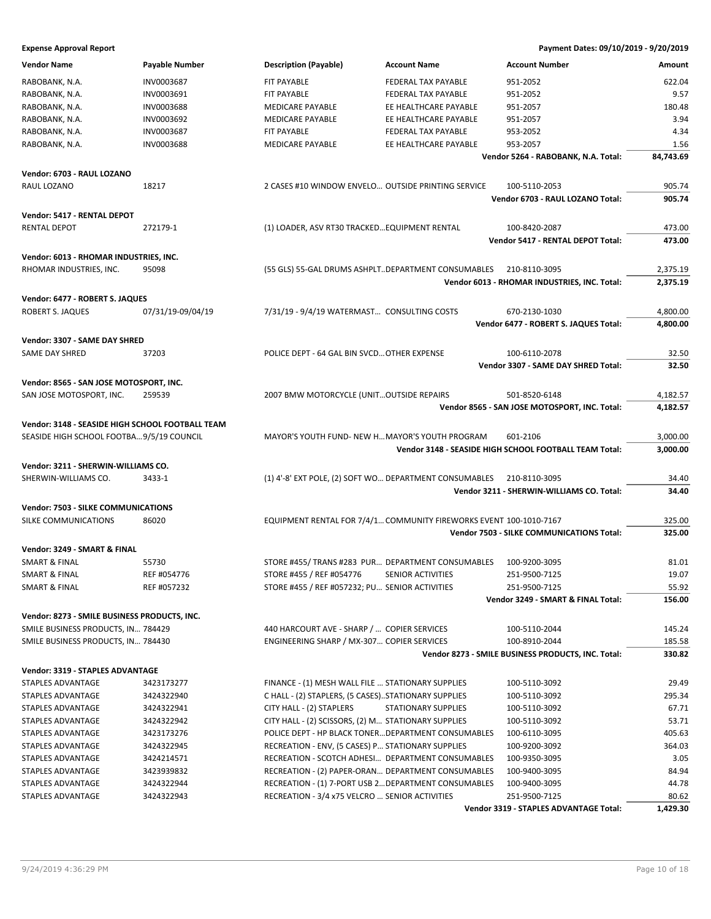| <b>Vendor Name</b>                               | <b>Payable Number</b> | <b>Description (Payable)</b>                           | <b>Account Name</b>                                                | <b>Account Number</b>                                  | Amount    |
|--------------------------------------------------|-----------------------|--------------------------------------------------------|--------------------------------------------------------------------|--------------------------------------------------------|-----------|
| RABOBANK, N.A.                                   | INV0003687            | FIT PAYABLE                                            | FEDERAL TAX PAYABLE                                                | 951-2052                                               | 622.04    |
| RABOBANK, N.A.                                   | INV0003691            | <b>FIT PAYABLE</b>                                     | FEDERAL TAX PAYABLE                                                | 951-2052                                               | 9.57      |
| RABOBANK, N.A.                                   | <b>INV0003688</b>     | <b>MEDICARE PAYABLE</b>                                | EE HEALTHCARE PAYABLE                                              | 951-2057                                               | 180.48    |
| RABOBANK, N.A.                                   | INV0003692            | <b>MEDICARE PAYABLE</b>                                | EE HEALTHCARE PAYABLE                                              | 951-2057                                               | 3.94      |
| RABOBANK, N.A.                                   | INV0003687            | FIT PAYABLE                                            | FEDERAL TAX PAYABLE                                                | 953-2052                                               | 4.34      |
| RABOBANK, N.A.                                   | <b>INV0003688</b>     | MEDICARE PAYABLE                                       | EE HEALTHCARE PAYABLE                                              | 953-2057                                               | 1.56      |
|                                                  |                       |                                                        |                                                                    | Vendor 5264 - RABOBANK, N.A. Total:                    | 84,743.69 |
|                                                  |                       |                                                        |                                                                    |                                                        |           |
| Vendor: 6703 - RAUL LOZANO                       |                       |                                                        |                                                                    |                                                        |           |
| RAUL LOZANO                                      | 18217                 | 2 CASES #10 WINDOW ENVELO OUTSIDE PRINTING SERVICE     |                                                                    | 100-5110-2053                                          | 905.74    |
|                                                  |                       |                                                        |                                                                    | Vendor 6703 - RAUL LOZANO Total:                       | 905.74    |
| Vendor: 5417 - RENTAL DEPOT                      |                       |                                                        |                                                                    |                                                        |           |
| <b>RENTAL DEPOT</b>                              | 272179-1              | (1) LOADER, ASV RT30 TRACKED EQUIPMENT RENTAL          |                                                                    | 100-8420-2087                                          | 473.00    |
|                                                  |                       |                                                        |                                                                    | Vendor 5417 - RENTAL DEPOT Total:                      | 473.00    |
| Vendor: 6013 - RHOMAR INDUSTRIES, INC.           |                       |                                                        |                                                                    |                                                        |           |
| RHOMAR INDUSTRIES, INC.                          | 95098                 | (55 GLS) 55-GAL DRUMS ASHPLTDEPARTMENT CONSUMABLES     |                                                                    | 210-8110-3095                                          | 2,375.19  |
|                                                  |                       |                                                        |                                                                    | Vendor 6013 - RHOMAR INDUSTRIES, INC. Total:           | 2,375.19  |
|                                                  |                       |                                                        |                                                                    |                                                        |           |
| Vendor: 6477 - ROBERT S. JAQUES                  |                       |                                                        |                                                                    |                                                        |           |
| ROBERT S. JAQUES                                 | 07/31/19-09/04/19     | 7/31/19 - 9/4/19 WATERMAST CONSULTING COSTS            |                                                                    | 670-2130-1030                                          | 4,800.00  |
|                                                  |                       |                                                        |                                                                    | Vendor 6477 - ROBERT S. JAQUES Total:                  | 4,800.00  |
| Vendor: 3307 - SAME DAY SHRED                    |                       |                                                        |                                                                    |                                                        |           |
| <b>SAME DAY SHRED</b>                            | 37203                 | POLICE DEPT - 64 GAL BIN SVCD OTHER EXPENSE            |                                                                    | 100-6110-2078                                          | 32.50     |
|                                                  |                       |                                                        |                                                                    | Vendor 3307 - SAME DAY SHRED Total:                    | 32.50     |
|                                                  |                       |                                                        |                                                                    |                                                        |           |
| Vendor: 8565 - SAN JOSE MOTOSPORT, INC.          |                       |                                                        |                                                                    |                                                        |           |
| SAN JOSE MOTOSPORT, INC.                         | 259539                | 2007 BMW MOTORCYCLE (UNITOUTSIDE REPAIRS               |                                                                    | 501-8520-6148                                          | 4,182.57  |
|                                                  |                       |                                                        |                                                                    | Vendor 8565 - SAN JOSE MOTOSPORT, INC. Total:          | 4,182.57  |
| Vendor: 3148 - SEASIDE HIGH SCHOOL FOOTBALL TEAM |                       |                                                        |                                                                    |                                                        |           |
| SEASIDE HIGH SCHOOL FOOTBA9/5/19 COUNCIL         |                       | MAYOR'S YOUTH FUND- NEW H MAYOR'S YOUTH PROGRAM        |                                                                    | 601-2106                                               | 3,000.00  |
|                                                  |                       |                                                        |                                                                    | Vendor 3148 - SEASIDE HIGH SCHOOL FOOTBALL TEAM Total: | 3,000.00  |
| Vendor: 3211 - SHERWIN-WILLIAMS CO.              |                       |                                                        |                                                                    |                                                        |           |
| SHERWIN-WILLIAMS CO.                             | 3433-1                | (1) 4'-8' EXT POLE, (2) SOFT WO DEPARTMENT CONSUMABLES |                                                                    | 210-8110-3095                                          | 34.40     |
|                                                  |                       |                                                        |                                                                    | Vendor 3211 - SHERWIN-WILLIAMS CO. Total:              | 34.40     |
|                                                  |                       |                                                        |                                                                    |                                                        |           |
| <b>Vendor: 7503 - SILKE COMMUNICATIONS</b>       |                       |                                                        |                                                                    |                                                        |           |
| SILKE COMMUNICATIONS                             | 86020                 |                                                        | EQUIPMENT RENTAL FOR 7/4/1 COMMUNITY FIREWORKS EVENT 100-1010-7167 |                                                        | 325.00    |
|                                                  |                       |                                                        |                                                                    | Vendor 7503 - SILKE COMMUNICATIONS Total:              | 325.00    |
| Vendor: 3249 - SMART & FINAL                     |                       |                                                        |                                                                    |                                                        |           |
| SMART & FINAL                                    | 55730                 | STORE #455/TRANS #283 PUR DEPARTMENT CONSUMABLES       |                                                                    | 100-9200-3095                                          | 81.01     |
| SMART & FINAL                                    | REF #054776           | STORE #455 / REF #054776                               | SENIOR ACTIVITIES                                                  | 251-9500-7125                                          | 19.07     |
| <b>SMART &amp; FINAL</b>                         | REF #057232           | STORE #455 / REF #057232; PU SENIOR ACTIVITIES         |                                                                    | 251-9500-7125                                          | 55.92     |
|                                                  |                       |                                                        |                                                                    | Vendor 3249 - SMART & FINAL Total:                     | 156.00    |
| Vendor: 8273 - SMILE BUSINESS PRODUCTS, INC.     |                       |                                                        |                                                                    |                                                        |           |
| SMILE BUSINESS PRODUCTS, IN 784429               |                       | 440 HARCOURT AVE - SHARP /  COPIER SERVICES            |                                                                    | 100-5110-2044                                          | 145.24    |
| SMILE BUSINESS PRODUCTS, IN 784430               |                       | ENGINEERING SHARP / MX-307 COPIER SERVICES             |                                                                    | 100-8910-2044                                          | 185.58    |
|                                                  |                       |                                                        |                                                                    | Vendor 8273 - SMILE BUSINESS PRODUCTS, INC. Total:     | 330.82    |
|                                                  |                       |                                                        |                                                                    |                                                        |           |
| Vendor: 3319 - STAPLES ADVANTAGE                 |                       |                                                        |                                                                    |                                                        |           |
| STAPLES ADVANTAGE                                | 3423173277            | FINANCE - (1) MESH WALL FILE  STATIONARY SUPPLIES      |                                                                    | 100-5110-3092                                          | 29.49     |
| STAPLES ADVANTAGE                                | 3424322940            | C HALL - (2) STAPLERS, (5 CASES)STATIONARY SUPPLIES    |                                                                    | 100-5110-3092                                          | 295.34    |
| STAPLES ADVANTAGE                                | 3424322941            | CITY HALL - (2) STAPLERS                               | <b>STATIONARY SUPPLIES</b>                                         | 100-5110-3092                                          | 67.71     |
| STAPLES ADVANTAGE                                | 3424322942            | CITY HALL - (2) SCISSORS, (2) M STATIONARY SUPPLIES    |                                                                    | 100-5110-3092                                          | 53.71     |
| STAPLES ADVANTAGE                                | 3423173276            | POLICE DEPT - HP BLACK TONER DEPARTMENT CONSUMABLES    |                                                                    | 100-6110-3095                                          | 405.63    |
| STAPLES ADVANTAGE                                | 3424322945            | RECREATION - ENV, (5 CASES) P STATIONARY SUPPLIES      |                                                                    | 100-9200-3092                                          | 364.03    |
| STAPLES ADVANTAGE                                | 3424214571            | RECREATION - SCOTCH ADHESI DEPARTMENT CONSUMABLES      |                                                                    | 100-9350-3095                                          | 3.05      |
| STAPLES ADVANTAGE                                | 3423939832            | RECREATION - (2) PAPER-ORAN DEPARTMENT CONSUMABLES     |                                                                    | 100-9400-3095                                          | 84.94     |
| STAPLES ADVANTAGE                                | 3424322944            | RECREATION - (1) 7-PORT USB 2 DEPARTMENT CONSUMABLES   |                                                                    | 100-9400-3095                                          | 44.78     |
| STAPLES ADVANTAGE                                | 3424322943            | RECREATION - 3/4 x75 VELCRO  SENIOR ACTIVITIES         |                                                                    | 251-9500-7125                                          | 80.62     |
|                                                  |                       |                                                        |                                                                    | Vendor 3319 - STAPLES ADVANTAGE Total:                 | 1,429.30  |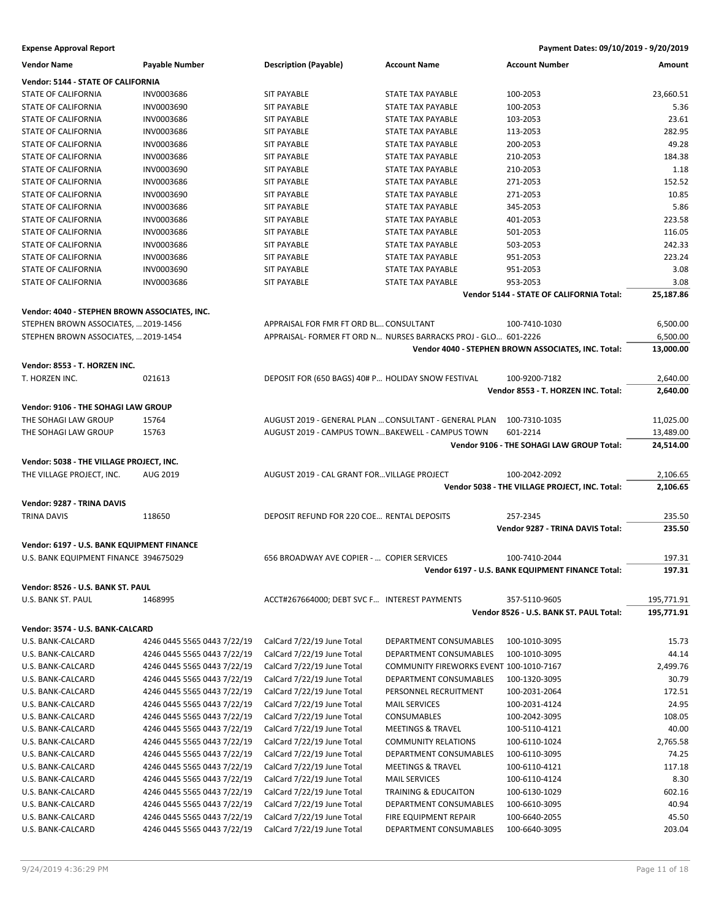| <b>Vendor Name</b>                            | Payable Number              | <b>Description (Payable)</b>                          | <b>Account Name</b>                                           | <b>Account Number</b>                               | Amount     |
|-----------------------------------------------|-----------------------------|-------------------------------------------------------|---------------------------------------------------------------|-----------------------------------------------------|------------|
| Vendor: 5144 - STATE OF CALIFORNIA            |                             |                                                       |                                                               |                                                     |            |
| STATE OF CALIFORNIA                           | INV0003686                  | <b>SIT PAYABLE</b>                                    | STATE TAX PAYABLE                                             | 100-2053                                            | 23,660.51  |
| STATE OF CALIFORNIA                           | <b>INV0003690</b>           | <b>SIT PAYABLE</b>                                    | STATE TAX PAYABLE                                             | 100-2053                                            | 5.36       |
| <b>STATE OF CALIFORNIA</b>                    | <b>INV0003686</b>           | <b>SIT PAYABLE</b>                                    | <b>STATE TAX PAYABLE</b>                                      | 103-2053                                            | 23.61      |
| STATE OF CALIFORNIA                           | <b>INV0003686</b>           | <b>SIT PAYABLE</b>                                    | STATE TAX PAYABLE                                             | 113-2053                                            | 282.95     |
| <b>STATE OF CALIFORNIA</b>                    | INV0003686                  | <b>SIT PAYABLE</b>                                    | STATE TAX PAYABLE                                             | 200-2053                                            | 49.28      |
| STATE OF CALIFORNIA                           | <b>INV0003686</b>           | <b>SIT PAYABLE</b>                                    | STATE TAX PAYABLE                                             | 210-2053                                            | 184.38     |
| STATE OF CALIFORNIA                           | INV0003690                  | <b>SIT PAYABLE</b>                                    | STATE TAX PAYABLE                                             | 210-2053                                            | 1.18       |
| STATE OF CALIFORNIA                           | <b>INV0003686</b>           | <b>SIT PAYABLE</b>                                    | STATE TAX PAYABLE                                             | 271-2053                                            | 152.52     |
| <b>STATE OF CALIFORNIA</b>                    | INV0003690                  | <b>SIT PAYABLE</b>                                    | <b>STATE TAX PAYABLE</b>                                      | 271-2053                                            | 10.85      |
| STATE OF CALIFORNIA                           | INV0003686                  | <b>SIT PAYABLE</b>                                    | STATE TAX PAYABLE                                             | 345-2053                                            | 5.86       |
| STATE OF CALIFORNIA                           | <b>INV0003686</b>           | <b>SIT PAYABLE</b>                                    | STATE TAX PAYABLE                                             | 401-2053                                            | 223.58     |
| STATE OF CALIFORNIA                           | INV0003686                  | <b>SIT PAYABLE</b>                                    | STATE TAX PAYABLE                                             | 501-2053                                            | 116.05     |
| <b>STATE OF CALIFORNIA</b>                    | <b>INV0003686</b>           | <b>SIT PAYABLE</b>                                    | <b>STATE TAX PAYABLE</b>                                      | 503-2053                                            | 242.33     |
| STATE OF CALIFORNIA                           | <b>INV0003686</b>           | <b>SIT PAYABLE</b>                                    | <b>STATE TAX PAYABLE</b>                                      | 951-2053                                            | 223.24     |
| STATE OF CALIFORNIA                           | INV0003690                  | <b>SIT PAYABLE</b>                                    | STATE TAX PAYABLE                                             | 951-2053                                            | 3.08       |
| STATE OF CALIFORNIA                           | <b>INV0003686</b>           | <b>SIT PAYABLE</b>                                    | STATE TAX PAYABLE                                             | 953-2053                                            | 3.08       |
|                                               |                             |                                                       |                                                               | Vendor 5144 - STATE OF CALIFORNIA Total:            | 25,187.86  |
|                                               |                             |                                                       |                                                               |                                                     |            |
| Vendor: 4040 - STEPHEN BROWN ASSOCIATES, INC. |                             |                                                       |                                                               |                                                     |            |
| STEPHEN BROWN ASSOCIATES,  2019-1456          |                             | APPRAISAL FOR FMR FT ORD BL CONSULTANT                |                                                               | 100-7410-1030                                       | 6,500.00   |
| STEPHEN BROWN ASSOCIATES,  2019-1454          |                             |                                                       | APPRAISAL-FORMER FT ORD N NURSES BARRACKS PROJ - GLO 601-2226 |                                                     | 6,500.00   |
|                                               |                             |                                                       |                                                               | Vendor 4040 - STEPHEN BROWN ASSOCIATES, INC. Total: | 13,000.00  |
| Vendor: 8553 - T. HORZEN INC.                 |                             |                                                       |                                                               |                                                     |            |
| T. HORZEN INC.                                | 021613                      | DEPOSIT FOR (650 BAGS) 40# P HOLIDAY SNOW FESTIVAL    |                                                               | 100-9200-7182                                       | 2,640.00   |
|                                               |                             |                                                       |                                                               | Vendor 8553 - T. HORZEN INC. Total:                 | 2,640.00   |
|                                               |                             |                                                       |                                                               |                                                     |            |
| Vendor: 9106 - THE SOHAGI LAW GROUP           |                             |                                                       |                                                               |                                                     |            |
| THE SOHAGI LAW GROUP                          | 15764                       | AUGUST 2019 - GENERAL PLAN  CONSULTANT - GENERAL PLAN |                                                               | 100-7310-1035                                       | 11,025.00  |
| THE SOHAGI LAW GROUP                          | 15763                       | AUGUST 2019 - CAMPUS TOWNBAKEWELL - CAMPUS TOWN       |                                                               | 601-2214                                            | 13,489.00  |
|                                               |                             |                                                       |                                                               | Vendor 9106 - THE SOHAGI LAW GROUP Total:           | 24,514.00  |
| Vendor: 5038 - THE VILLAGE PROJECT, INC.      |                             |                                                       |                                                               |                                                     |            |
| THE VILLAGE PROJECT, INC.                     | AUG 2019                    | AUGUST 2019 - CAL GRANT FOR VILLAGE PROJECT           |                                                               | 100-2042-2092                                       | 2,106.65   |
|                                               |                             |                                                       |                                                               | Vendor 5038 - THE VILLAGE PROJECT, INC. Total:      | 2,106.65   |
| Vendor: 9287 - TRINA DAVIS                    |                             |                                                       |                                                               |                                                     |            |
| <b>TRINA DAVIS</b>                            | 118650                      | DEPOSIT REFUND FOR 220 COE RENTAL DEPOSITS            |                                                               | 257-2345                                            | 235.50     |
|                                               |                             |                                                       |                                                               | Vendor 9287 - TRINA DAVIS Total:                    | 235.50     |
|                                               |                             |                                                       |                                                               |                                                     |            |
| Vendor: 6197 - U.S. BANK EQUIPMENT FINANCE    |                             |                                                       |                                                               |                                                     |            |
| U.S. BANK EQUIPMENT FINANCE 394675029         |                             | 656 BROADWAY AVE COPIER -  COPIER SERVICES            |                                                               | 100-7410-2044                                       | 197.31     |
|                                               |                             |                                                       |                                                               | Vendor 6197 - U.S. BANK EQUIPMENT FINANCE Total:    | 197.31     |
| Vendor: 8526 - U.S. BANK ST. PAUL             |                             |                                                       |                                                               |                                                     |            |
| U.S. BANK ST. PAUL                            | 1468995                     | ACCT#267664000; DEBT SVC F INTEREST PAYMENTS          |                                                               | 357-5110-9605                                       | 195,771.91 |
|                                               |                             |                                                       |                                                               | Vendor 8526 - U.S. BANK ST. PAUL Total:             | 195,771.91 |
| Vendor: 3574 - U.S. BANK-CALCARD              |                             |                                                       |                                                               |                                                     |            |
|                                               |                             |                                                       |                                                               |                                                     |            |
| U.S. BANK-CALCARD                             | 4246 0445 5565 0443 7/22/19 | CalCard 7/22/19 June Total                            | DEPARTMENT CONSUMABLES                                        | 100-1010-3095                                       | 15.73      |
| U.S. BANK-CALCARD                             | 4246 0445 5565 0443 7/22/19 | CalCard 7/22/19 June Total                            | DEPARTMENT CONSUMABLES                                        | 100-1010-3095                                       | 44.14      |
| U.S. BANK-CALCARD                             | 4246 0445 5565 0443 7/22/19 | CalCard 7/22/19 June Total                            | COMMUNITY FIREWORKS EVENT 100-1010-7167                       |                                                     | 2,499.76   |
| U.S. BANK-CALCARD                             | 4246 0445 5565 0443 7/22/19 | CalCard 7/22/19 June Total                            | DEPARTMENT CONSUMABLES                                        | 100-1320-3095                                       | 30.79      |
| U.S. BANK-CALCARD                             | 4246 0445 5565 0443 7/22/19 | CalCard 7/22/19 June Total                            | PERSONNEL RECRUITMENT                                         | 100-2031-2064                                       | 172.51     |
| U.S. BANK-CALCARD                             | 4246 0445 5565 0443 7/22/19 | CalCard 7/22/19 June Total                            | <b>MAIL SERVICES</b>                                          | 100-2031-4124                                       | 24.95      |
| U.S. BANK-CALCARD                             | 4246 0445 5565 0443 7/22/19 | CalCard 7/22/19 June Total                            | <b>CONSUMABLES</b>                                            | 100-2042-3095                                       | 108.05     |
| U.S. BANK-CALCARD                             | 4246 0445 5565 0443 7/22/19 | CalCard 7/22/19 June Total                            | <b>MEETINGS &amp; TRAVEL</b>                                  | 100-5110-4121                                       | 40.00      |
| U.S. BANK-CALCARD                             | 4246 0445 5565 0443 7/22/19 | CalCard 7/22/19 June Total                            | <b>COMMUNITY RELATIONS</b>                                    | 100-6110-1024                                       | 2,765.58   |
| U.S. BANK-CALCARD                             | 4246 0445 5565 0443 7/22/19 | CalCard 7/22/19 June Total                            | DEPARTMENT CONSUMABLES                                        | 100-6110-3095                                       | 74.25      |
| U.S. BANK-CALCARD                             | 4246 0445 5565 0443 7/22/19 | CalCard 7/22/19 June Total                            | <b>MEETINGS &amp; TRAVEL</b>                                  | 100-6110-4121                                       | 117.18     |
| U.S. BANK-CALCARD                             | 4246 0445 5565 0443 7/22/19 | CalCard 7/22/19 June Total                            | <b>MAIL SERVICES</b>                                          | 100-6110-4124                                       | 8.30       |
| U.S. BANK-CALCARD                             | 4246 0445 5565 0443 7/22/19 | CalCard 7/22/19 June Total                            | TRAINING & EDUCAITON                                          | 100-6130-1029                                       | 602.16     |
| U.S. BANK-CALCARD                             | 4246 0445 5565 0443 7/22/19 | CalCard 7/22/19 June Total                            | DEPARTMENT CONSUMABLES                                        | 100-6610-3095                                       | 40.94      |
| U.S. BANK-CALCARD                             | 4246 0445 5565 0443 7/22/19 | CalCard 7/22/19 June Total                            | FIRE EQUIPMENT REPAIR                                         | 100-6640-2055                                       | 45.50      |
| U.S. BANK-CALCARD                             | 4246 0445 5565 0443 7/22/19 | CalCard 7/22/19 June Total                            | DEPARTMENT CONSUMABLES                                        | 100-6640-3095                                       | 203.04     |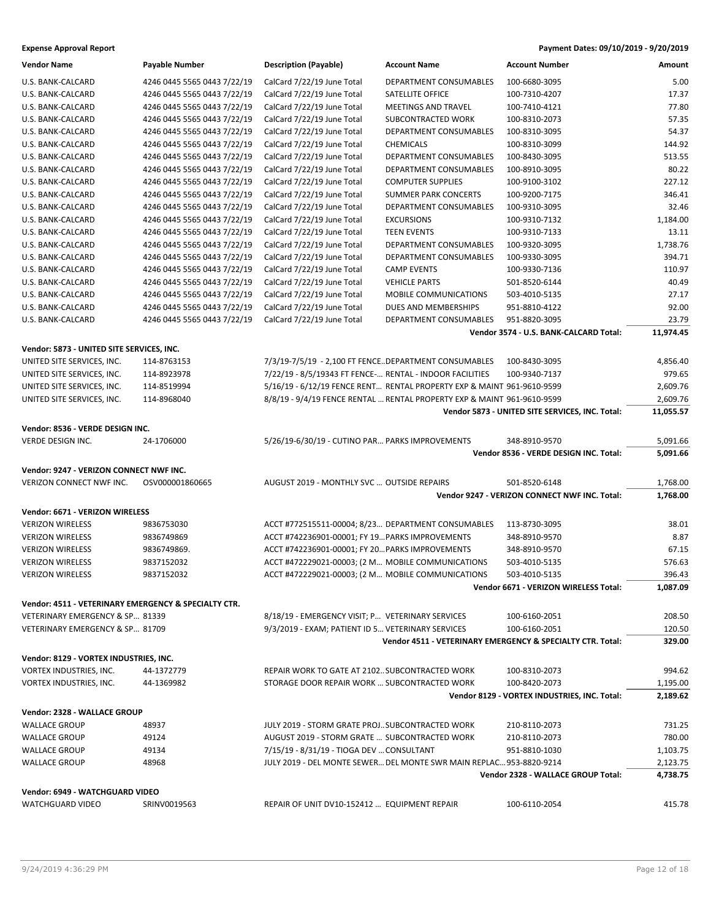| <b>Vendor Name</b>                                   | Payable Number              | <b>Description (Payable)</b>                             | <b>Account Name</b>                                                     | <b>Account Number</b>                                      | Amount                |
|------------------------------------------------------|-----------------------------|----------------------------------------------------------|-------------------------------------------------------------------------|------------------------------------------------------------|-----------------------|
| U.S. BANK-CALCARD                                    | 4246 0445 5565 0443 7/22/19 | CalCard 7/22/19 June Total                               | DEPARTMENT CONSUMABLES                                                  | 100-6680-3095                                              | 5.00                  |
| U.S. BANK-CALCARD                                    | 4246 0445 5565 0443 7/22/19 | CalCard 7/22/19 June Total                               | SATELLITE OFFICE                                                        | 100-7310-4207                                              | 17.37                 |
| U.S. BANK-CALCARD                                    | 4246 0445 5565 0443 7/22/19 | CalCard 7/22/19 June Total                               | MEETINGS AND TRAVEL                                                     | 100-7410-4121                                              | 77.80                 |
| U.S. BANK-CALCARD                                    | 4246 0445 5565 0443 7/22/19 | CalCard 7/22/19 June Total                               | SUBCONTRACTED WORK                                                      | 100-8310-2073                                              | 57.35                 |
| U.S. BANK-CALCARD                                    | 4246 0445 5565 0443 7/22/19 | CalCard 7/22/19 June Total                               | DEPARTMENT CONSUMABLES                                                  | 100-8310-3095                                              | 54.37                 |
| U.S. BANK-CALCARD                                    | 4246 0445 5565 0443 7/22/19 | CalCard 7/22/19 June Total                               | <b>CHEMICALS</b>                                                        | 100-8310-3099                                              | 144.92                |
| U.S. BANK-CALCARD                                    | 4246 0445 5565 0443 7/22/19 | CalCard 7/22/19 June Total                               | DEPARTMENT CONSUMABLES                                                  | 100-8430-3095                                              | 513.55                |
| U.S. BANK-CALCARD                                    | 4246 0445 5565 0443 7/22/19 | CalCard 7/22/19 June Total                               | DEPARTMENT CONSUMABLES                                                  | 100-8910-3095                                              | 80.22                 |
| U.S. BANK-CALCARD                                    | 4246 0445 5565 0443 7/22/19 | CalCard 7/22/19 June Total                               | <b>COMPUTER SUPPLIES</b>                                                | 100-9100-3102                                              | 227.12                |
| U.S. BANK-CALCARD                                    | 4246 0445 5565 0443 7/22/19 | CalCard 7/22/19 June Total                               | <b>SUMMER PARK CONCERTS</b>                                             | 100-9200-7175                                              | 346.41                |
| U.S. BANK-CALCARD                                    | 4246 0445 5565 0443 7/22/19 | CalCard 7/22/19 June Total                               | <b>DEPARTMENT CONSUMABLES</b>                                           | 100-9310-3095                                              | 32.46                 |
| U.S. BANK-CALCARD                                    | 4246 0445 5565 0443 7/22/19 | CalCard 7/22/19 June Total                               | <b>EXCURSIONS</b>                                                       | 100-9310-7132                                              | 1,184.00              |
| U.S. BANK-CALCARD                                    | 4246 0445 5565 0443 7/22/19 | CalCard 7/22/19 June Total                               | <b>TEEN EVENTS</b>                                                      | 100-9310-7133                                              | 13.11                 |
| U.S. BANK-CALCARD                                    | 4246 0445 5565 0443 7/22/19 | CalCard 7/22/19 June Total                               | DEPARTMENT CONSUMABLES                                                  | 100-9320-3095                                              | 1,738.76              |
| U.S. BANK-CALCARD                                    | 4246 0445 5565 0443 7/22/19 | CalCard 7/22/19 June Total                               | DEPARTMENT CONSUMABLES                                                  | 100-9330-3095                                              | 394.71                |
| U.S. BANK-CALCARD                                    | 4246 0445 5565 0443 7/22/19 | CalCard 7/22/19 June Total                               | <b>CAMP EVENTS</b>                                                      | 100-9330-7136                                              | 110.97                |
| U.S. BANK-CALCARD                                    | 4246 0445 5565 0443 7/22/19 | CalCard 7/22/19 June Total                               | <b>VEHICLE PARTS</b>                                                    | 501-8520-6144                                              | 40.49                 |
| U.S. BANK-CALCARD                                    | 4246 0445 5565 0443 7/22/19 | CalCard 7/22/19 June Total                               | MOBILE COMMUNICATIONS                                                   | 503-4010-5135                                              | 27.17                 |
| U.S. BANK-CALCARD                                    | 4246 0445 5565 0443 7/22/19 | CalCard 7/22/19 June Total                               | DUES AND MEMBERSHIPS                                                    | 951-8810-4122                                              | 92.00                 |
| U.S. BANK-CALCARD                                    | 4246 0445 5565 0443 7/22/19 | CalCard 7/22/19 June Total                               | DEPARTMENT CONSUMABLES                                                  | 951-8820-3095                                              | 23.79                 |
|                                                      |                             |                                                          |                                                                         | Vendor 3574 - U.S. BANK-CALCARD Total:                     | 11,974.45             |
| Vendor: 5873 - UNITED SITE SERVICES, INC.            |                             |                                                          |                                                                         |                                                            |                       |
| UNITED SITE SERVICES, INC.                           | 114-8763153                 |                                                          | 7/3/19-7/5/19 - 2,100 FT FENCEDEPARTMENT CONSUMABLES                    | 100-8430-3095                                              | 4,856.40              |
| UNITED SITE SERVICES, INC.                           | 114-8923978                 | 7/22/19 - 8/5/19343 FT FENCE- RENTAL - INDOOR FACILITIES |                                                                         | 100-9340-7137                                              | 979.65                |
| UNITED SITE SERVICES, INC.                           |                             |                                                          |                                                                         |                                                            |                       |
| UNITED SITE SERVICES, INC.                           | 114-8519994                 |                                                          | 5/16/19 - 6/12/19 FENCE RENT RENTAL PROPERTY EXP & MAINT 961-9610-9599  |                                                            | 2,609.76              |
|                                                      | 114-8968040                 |                                                          | 8/8/19 - 9/4/19 FENCE RENTAL  RENTAL PROPERTY EXP & MAINT 961-9610-9599 | Vendor 5873 - UNITED SITE SERVICES, INC. Total:            | 2,609.76<br>11,055.57 |
|                                                      |                             |                                                          |                                                                         |                                                            |                       |
| Vendor: 8536 - VERDE DESIGN INC.                     |                             |                                                          |                                                                         |                                                            |                       |
| VERDE DESIGN INC.                                    | 24-1706000                  | 5/26/19-6/30/19 - CUTINO PAR PARKS IMPROVEMENTS          |                                                                         | 348-8910-9570                                              | 5,091.66              |
|                                                      |                             |                                                          |                                                                         | Vendor 8536 - VERDE DESIGN INC. Total:                     | 5,091.66              |
| Vendor: 9247 - VERIZON CONNECT NWF INC.              |                             |                                                          |                                                                         |                                                            |                       |
| VERIZON CONNECT NWF INC.                             | OSV000001860665             | AUGUST 2019 - MONTHLY SVC  OUTSIDE REPAIRS               |                                                                         | 501-8520-6148                                              | 1,768.00              |
|                                                      |                             |                                                          |                                                                         | Vendor 9247 - VERIZON CONNECT NWF INC. Total:              | 1,768.00              |
| Vendor: 6671 - VERIZON WIRELESS                      |                             |                                                          |                                                                         |                                                            |                       |
| <b>VERIZON WIRELESS</b>                              | 9836753030                  |                                                          | ACCT #772515511-00004; 8/23 DEPARTMENT CONSUMABLES                      | 113-8730-3095                                              | 38.01                 |
| <b>VERIZON WIRELESS</b>                              | 9836749869                  | ACCT #742236901-00001; FY 19 PARKS IMPROVEMENTS          |                                                                         | 348-8910-9570                                              | 8.87                  |
| <b>VERIZON WIRELESS</b>                              | 9836749869.                 | ACCT #742236901-00001; FY 20 PARKS IMPROVEMENTS          |                                                                         | 348-8910-9570                                              | 67.15                 |
| <b>VERIZON WIRELESS</b>                              | 9837152032                  | ACCT #472229021-00003; (2 M MOBILE COMMUNICATIONS        |                                                                         | 503-4010-5135                                              | 576.63                |
| <b>VERIZON WIRELESS</b>                              | 9837152032                  | ACCT #472229021-00003; (2 M MOBILE COMMUNICATIONS        |                                                                         | 503-4010-5135                                              | 396.43                |
|                                                      |                             |                                                          |                                                                         | Vendor 6671 - VERIZON WIRELESS Total:                      | 1,087.09              |
| Vendor: 4511 - VETERINARY EMERGENCY & SPECIALTY CTR. |                             |                                                          |                                                                         |                                                            |                       |
| VETERINARY EMERGENCY & SP 81339                      |                             | 8/18/19 - EMERGENCY VISIT; P VETERINARY SERVICES         |                                                                         | 100-6160-2051                                              | 208.50                |
| VETERINARY EMERGENCY & SP 81709                      |                             | 9/3/2019 - EXAM; PATIENT ID 5 VETERINARY SERVICES        |                                                                         | 100-6160-2051                                              | 120.50                |
|                                                      |                             |                                                          |                                                                         | Vendor 4511 - VETERINARY EMERGENCY & SPECIALTY CTR. Total: | 329.00                |
| Vendor: 8129 - VORTEX INDUSTRIES, INC.               |                             |                                                          |                                                                         |                                                            |                       |
| VORTEX INDUSTRIES, INC.                              | 44-1372779                  | REPAIR WORK TO GATE AT 2102. SUBCONTRACTED WORK          |                                                                         | 100-8310-2073                                              | 994.62                |
| VORTEX INDUSTRIES, INC.                              | 44-1369982                  | STORAGE DOOR REPAIR WORK  SUBCONTRACTED WORK             |                                                                         | 100-8420-2073                                              | 1,195.00              |
|                                                      |                             |                                                          |                                                                         | Vendor 8129 - VORTEX INDUSTRIES, INC. Total:               | 2,189.62              |
|                                                      |                             |                                                          |                                                                         |                                                            |                       |
| Vendor: 2328 - WALLACE GROUP                         |                             |                                                          |                                                                         |                                                            |                       |
| <b>WALLACE GROUP</b>                                 | 48937                       | JULY 2019 - STORM GRATE PROJSUBCONTRACTED WORK           |                                                                         | 210-8110-2073                                              | 731.25                |
| <b>WALLACE GROUP</b>                                 | 49124                       | AUGUST 2019 - STORM GRATE  SUBCONTRACTED WORK            |                                                                         | 210-8110-2073                                              | 780.00                |
| <b>WALLACE GROUP</b>                                 | 49134                       | 7/15/19 - 8/31/19 - TIOGA DEV  CONSULTANT                |                                                                         | 951-8810-1030                                              | 1,103.75              |
| <b>WALLACE GROUP</b>                                 | 48968                       |                                                          | JULY 2019 - DEL MONTE SEWER DEL MONTE SWR MAIN REPLAC 953-8820-9214     |                                                            | 2,123.75              |
|                                                      |                             |                                                          |                                                                         | Vendor 2328 - WALLACE GROUP Total:                         | 4,738.75              |
| Vendor: 6949 - WATCHGUARD VIDEO                      |                             |                                                          |                                                                         |                                                            |                       |
| <b>WATCHGUARD VIDEO</b>                              | SRINV0019563                | REPAIR OF UNIT DV10-152412  EQUIPMENT REPAIR             |                                                                         | 100-6110-2054                                              | 415.78                |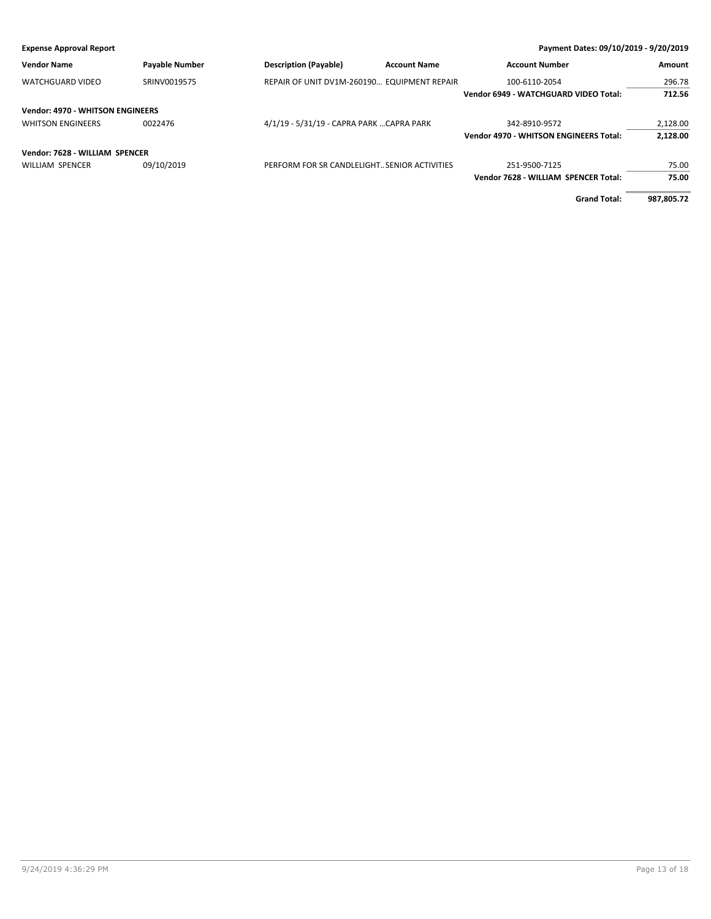| <b>Vendor Name</b>                      | <b>Payable Number</b> | <b>Description (Payable)</b>                 | <b>Account Name</b> | <b>Account Number</b>                         | <b>Amount</b> |
|-----------------------------------------|-----------------------|----------------------------------------------|---------------------|-----------------------------------------------|---------------|
| <b>WATCHGUARD VIDEO</b>                 | SRINV0019575          | REPAIR OF UNIT DV1M-260190 EQUIPMENT REPAIR  |                     | 100-6110-2054                                 | 296.78        |
|                                         |                       |                                              |                     | Vendor 6949 - WATCHGUARD VIDEO Total:         | 712.56        |
| <b>Vendor: 4970 - WHITSON ENGINEERS</b> |                       |                                              |                     |                                               |               |
| <b>WHITSON ENGINEERS</b>                | 0022476               | 4/1/19 - 5/31/19 - CAPRA PARK  CAPRA PARK    |                     | 342-8910-9572                                 | 2,128.00      |
|                                         |                       |                                              |                     | <b>Vendor 4970 - WHITSON ENGINEERS Total:</b> | 2,128.00      |
| Vendor: 7628 - WILLIAM SPENCER          |                       |                                              |                     |                                               |               |
| <b>WILLIAM SPENCER</b>                  | 09/10/2019            | PERFORM FOR SR CANDLELIGHT SENIOR ACTIVITIES |                     | 251-9500-7125                                 | 75.00         |
|                                         |                       |                                              |                     | Vendor 7628 - WILLIAM SPENCER Total:          | 75.00         |
|                                         |                       |                                              |                     | <b>Grand Total:</b>                           | 987.805.72    |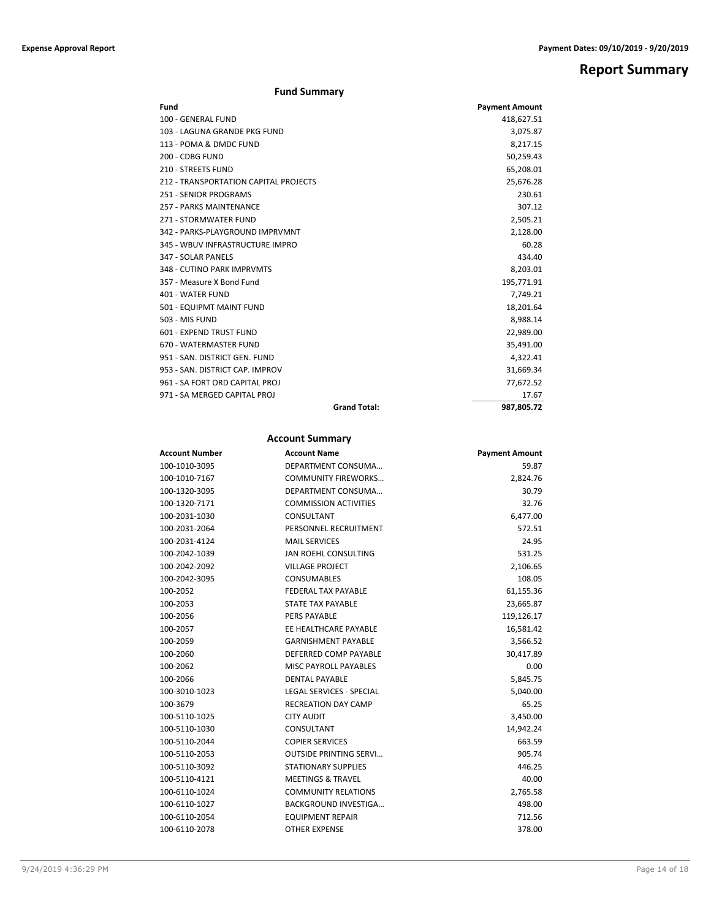## **Report Summary**

### **Fund Summary**

| Fund                                  |                     | <b>Payment Amount</b> |
|---------------------------------------|---------------------|-----------------------|
| 100 - GENERAL FUND                    |                     | 418,627.51            |
| 103 - LAGUNA GRANDE PKG FUND          |                     | 3,075.87              |
| 113 - POMA & DMDC FUND                |                     | 8,217.15              |
| 200 - CDBG FUND                       |                     | 50,259.43             |
| 210 - STREETS FUND                    |                     | 65,208.01             |
| 212 - TRANSPORTATION CAPITAL PROJECTS |                     | 25,676.28             |
| 251 - SENIOR PROGRAMS                 |                     | 230.61                |
| 257 - PARKS MAINTENANCE               |                     | 307.12                |
| 271 - STORMWATER FUND                 |                     | 2,505.21              |
| 342 - PARKS-PLAYGROUND IMPRVMNT       |                     | 2,128.00              |
| 345 - WBUV INFRASTRUCTURE IMPRO       |                     | 60.28                 |
| 347 - SOLAR PANELS                    |                     | 434.40                |
| 348 - CUTINO PARK IMPRVMTS            |                     | 8,203.01              |
| 357 - Measure X Bond Fund             |                     | 195,771.91            |
| 401 - WATER FUND                      |                     | 7,749.21              |
| 501 - EQUIPMT MAINT FUND              |                     | 18,201.64             |
| 503 - MIS FUND                        |                     | 8,988.14              |
| 601 - EXPEND TRUST FUND               |                     | 22,989.00             |
| 670 - WATERMASTER FUND                |                     | 35,491.00             |
| 951 - SAN, DISTRICT GEN, FUND         |                     | 4,322.41              |
| 953 - SAN, DISTRICT CAP, IMPROV       |                     | 31,669.34             |
| 961 - SA FORT ORD CAPITAL PROJ        |                     | 77,672.52             |
| 971 - SA MERGED CAPITAL PROJ          |                     | 17.67                 |
|                                       | <b>Grand Total:</b> | 987.805.72            |

### **Account Summary**

| <b>Account Number</b> | <b>Account Name</b>             | <b>Payment Amount</b> |
|-----------------------|---------------------------------|-----------------------|
| 100-1010-3095         | DEPARTMENT CONSUMA              | 59.87                 |
| 100-1010-7167         | <b>COMMUNITY FIREWORKS</b>      | 2,824.76              |
| 100-1320-3095         | DEPARTMENT CONSUMA              | 30.79                 |
| 100-1320-7171         | <b>COMMISSION ACTIVITIES</b>    | 32.76                 |
| 100-2031-1030         | CONSULTANT                      | 6,477.00              |
| 100-2031-2064         | PERSONNEL RECRUITMENT           | 572.51                |
| 100-2031-4124         | <b>MAIL SERVICES</b>            | 24.95                 |
| 100-2042-1039         | <b>JAN ROEHL CONSULTING</b>     | 531.25                |
| 100-2042-2092         | <b>VILLAGE PROJECT</b>          | 2,106.65              |
| 100-2042-3095         | <b>CONSUMABLES</b>              | 108.05                |
| 100-2052              | <b>FEDERAL TAX PAYABLE</b>      | 61,155.36             |
| 100-2053              | STATE TAX PAYABLE               | 23,665.87             |
| 100-2056              | PERS PAYABLE                    | 119,126.17            |
| 100-2057              | EE HEALTHCARE PAYABLE           | 16,581.42             |
| 100-2059              | <b>GARNISHMENT PAYABLE</b>      | 3,566.52              |
| 100-2060              | DEFERRED COMP PAYABLE           | 30,417.89             |
| 100-2062              | <b>MISC PAYROLL PAYABLES</b>    | 0.00                  |
| 100-2066              | <b>DENTAL PAYABLE</b>           | 5,845.75              |
| 100-3010-1023         | <b>LEGAL SERVICES - SPECIAL</b> | 5,040.00              |
| 100-3679              | <b>RECREATION DAY CAMP</b>      | 65.25                 |
| 100-5110-1025         | <b>CITY AUDIT</b>               | 3,450.00              |
| 100-5110-1030         | CONSULTANT                      | 14,942.24             |
| 100-5110-2044         | <b>COPIER SERVICES</b>          | 663.59                |
| 100-5110-2053         | <b>OUTSIDE PRINTING SERVI</b>   | 905.74                |
| 100-5110-3092         | <b>STATIONARY SUPPLIES</b>      | 446.25                |
| 100-5110-4121         | <b>MEETINGS &amp; TRAVEL</b>    | 40.00                 |
| 100-6110-1024         | <b>COMMUNITY RELATIONS</b>      | 2,765.58              |
| 100-6110-1027         | <b>BACKGROUND INVESTIGA</b>     | 498.00                |
| 100-6110-2054         | <b>EQUIPMENT REPAIR</b>         | 712.56                |
| 100-6110-2078         | <b>OTHER EXPENSE</b>            | 378.00                |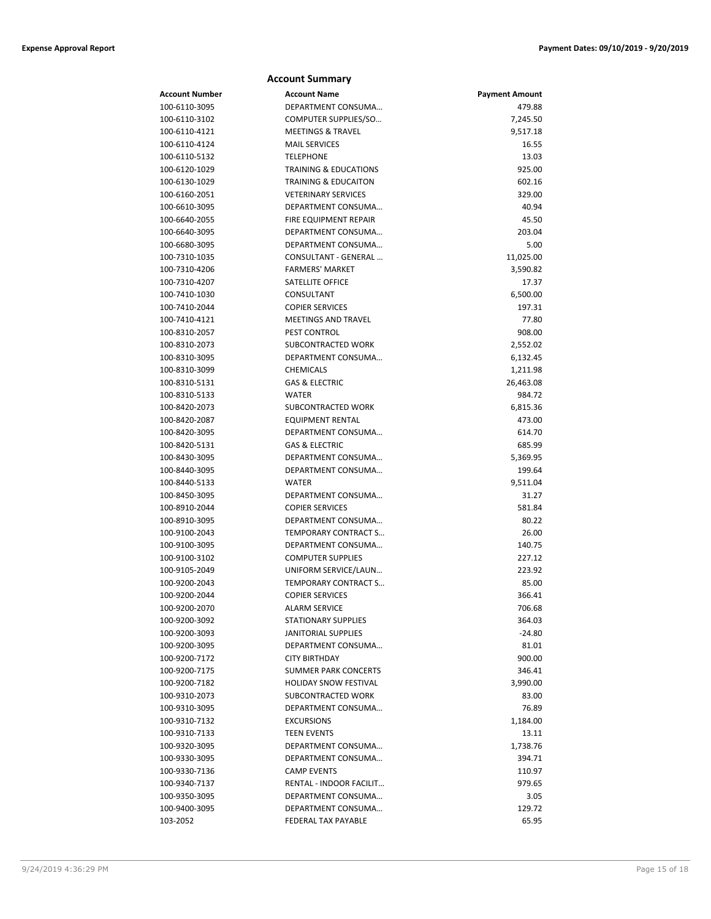|                                | <b>Account Summary</b>                       |                       |
|--------------------------------|----------------------------------------------|-----------------------|
| Account Number                 | <b>Account Name</b>                          | <b>Payment Amount</b> |
| 100-6110-3095                  | DEPARTMENT CONSUMA                           | 479.88                |
| 100-6110-3102                  | COMPUTER SUPPLIES/SO                         | 7,245.50              |
| 100-6110-4121                  | <b>MEETINGS &amp; TRAVEL</b>                 | 9,517.18              |
| 100-6110-4124                  | <b>MAIL SERVICES</b>                         | 16.55                 |
| 100-6110-5132                  | <b>TELEPHONE</b>                             | 13.03                 |
| 100-6120-1029                  | <b>TRAINING &amp; EDUCATIONS</b>             | 925.00                |
| 100-6130-1029                  | <b>TRAINING &amp; EDUCAITON</b>              | 602.16                |
| 100-6160-2051                  | <b>VETERINARY SERVICES</b>                   | 329.00                |
| 100-6610-3095                  | DEPARTMENT CONSUMA                           | 40.94                 |
| 100-6640-2055                  | <b>FIRE EQUIPMENT REPAIR</b>                 | 45.50                 |
| 100-6640-3095                  | DEPARTMENT CONSUMA                           | 203.04                |
| 100-6680-3095                  | DEPARTMENT CONSUMA                           | 5.00                  |
| 100-7310-1035                  | CONSULTANT - GENERAL                         | 11,025.00             |
| 100-7310-4206                  | <b>FARMERS' MARKET</b>                       | 3,590.82              |
| 100-7310-4207                  | SATELLITE OFFICE                             | 17.37                 |
| 100-7410-1030                  | CONSULTANT                                   | 6,500.00              |
| 100-7410-2044                  | <b>COPIER SERVICES</b>                       | 197.31                |
| 100-7410-4121                  | <b>MEETINGS AND TRAVEL</b>                   | 77.80                 |
| 100-8310-2057                  | <b>PEST CONTROL</b>                          | 908.00                |
| 100-8310-2073                  | SUBCONTRACTED WORK                           | 2,552.02              |
| 100-8310-3095                  | DEPARTMENT CONSUMA                           | 6,132.45              |
| 100-8310-3099                  | <b>CHEMICALS</b>                             | 1,211.98              |
| 100-8310-5131                  | <b>GAS &amp; ELECTRIC</b>                    | 26,463.08             |
| 100-8310-5133                  | <b>WATER</b>                                 | 984.72                |
| 100-8420-2073                  | SUBCONTRACTED WORK                           | 6,815.36              |
| 100-8420-2087                  | <b>EQUIPMENT RENTAL</b>                      | 473.00                |
| 100-8420-3095                  | DEPARTMENT CONSUMA                           | 614.70                |
| 100-8420-5131                  | <b>GAS &amp; ELECTRIC</b>                    | 685.99                |
| 100-8430-3095                  | DEPARTMENT CONSUMA                           | 5,369.95              |
| 100-8440-3095                  | DEPARTMENT CONSUMA                           | 199.64                |
| 100-8440-5133                  | <b>WATER</b>                                 | 9,511.04<br>31.27     |
| 100-8450-3095<br>100-8910-2044 | DEPARTMENT CONSUMA<br><b>COPIER SERVICES</b> | 581.84                |
| 100-8910-3095                  | DEPARTMENT CONSUMA                           | 80.22                 |
| 100-9100-2043                  | TEMPORARY CONTRACT S                         | 26.00                 |
| 100-9100-3095                  | DEPARTMENT CONSUMA                           | 140.75                |
| 100-9100-3102                  | <b>COMPUTER SUPPLIES</b>                     | 227.12                |
| 100-9105-2049                  | UNIFORM SERVICE/LAUN                         | 223.92                |
| 100-9200-2043                  | <b>TEMPORARY CONTRACT S</b>                  | 85.00                 |
| 100-9200-2044                  | <b>COPIER SERVICES</b>                       | 366.41                |
| 100-9200-2070                  | <b>ALARM SERVICE</b>                         | 706.68                |
| 100-9200-3092                  | <b>STATIONARY SUPPLIES</b>                   | 364.03                |
| 100-9200-3093                  | <b>JANITORIAL SUPPLIES</b>                   | $-24.80$              |
| 100-9200-3095                  | DEPARTMENT CONSUMA                           | 81.01                 |
| 100-9200-7172                  | <b>CITY BIRTHDAY</b>                         | 900.00                |
| 100-9200-7175                  | <b>SUMMER PARK CONCERTS</b>                  | 346.41                |
| 100-9200-7182                  | <b>HOLIDAY SNOW FESTIVAL</b>                 | 3,990.00              |
| 100-9310-2073                  | SUBCONTRACTED WORK                           | 83.00                 |
| 100-9310-3095                  | DEPARTMENT CONSUMA                           | 76.89                 |
| 100-9310-7132                  | <b>EXCURSIONS</b>                            | 1,184.00              |
| 100-9310-7133                  | <b>TEEN EVENTS</b>                           | 13.11                 |
| 100-9320-3095                  | DEPARTMENT CONSUMA                           | 1,738.76              |
| 100-9330-3095                  | DEPARTMENT CONSUMA                           | 394.71                |
| 100-9330-7136                  | <b>CAMP EVENTS</b>                           | 110.97                |
| 100-9340-7137                  | RENTAL - INDOOR FACILIT                      | 979.65                |
| 100-9350-3095                  | DEPARTMENT CONSUMA                           | 3.05                  |
| 100-9400-3095                  | DEPARTMENT CONSUMA                           | 129.72                |
| 103-2052                       | FEDERAL TAX PAYABLE                          | 65.95                 |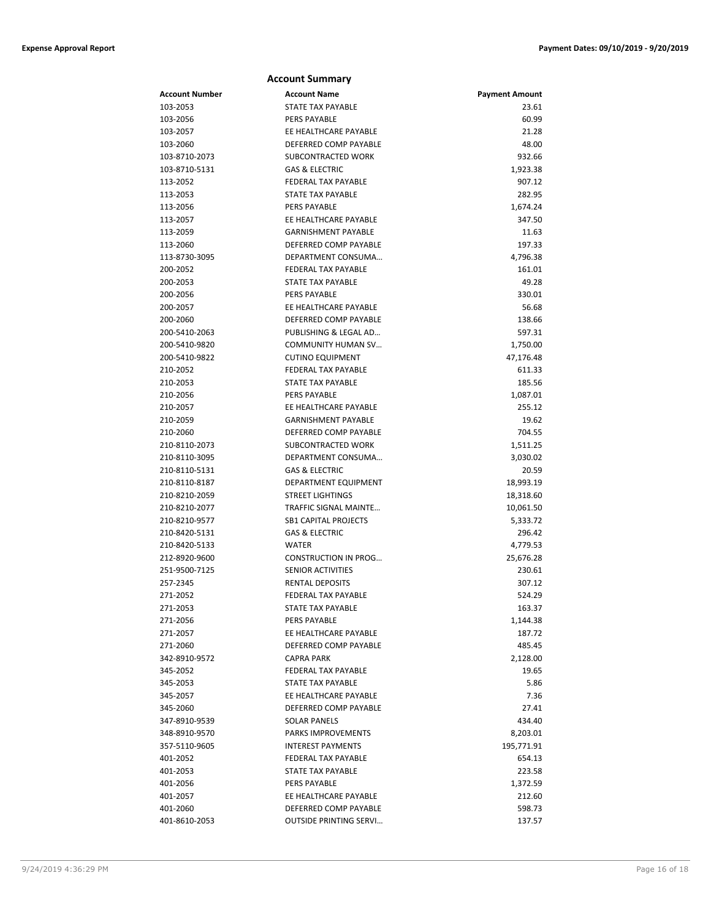|                | <b>Account Summary</b>        |                       |
|----------------|-------------------------------|-----------------------|
| Account Number | <b>Account Name</b>           | <b>Payment Amount</b> |
| 103-2053       | <b>STATE TAX PAYABLE</b>      | 23.61                 |
| 103-2056       | <b>PERS PAYABLE</b>           | 60.99                 |
| 103-2057       | EE HEALTHCARE PAYABLE         | 21.28                 |
| 103-2060       | DEFERRED COMP PAYABLE         | 48.00                 |
| 103-8710-2073  | <b>SUBCONTRACTED WORK</b>     | 932.66                |
| 103-8710-5131  | <b>GAS &amp; ELECTRIC</b>     | 1,923.38              |
| 113-2052       | <b>FEDERAL TAX PAYABLE</b>    | 907.12                |
| 113-2053       | STATE TAX PAYABLE             | 282.95                |
| 113-2056       | PERS PAYABLE                  | 1,674.24              |
| 113-2057       | EE HEALTHCARE PAYABLE         | 347.50                |
| 113-2059       | <b>GARNISHMENT PAYABLE</b>    | 11.63                 |
| 113-2060       | DEFERRED COMP PAYABLE         | 197.33                |
| 113-8730-3095  | DEPARTMENT CONSUMA            | 4,796.38              |
| 200-2052       | FEDERAL TAX PAYABLE           | 161.01                |
| 200-2053       | <b>STATE TAX PAYABLE</b>      | 49.28                 |
| 200-2056       | <b>PERS PAYABLE</b>           | 330.01                |
| 200-2057       | EE HEALTHCARE PAYABLE         | 56.68                 |
| 200-2060       | DEFERRED COMP PAYABLE         | 138.66                |
| 200-5410-2063  | PUBLISHING & LEGAL AD         | 597.31                |
| 200-5410-9820  | COMMUNITY HUMAN SV            | 1,750.00              |
| 200-5410-9822  | <b>CUTINO EQUIPMENT</b>       | 47,176.48             |
| 210-2052       | <b>FEDERAL TAX PAYABLE</b>    | 611.33                |
| 210-2053       | STATE TAX PAYABLE             | 185.56                |
| 210-2056       | PERS PAYABLE                  | 1,087.01              |
| 210-2057       | EE HEALTHCARE PAYABLE         | 255.12                |
| 210-2059       | <b>GARNISHMENT PAYABLE</b>    | 19.62                 |
| 210-2060       | DEFERRED COMP PAYABLE         | 704.55                |
| 210-8110-2073  | SUBCONTRACTED WORK            | 1,511.25              |
| 210-8110-3095  | DEPARTMENT CONSUMA            | 3,030.02              |
| 210-8110-5131  | <b>GAS &amp; ELECTRIC</b>     | 20.59                 |
| 210-8110-8187  | DEPARTMENT EQUIPMENT          | 18,993.19             |
| 210-8210-2059  | <b>STREET LIGHTINGS</b>       | 18,318.60             |
| 210-8210-2077  | TRAFFIC SIGNAL MAINTE         | 10,061.50             |
| 210-8210-9577  | <b>SB1 CAPITAL PROJECTS</b>   | 5,333.72              |
| 210-8420-5131  | <b>GAS &amp; ELECTRIC</b>     | 296.42                |
| 210-8420-5133  | <b>WATER</b>                  | 4,779.53              |
| 212-8920-9600  | <b>CONSTRUCTION IN PROG</b>   | 25,676.28             |
| 251-9500-7125  | <b>SENIOR ACTIVITIES</b>      | 230.61                |
| 257-2345       | <b>RENTAL DEPOSITS</b>        | 307.12                |
| 271-2052       | FEDERAL TAX PAYABLE           | 524.29                |
| 271-2053       | <b>STATE TAX PAYABLE</b>      | 163.37                |
| 271-2056       | PERS PAYABLE                  | 1,144.38              |
| 271-2057       | EE HEALTHCARE PAYABLE         | 187.72                |
| 271-2060       | DEFERRED COMP PAYABLE         | 485.45                |
| 342-8910-9572  | <b>CAPRA PARK</b>             | 2,128.00              |
| 345-2052       | FEDERAL TAX PAYABLE           | 19.65                 |
| 345-2053       | STATE TAX PAYABLE             | 5.86                  |
| 345-2057       | EE HEALTHCARE PAYABLE         | 7.36                  |
| 345-2060       | DEFERRED COMP PAYABLE         | 27.41                 |
| 347-8910-9539  | <b>SOLAR PANELS</b>           | 434.40                |
| 348-8910-9570  | PARKS IMPROVEMENTS            | 8,203.01              |
| 357-5110-9605  | <b>INTEREST PAYMENTS</b>      | 195,771.91            |
| 401-2052       | FEDERAL TAX PAYABLE           | 654.13                |
| 401-2053       | STATE TAX PAYABLE             | 223.58                |
| 401-2056       | <b>PERS PAYABLE</b>           | 1,372.59              |
| 401-2057       | EE HEALTHCARE PAYABLE         | 212.60                |
| 401-2060       | DEFERRED COMP PAYABLE         | 598.73                |
| 401-8610-2053  | <b>OUTSIDE PRINTING SERVI</b> | 137.57                |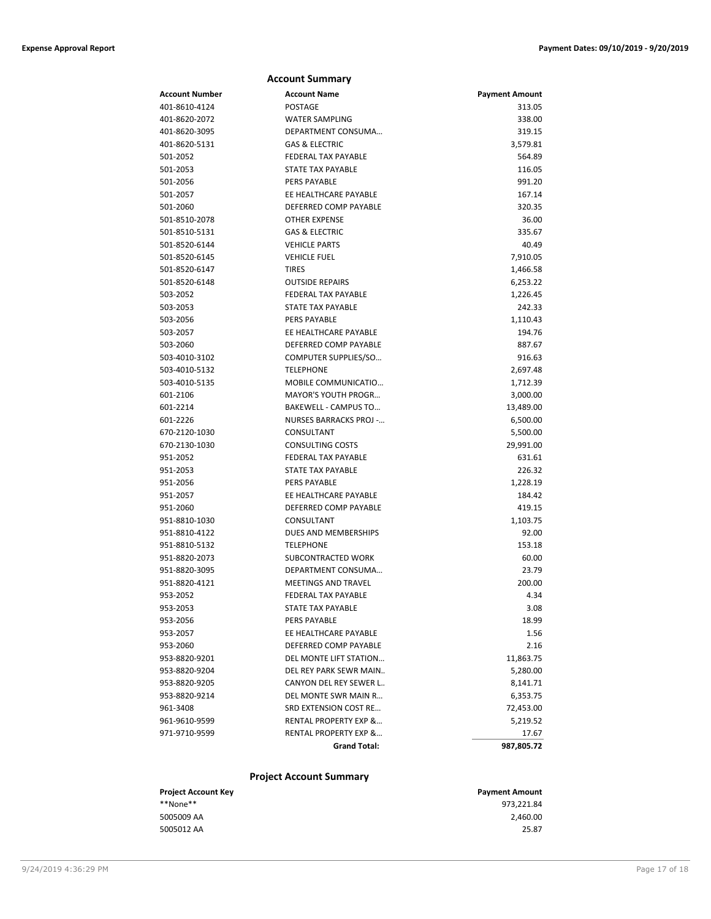|                | <b>Account Summary</b>           |                       |
|----------------|----------------------------------|-----------------------|
| Account Number | <b>Account Name</b>              | <b>Payment Amount</b> |
| 401-8610-4124  | <b>POSTAGE</b>                   | 313.05                |
| 401-8620-2072  | <b>WATER SAMPLING</b>            | 338.00                |
| 401-8620-3095  | DEPARTMENT CONSUMA               | 319.15                |
| 401-8620-5131  | <b>GAS &amp; ELECTRIC</b>        | 3,579.81              |
| 501-2052       | <b>FEDERAL TAX PAYABLE</b>       | 564.89                |
| 501-2053       | <b>STATE TAX PAYABLE</b>         | 116.05                |
| 501-2056       | PERS PAYABLE                     | 991.20                |
| 501-2057       | EE HEALTHCARE PAYABLE            | 167.14                |
| 501-2060       | DEFERRED COMP PAYABLE            | 320.35                |
| 501-8510-2078  | <b>OTHER EXPENSE</b>             | 36.00                 |
| 501-8510-5131  | <b>GAS &amp; ELECTRIC</b>        | 335.67                |
| 501-8520-6144  | <b>VEHICLE PARTS</b>             | 40.49                 |
| 501-8520-6145  | <b>VEHICLE FUEL</b>              | 7,910.05              |
| 501-8520-6147  | <b>TIRES</b>                     | 1,466.58              |
| 501-8520-6148  | <b>OUTSIDE REPAIRS</b>           | 6,253.22              |
| 503-2052       | FEDERAL TAX PAYABLE              | 1,226.45              |
| 503-2053       | <b>STATE TAX PAYABLE</b>         | 242.33                |
| 503-2056       | <b>PERS PAYABLE</b>              | 1,110.43              |
| 503-2057       | EE HEALTHCARE PAYABLE            | 194.76                |
| 503-2060       | DEFERRED COMP PAYABLE            | 887.67                |
| 503-4010-3102  | COMPUTER SUPPLIES/SO             | 916.63                |
| 503-4010-5132  | <b>TELEPHONE</b>                 | 2,697.48              |
| 503-4010-5135  | MOBILE COMMUNICATIO              | 1,712.39              |
| 601-2106       | <b>MAYOR'S YOUTH PROGR</b>       | 3,000.00              |
| 601-2214       | BAKEWELL - CAMPUS TO             | 13,489.00             |
| 601-2226       | <b>NURSES BARRACKS PROJ -</b>    | 6,500.00              |
| 670-2120-1030  | CONSULTANT                       | 5,500.00              |
| 670-2130-1030  | <b>CONSULTING COSTS</b>          | 29,991.00             |
| 951-2052       | <b>FEDERAL TAX PAYABLE</b>       | 631.61                |
| 951-2053       | STATE TAX PAYABLE                | 226.32                |
| 951-2056       | <b>PERS PAYABLE</b>              | 1,228.19              |
| 951-2057       | EE HEALTHCARE PAYABLE            | 184.42                |
| 951-2060       | DEFERRED COMP PAYABLE            | 419.15                |
| 951-8810-1030  | CONSULTANT                       | 1,103.75              |
| 951-8810-4122  | DUES AND MEMBERSHIPS             | 92.00                 |
| 951-8810-5132  | <b>TELEPHONE</b>                 | 153.18                |
| 951-8820-2073  | SUBCONTRACTED WORK               | 60.00                 |
| 951-8820-3095  | DEPARTMENT CONSUMA               | 23.79                 |
| 951-8820-4121  | <b>MEETINGS AND TRAVEL</b>       | 200.00                |
| 953-2052       | FEDERAL TAX PAYABLE              | 4.34                  |
| 953-2053       | <b>STATE TAX PAYABLE</b>         | 3.08                  |
| 953-2056       | PERS PAYABLE                     | 18.99                 |
| 953-2057       | EE HEALTHCARE PAYABLE            | 1.56                  |
| 953-2060       | DEFERRED COMP PAYABLE            | 2.16                  |
| 953-8820-9201  | DEL MONTE LIFT STATION           | 11,863.75             |
| 953-8820-9204  | DEL REY PARK SEWR MAIN           | 5,280.00              |
| 953-8820-9205  | <b>CANYON DEL REY SEWER L</b>    | 8,141.71              |
| 953-8820-9214  | DEL MONTE SWR MAIN R             | 6,353.75              |
| 961-3408       | SRD EXTENSION COST RE            | 72,453.00             |
| 961-9610-9599  | <b>RENTAL PROPERTY EXP &amp;</b> | 5,219.52              |
| 971-9710-9599  | <b>RENTAL PROPERTY EXP &amp;</b> | 17.67                 |
|                | <b>Grand Total:</b>              | 987,805.72            |
|                |                                  |                       |

### **Project Account Summary**

| <b>Payment Amount</b> |
|-----------------------|
| 973,221.84            |
| 2.460.00              |
| 25.87                 |
|                       |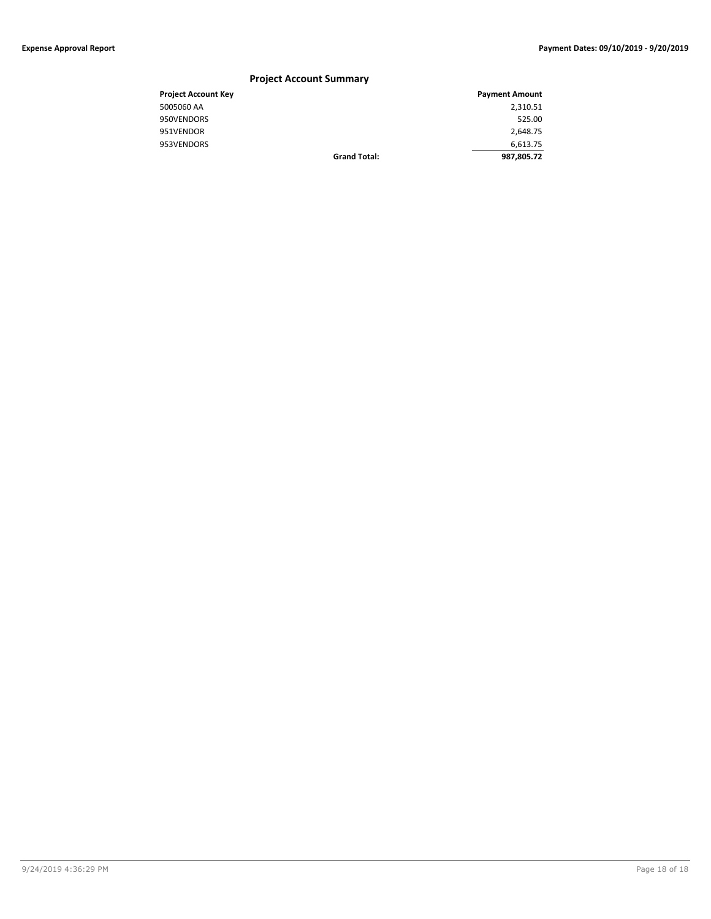### **Project Account Summary Project Account Key Payment Amount** 5005060 AA 2,310.51 950VENDORS 525.00 951VENDOR 2,648.75 953VENDORS 6,613.75 **Grand Total: 987,805.72**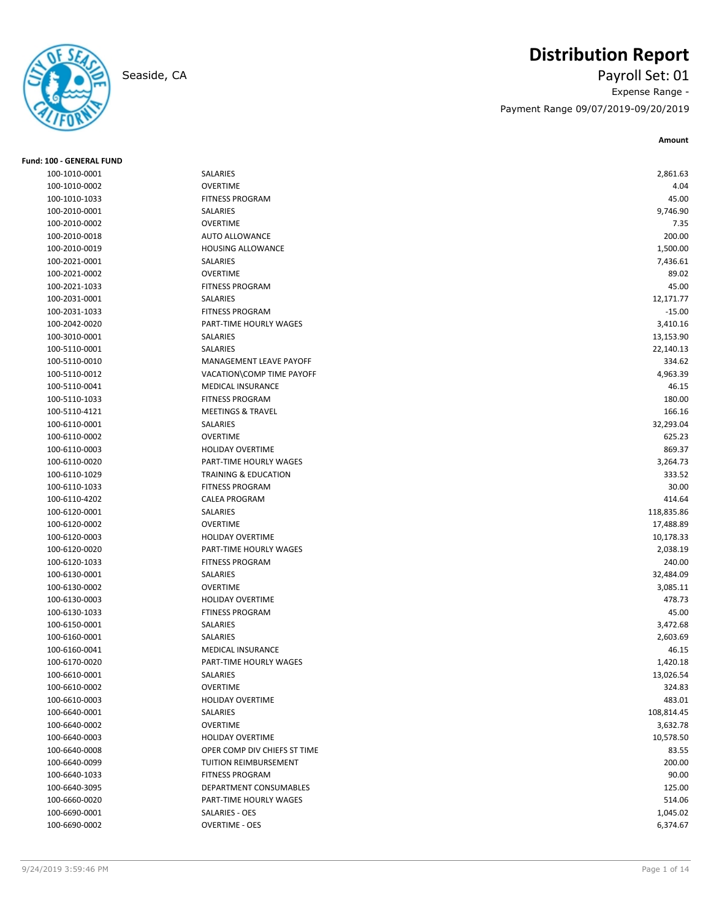

## **Distribution Report**

Seaside, CA Payroll Set: 01 Expense Range - Payment Range 09/07/2019-09/20/2019

| <b>Fund: 100 - GENERAL FUND</b> |                                 |            |
|---------------------------------|---------------------------------|------------|
| 100-1010-0001                   | SALARIES                        | 2,861.63   |
| 100-1010-0002                   | <b>OVERTIME</b>                 | 4.04       |
| 100-1010-1033                   | <b>FITNESS PROGRAM</b>          | 45.00      |
| 100-2010-0001                   | SALARIES                        | 9,746.90   |
| 100-2010-0002                   | <b>OVERTIME</b>                 | 7.35       |
| 100-2010-0018                   | <b>AUTO ALLOWANCE</b>           | 200.00     |
| 100-2010-0019                   | <b>HOUSING ALLOWANCE</b>        | 1,500.00   |
| 100-2021-0001                   | SALARIES                        | 7,436.61   |
| 100-2021-0002                   | <b>OVERTIME</b>                 | 89.02      |
| 100-2021-1033                   | <b>FITNESS PROGRAM</b>          | 45.00      |
| 100-2031-0001                   | <b>SALARIES</b>                 | 12,171.77  |
| 100-2031-1033                   | <b>FITNESS PROGRAM</b>          | $-15.00$   |
| 100-2042-0020                   | PART-TIME HOURLY WAGES          | 3,410.16   |
| 100-3010-0001                   | SALARIES                        | 13,153.90  |
| 100-5110-0001                   | SALARIES                        | 22,140.13  |
| 100-5110-0010                   | MANAGEMENT LEAVE PAYOFF         | 334.62     |
| 100-5110-0012                   | VACATION\COMP TIME PAYOFF       | 4,963.39   |
| 100-5110-0041                   | <b>MEDICAL INSURANCE</b>        | 46.15      |
| 100-5110-1033                   | <b>FITNESS PROGRAM</b>          | 180.00     |
| 100-5110-4121                   | <b>MEETINGS &amp; TRAVEL</b>    | 166.16     |
| 100-6110-0001                   | SALARIES                        | 32,293.04  |
| 100-6110-0002                   | <b>OVERTIME</b>                 | 625.23     |
| 100-6110-0003                   | <b>HOLIDAY OVERTIME</b>         | 869.37     |
| 100-6110-0020                   | PART-TIME HOURLY WAGES          | 3,264.73   |
| 100-6110-1029                   | <b>TRAINING &amp; EDUCATION</b> | 333.52     |
| 100-6110-1033                   | <b>FITNESS PROGRAM</b>          | 30.00      |
| 100-6110-4202                   | <b>CALEA PROGRAM</b>            | 414.64     |
| 100-6120-0001                   | SALARIES                        | 118,835.86 |
| 100-6120-0002                   | <b>OVERTIME</b>                 | 17,488.89  |
| 100-6120-0003                   | HOLIDAY OVERTIME                | 10,178.33  |
| 100-6120-0020                   | PART-TIME HOURLY WAGES          | 2,038.19   |
| 100-6120-1033                   | <b>FITNESS PROGRAM</b>          | 240.00     |
| 100-6130-0001                   | SALARIES                        | 32,484.09  |
| 100-6130-0002                   | <b>OVERTIME</b>                 | 3,085.11   |
| 100-6130-0003                   | <b>HOLIDAY OVERTIME</b>         | 478.73     |
| 100-6130-1033                   | <b>FTINESS PROGRAM</b>          | 45.00      |
| 100-6150-0001                   | SALARIES                        | 3,472.68   |
| 100-6160-0001                   | SALARIES                        | 2,603.69   |
| 100-6160-0041                   | MEDICAL INSURANCE               | 46.15      |
| 100-6170-0020                   | PART-TIME HOURLY WAGES          | 1,420.18   |
| 100-6610-0001                   | SALARIES                        | 13,026.54  |
| 100-6610-0002                   | <b>OVERTIME</b>                 | 324.83     |
| 100-6610-0003                   | <b>HOLIDAY OVERTIME</b>         | 483.01     |
| 100-6640-0001                   | SALARIES                        | 108,814.45 |
| 100-6640-0002                   | <b>OVERTIME</b>                 | 3,632.78   |
| 100-6640-0003                   | HOLIDAY OVERTIME                | 10,578.50  |
| 100-6640-0008                   | OPER COMP DIV CHIEFS ST TIME    | 83.55      |
| 100-6640-0099                   | TUITION REIMBURSEMENT           | 200.00     |
| 100-6640-1033                   | <b>FITNESS PROGRAM</b>          | 90.00      |
| 100-6640-3095                   | DEPARTMENT CONSUMABLES          | 125.00     |
| 100-6660-0020                   | PART-TIME HOURLY WAGES          | 514.06     |
| 100-6690-0001                   | SALARIES - OES                  | 1,045.02   |
| 100-6690-0002                   | <b>OVERTIME - OES</b>           | 6,374.67   |
|                                 |                                 |            |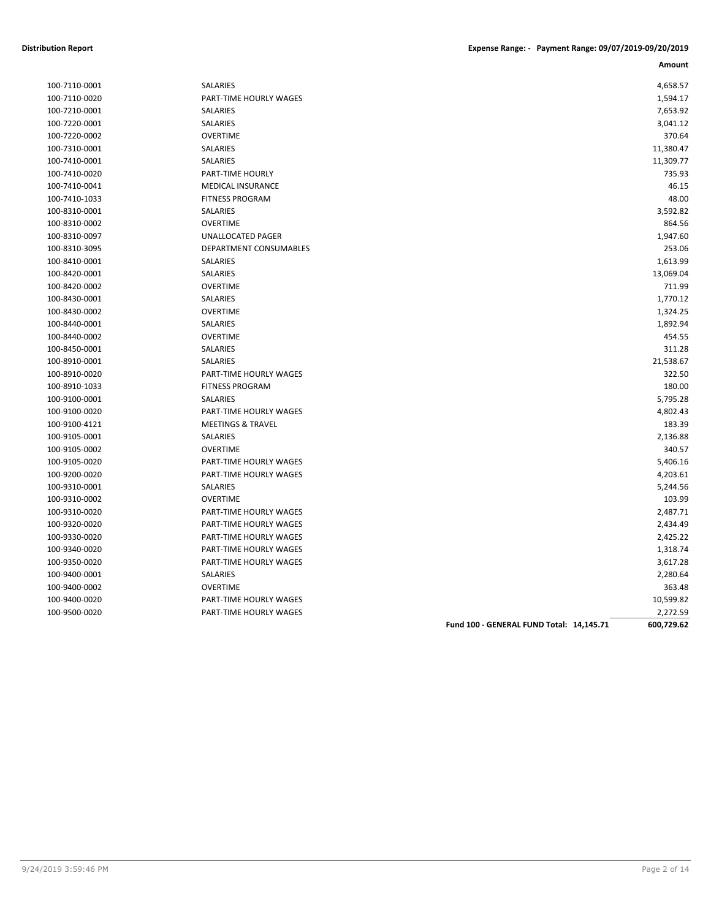| 100-7110-0001 |
|---------------|
| 100-7110-0020 |
| 100-7210-0001 |
| 100-7220-0001 |
| 100-7220-0002 |
| 100-7310-0001 |
| 100-7410-0001 |
| 100-7410-0020 |
| 100-7410-0041 |
| 100-7410-1033 |
| 100-8310-0001 |
| 100-8310-0002 |
| 100-8310-0097 |
| 100-8310-3095 |
| 100-8410-0001 |
| 100-8420-0001 |
| 100-8420-0002 |
| 100-8430-0001 |
| 100-8430-0002 |
| 100-8440-0001 |
| 100-8440-0002 |
| 100-8450-0001 |
| 100-8910-0001 |
| 100-8910-0020 |
| 100-8910-1033 |
| 100-9100-0001 |
| 100-9100-0020 |
| 100-9100-4121 |
| 100-9105-0001 |
| 100-9105-0002 |
| 100-9105-0020 |
| 100-9200-0020 |
| 100-9310-0001 |
| 100-9310-0002 |
| 100-9310-0020 |
| 100-9320-0020 |
| 100-9330-0020 |
| 100-9340-0020 |
| 100-9350-0020 |
| 100-9400-0001 |
| 100-9400-0002 |
| 100-9400-0020 |
| 100.0500.0020 |

| 100-7110-0001 | SALARIES                      | 4,658.57  |
|---------------|-------------------------------|-----------|
| 100-7110-0020 | PART-TIME HOURLY WAGES        | 1,594.17  |
| 100-7210-0001 | SALARIES                      | 7,653.92  |
| 100-7220-0001 | SALARIES                      | 3,041.12  |
| 100-7220-0002 | <b>OVERTIME</b>               | 370.64    |
| 100-7310-0001 | SALARIES                      | 11,380.47 |
| 100-7410-0001 | SALARIES                      | 11,309.77 |
| 100-7410-0020 | PART-TIME HOURLY              | 735.93    |
| 100-7410-0041 | <b>MEDICAL INSURANCE</b>      | 46.15     |
| 100-7410-1033 | <b>FITNESS PROGRAM</b>        | 48.00     |
| 100-8310-0001 | SALARIES                      | 3,592.82  |
| 100-8310-0002 | <b>OVERTIME</b>               | 864.56    |
| 100-8310-0097 | UNALLOCATED PAGER             | 1,947.60  |
| 100-8310-3095 | <b>DEPARTMENT CONSUMABLES</b> | 253.06    |
| 100-8410-0001 | <b>SALARIES</b>               | 1,613.99  |
| 100-8420-0001 | SALARIES                      | 13,069.04 |
| 100-8420-0002 | <b>OVERTIME</b>               | 711.99    |
| 100-8430-0001 | SALARIES                      | 1,770.12  |
| 100-8430-0002 | <b>OVERTIME</b>               | 1,324.25  |
| 100-8440-0001 | SALARIES                      | 1,892.94  |
| 100-8440-0002 | <b>OVERTIME</b>               | 454.55    |
| 100-8450-0001 | SALARIES                      | 311.28    |
| 100-8910-0001 | SALARIES                      | 21,538.67 |
| 100-8910-0020 | PART-TIME HOURLY WAGES        | 322.50    |
| 100-8910-1033 | <b>FITNESS PROGRAM</b>        | 180.00    |
| 100-9100-0001 | <b>SALARIES</b>               | 5,795.28  |
| 100-9100-0020 | PART-TIME HOURLY WAGES        | 4,802.43  |
| 100-9100-4121 | <b>MEETINGS &amp; TRAVEL</b>  | 183.39    |
| 100-9105-0001 | SALARIES                      | 2,136.88  |
| 100-9105-0002 | <b>OVERTIME</b>               | 340.57    |
| 100-9105-0020 | PART-TIME HOURLY WAGES        | 5,406.16  |
| 100-9200-0020 | PART-TIME HOURLY WAGES        | 4,203.61  |
| 100-9310-0001 | SALARIES                      | 5,244.56  |
| 100-9310-0002 | <b>OVERTIME</b>               | 103.99    |
| 100-9310-0020 | PART-TIME HOURLY WAGES        | 2,487.71  |
| 100-9320-0020 | PART-TIME HOURLY WAGES        | 2,434.49  |
| 100-9330-0020 | PART-TIME HOURLY WAGES        | 2,425.22  |
| 100-9340-0020 | PART-TIME HOURLY WAGES        | 1,318.74  |
| 100-9350-0020 | PART-TIME HOURLY WAGES        | 3,617.28  |
| 100-9400-0001 | SALARIES                      | 2,280.64  |
| 100-9400-0002 | <b>OVERTIME</b>               | 363.48    |
| 100-9400-0020 | PART-TIME HOURLY WAGES        | 10,599.82 |
| 100-9500-0020 | PART-TIME HOURLY WAGES        | 2,272.59  |
|               |                               |           |

**Fund 100 - GENERAL FUND Total: 14,145.71 600,729.62**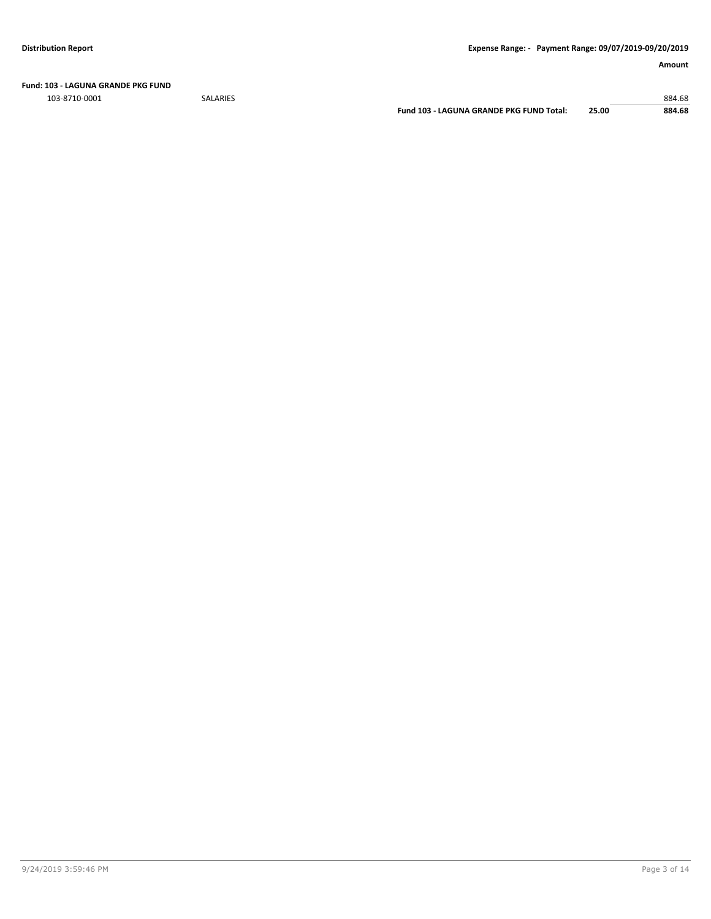**Fund: 103 - LAGUNA GRANDE PKG FUND**

103-8710-0001 SALARIES 884.68

**Fund 103 - LAGUNA GRANDE PKG FUND Total: 25.00 884.68**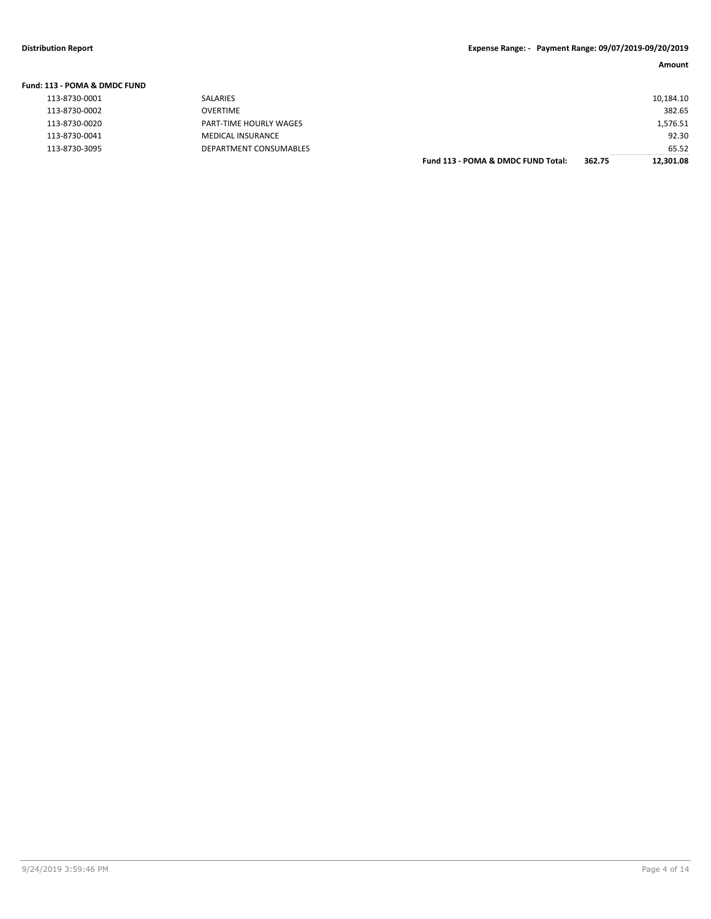| Fund: 113 - POMA & DMDC FUND |                        |                                    |        |           |
|------------------------------|------------------------|------------------------------------|--------|-----------|
| 113-8730-0001                | <b>SALARIES</b>        |                                    |        | 10,184.10 |
| 113-8730-0002                | OVERTIME               |                                    |        | 382.65    |
| 113-8730-0020                | PART-TIME HOURLY WAGES |                                    |        | 1,576.51  |
| 113-8730-0041                | MEDICAL INSURANCE      |                                    |        | 92.30     |
| 113-8730-3095                | DEPARTMENT CONSUMABLES |                                    |        | 65.52     |
|                              |                        | Fund 113 - POMA & DMDC FUND Total: | 362.75 | 12.301.08 |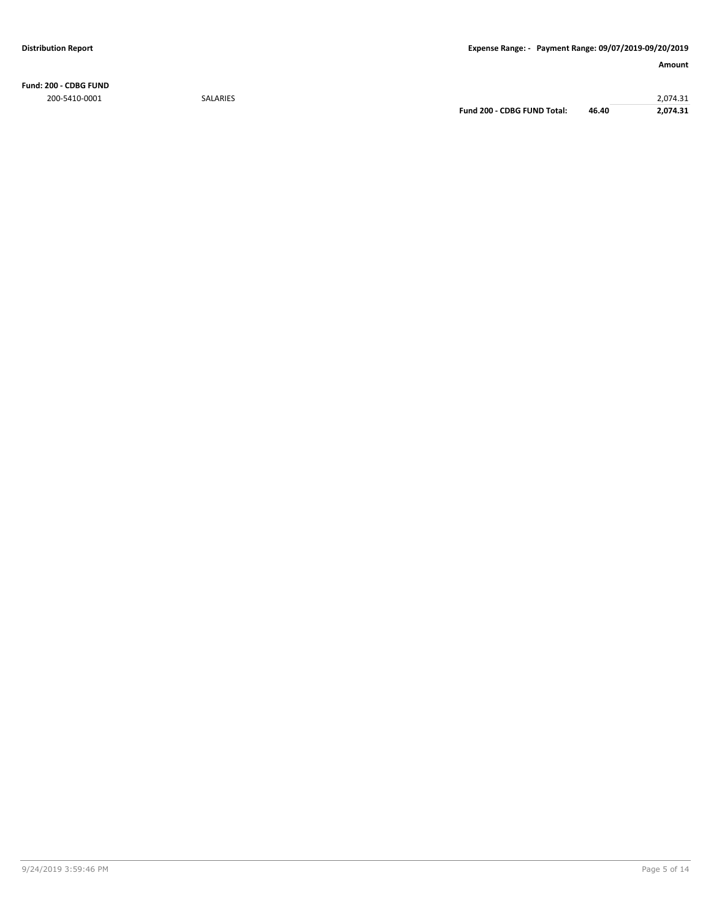**Fund: 200 - CDBG FUND** 200-5410-0001 SALARIES 2,074.31

**Fund 200 - CDBG FUND Total: 46.40 2,074.31**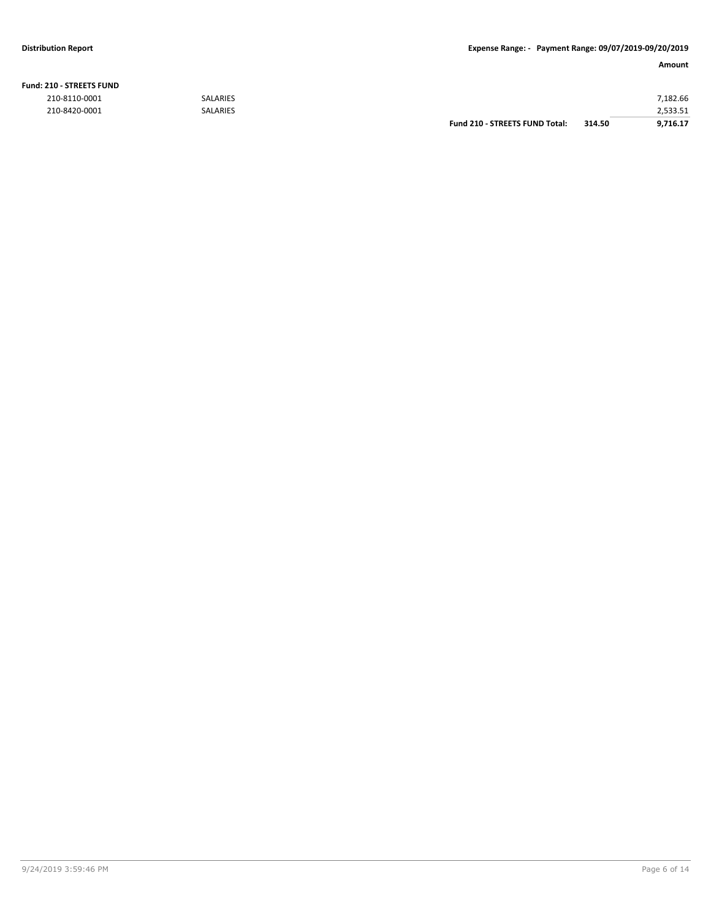### **Distribution Report Expense Range: - Payment Range: 09/07/2019-09/20/2019**

| <b>Fund: 210 - STREETS FUND</b> |                 |                                       |        |          |
|---------------------------------|-----------------|---------------------------------------|--------|----------|
| 210-8110-0001                   | <b>SALARIES</b> |                                       |        | 7.182.66 |
| 210-8420-0001                   | <b>SALARIES</b> |                                       |        | 2,533.51 |
|                                 |                 | <b>Fund 210 - STREETS FUND Total:</b> | 314.50 | 9.716.17 |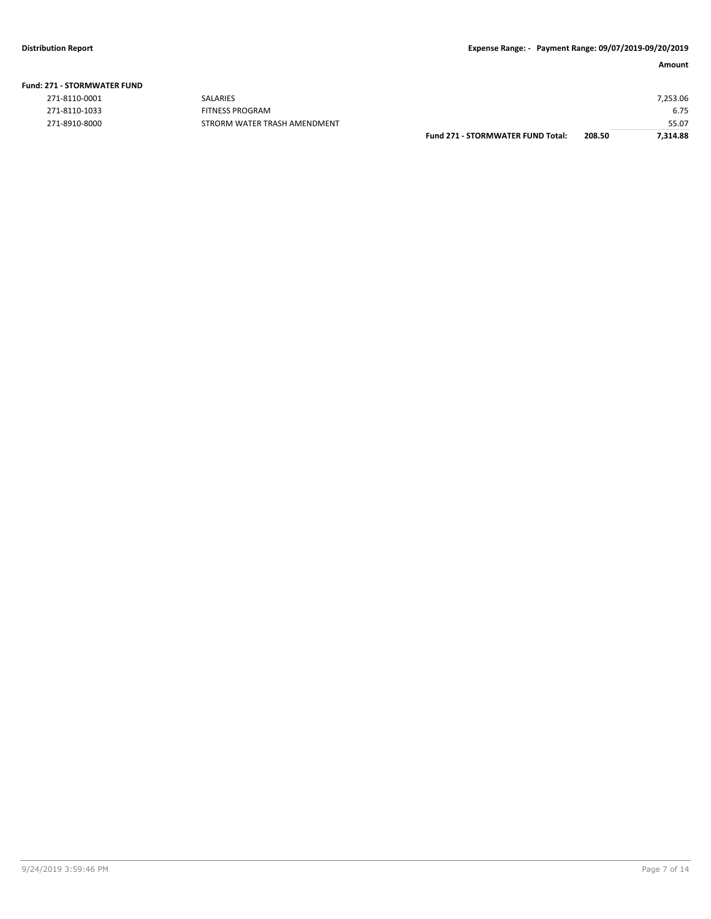| <b>Fund: 271 - STORMWATER FUND</b> |  |
|------------------------------------|--|
| 271 9110 0001                      |  |

| 271-8110-0001 |
|---------------|
| 271-8110-1033 |
| 271-8910-8000 |

|               | <b>Fund 271 - STORMWATER FUND Total:</b> | 208.50 | 7,314.88 |
|---------------|------------------------------------------|--------|----------|
| 271-8910-8000 | STRORM WATER TRASH AMENDMENT             |        | 55.07    |
| 271-8110-1033 | FITNESS PROGRAM                          |        | 6.75     |
| 271-8110-0001 | <b>SALARIES</b>                          |        | 7,253.06 |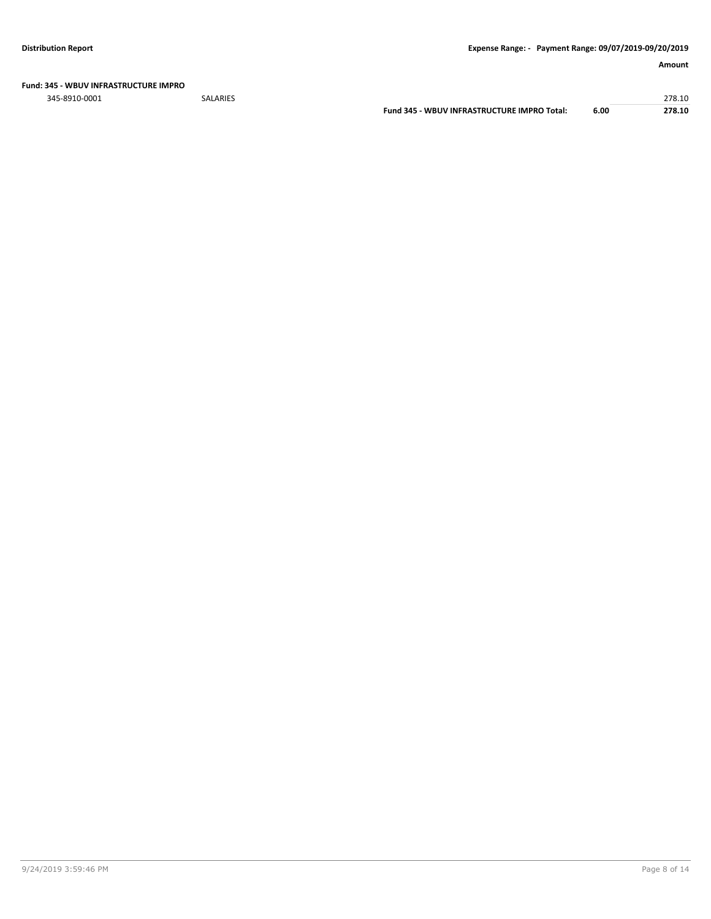#### **Fund: 345 - WBUV INFRASTRUCTURE IMPRO**

345-8910-0001 SALARIES 278.10

**Fund 345 - WBUV INFRASTRUCTURE IMPRO Total: 6.00 278.10**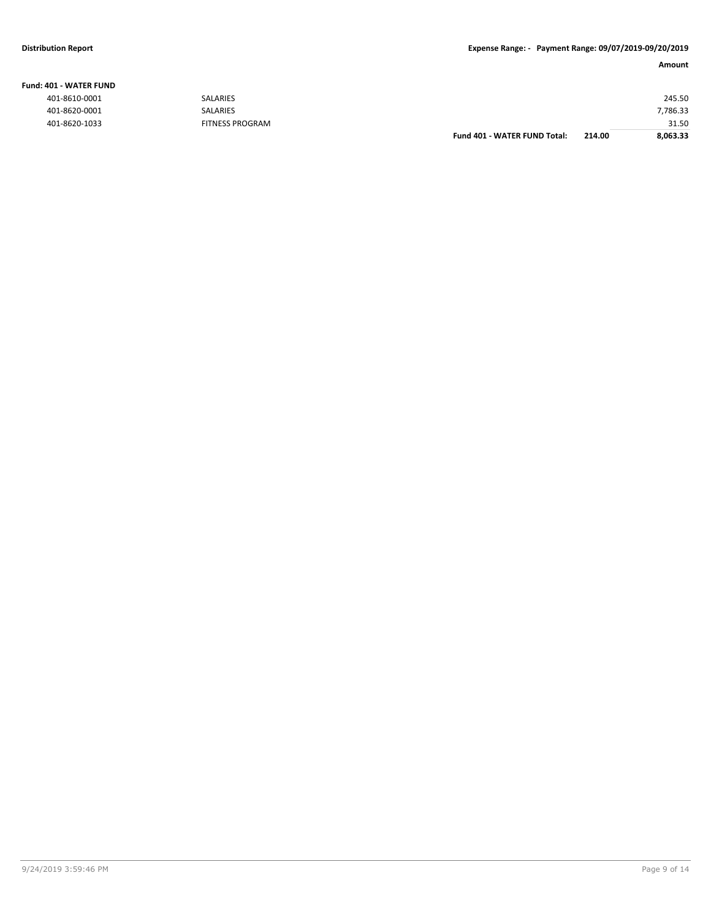#### **Fund: 401 - WATER FUND**

|               |                        | <b>Fund 401 - WATER FUND Total:</b> | 214.00 | 8,063.33 |
|---------------|------------------------|-------------------------------------|--------|----------|
| 401-8620-1033 | <b>FITNESS PROGRAM</b> |                                     |        | 31.50    |
| 401-8620-0001 | <b>SALARIES</b>        |                                     |        | 7,786.33 |
| 401-8610-0001 | <b>SALARIES</b>        |                                     |        | 245.50   |
|               |                        |                                     |        |          |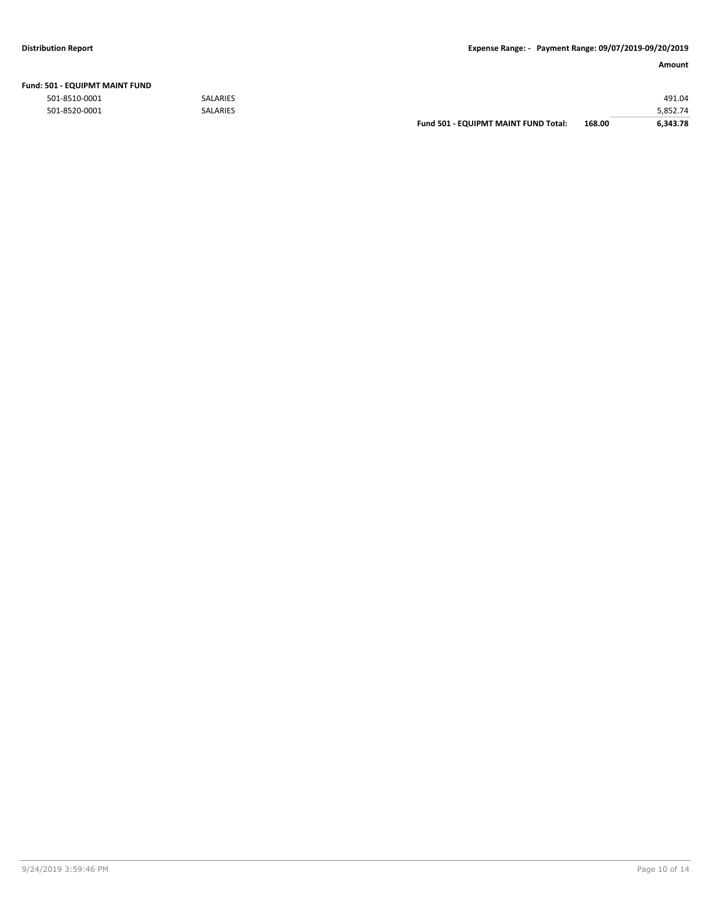| Fund: 501 - EQUIPMT MAINT FUND |  |
|--------------------------------|--|
|--------------------------------|--|

|               |                 | <b>Fund 501 - EQUIPMT MAINT FUND Total:</b> | 168.00 | 6.343.78 |
|---------------|-----------------|---------------------------------------------|--------|----------|
| 501-8520-0001 | <b>SALARIES</b> |                                             |        | 5.852.74 |
| 501-8510-0001 | <b>SALARIES</b> |                                             |        | 491.04   |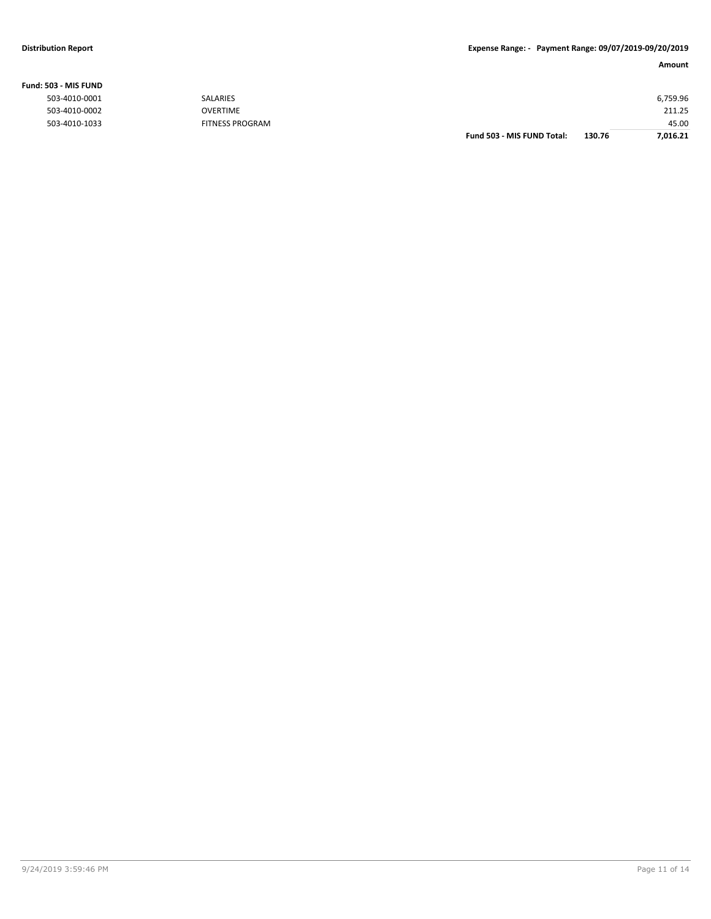#### **Fund: 503 - MIS FUND**

|               |                        | Fund 503 - MIS FUND Total: | 130.76 | 7.016.21 |
|---------------|------------------------|----------------------------|--------|----------|
| 503-4010-1033 | <b>FITNESS PROGRAM</b> |                            |        | 45.00    |
| 503-4010-0002 | <b>OVERTIME</b>        |                            |        | 211.25   |
| 503-4010-0001 | SALARIES               |                            |        | 6,759.96 |
|               |                        |                            |        |          |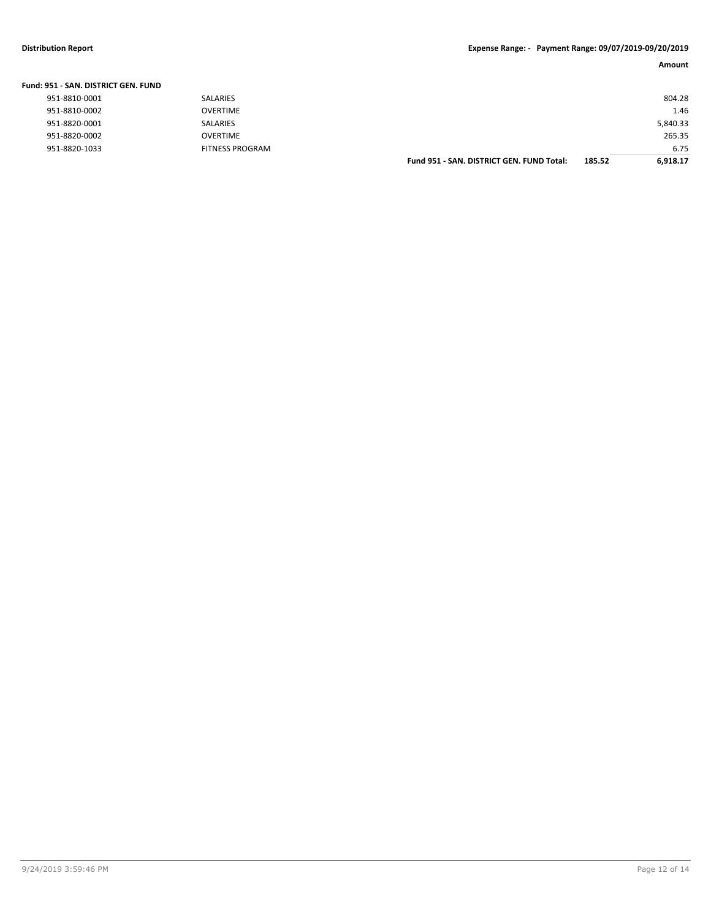### **Distribution Report Expense Range: - Payment Range: 09/07/2019-09/20/2019**

| Amount |
|--------|
|--------|

| 951-8810-0001 | SALARIES        |                                           |        | 804.28   |
|---------------|-----------------|-------------------------------------------|--------|----------|
| 951-8810-0002 | <b>OVERTIME</b> |                                           |        | 1.46     |
| 951-8820-0001 | SALARIES        |                                           |        | 5,840.33 |
| 951-8820-0002 | <b>OVERTIME</b> |                                           |        | 265.35   |
| 951-8820-1033 | FITNESS PROGRAM |                                           |        | 6.75     |
|               |                 | Fund 951 - SAN, DISTRICT GEN, FUND Total: | 185.52 | 6.918.17 |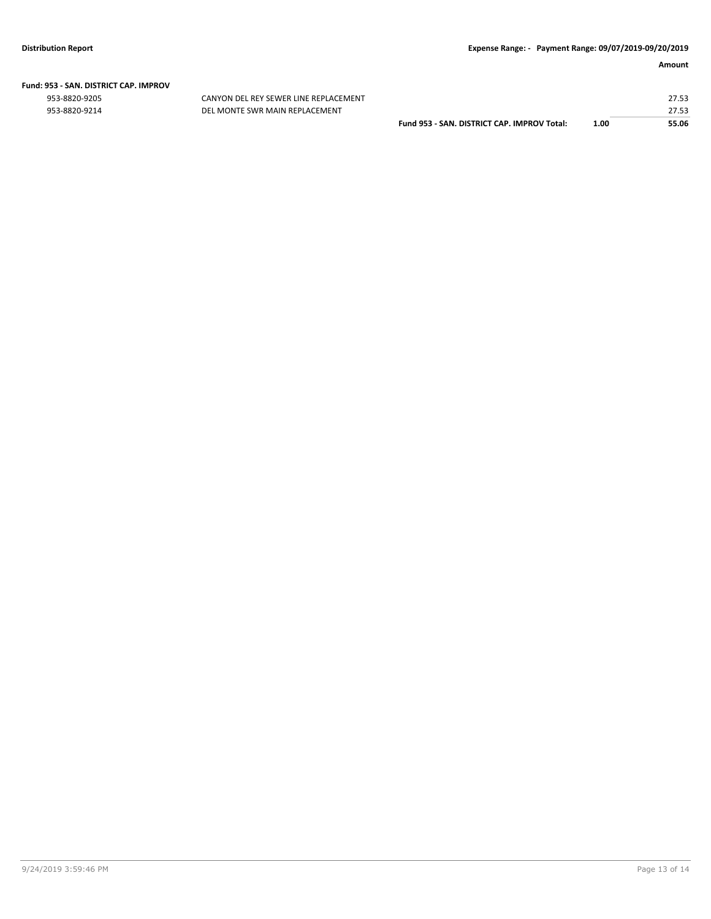# **Fund: 953 - SAN. DISTRICT CAP. IMPROV**

CANYON DEL REY SEWER LINE REPLACEMENT 953-8820-9214 DEL MONTE SWR MAIN REPLACEMENT

|                                             |      | 27.53 |
|---------------------------------------------|------|-------|
|                                             |      | 27.53 |
| Fund 953 - SAN, DISTRICT CAP, IMPROV Total: | 1.00 | 55.06 |